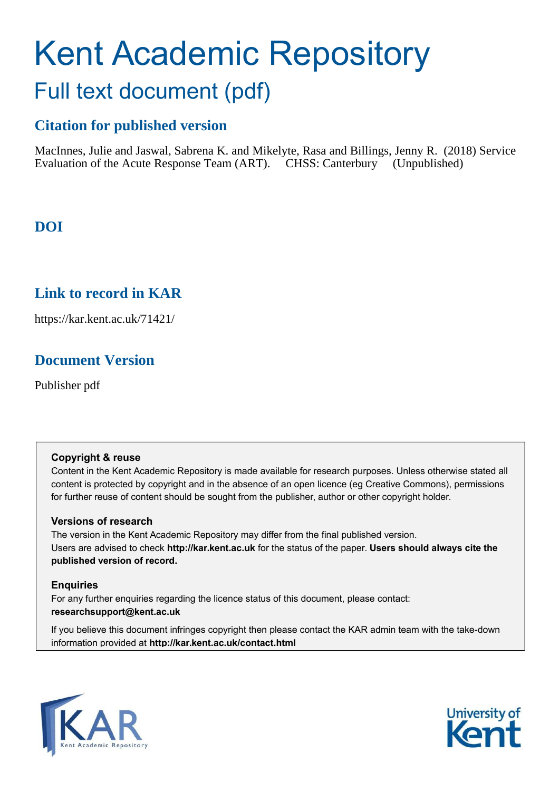# Kent Academic Repository Full text document (pdf)

# **Citation for published version**

MacInnes, Julie and Jaswal, Sabrena K. and Mikelyte, Rasa and Billings, Jenny R. (2018) Service Evaluation of the Acute Response Team (ART). CHSS: Canterbury (Unpublished)

# **DOI**

# **Link to record in KAR**

https://kar.kent.ac.uk/71421/

# **Document Version**

Publisher pdf

#### **Copyright & reuse**

Content in the Kent Academic Repository is made available for research purposes. Unless otherwise stated all content is protected by copyright and in the absence of an open licence (eg Creative Commons), permissions for further reuse of content should be sought from the publisher, author or other copyright holder.

#### **Versions of research**

The version in the Kent Academic Repository may differ from the final published version. Users are advised to check **http://kar.kent.ac.uk** for the status of the paper. **Users should always cite the published version of record.**

#### **Enquiries**

For any further enquiries regarding the licence status of this document, please contact: **researchsupport@kent.ac.uk**

If you believe this document infringes copyright then please contact the KAR admin team with the take-down information provided at **http://kar.kent.ac.uk/contact.html**



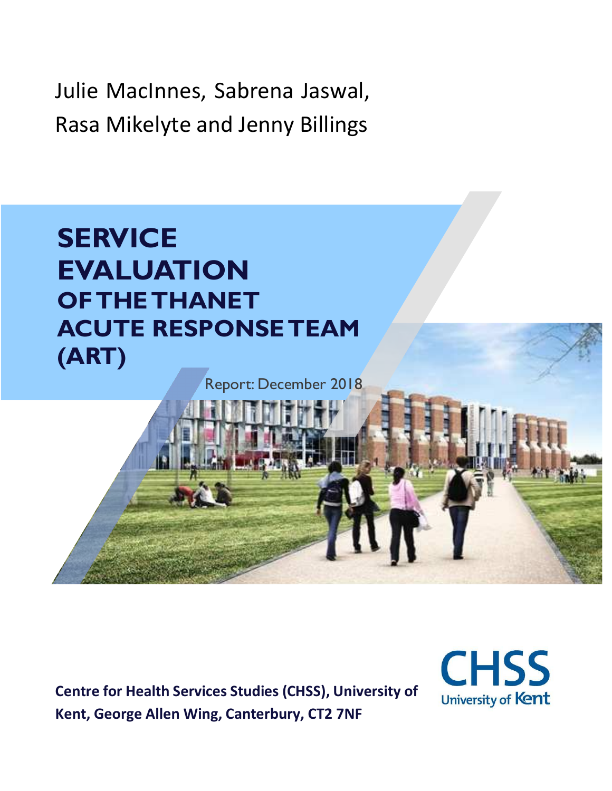Julie MacInnes, Sabrena Jaswal, Rasa Mikelyte and Jenny Billings

# **SERVICE EVALUATION OF THETHANET ACUTE RESPONSE TEAM (ART)**

Report: December 2018

**Centre for Health Services Studies (CHSS), University of Kent, George Allen Wing, Canterbury, CT2 7NF**

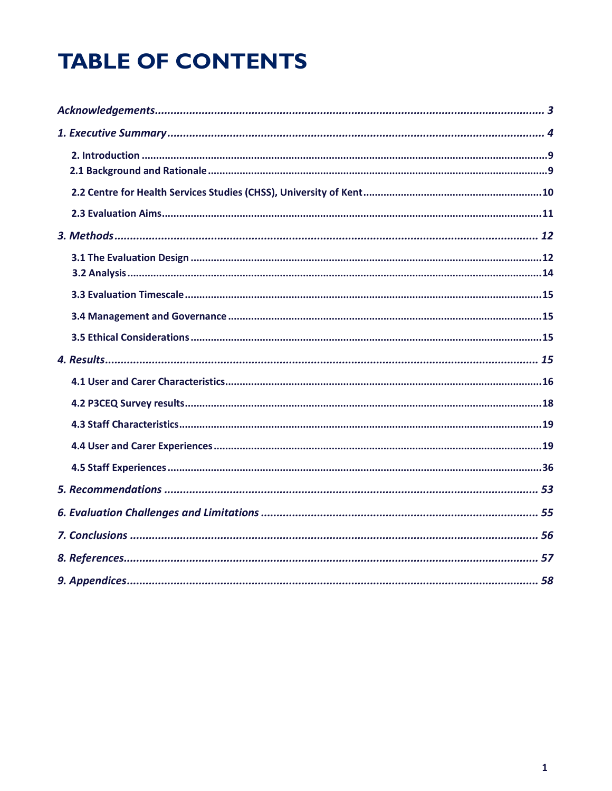# **TABLE OF CONTENTS**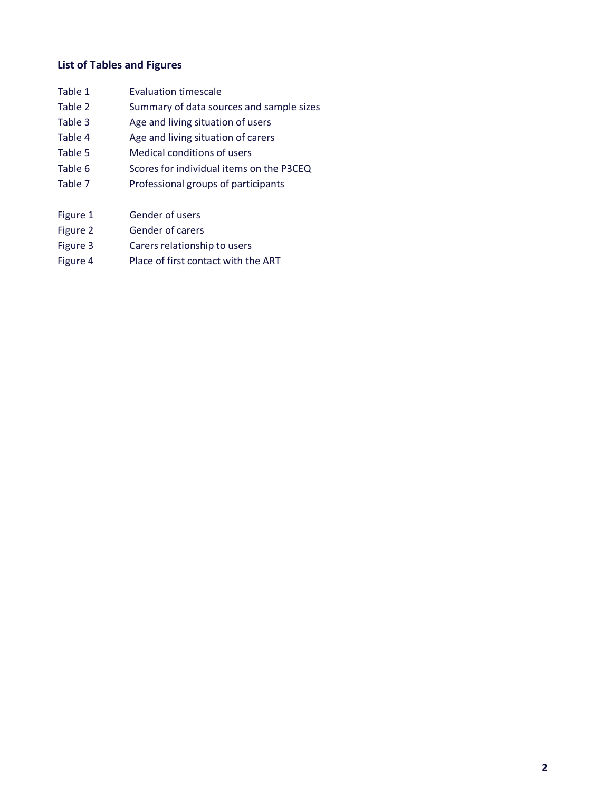#### **List of Tables and Figures**

| Table 1 | <b>Evaluation timescale</b>              |
|---------|------------------------------------------|
| Table 2 | Summary of data sources and sample sizes |
| Table 3 | Age and living situation of users        |
| Table 4 | Age and living situation of carers       |
| Table 5 | Medical conditions of users              |
| Table 6 | Scores for individual items on the P3CEQ |
| Table 7 | Professional groups of participants      |
|         |                                          |

- Figure 1 Gender of users
- Figure 2 Gender of carers
- Figure 3 Carers relationship to users
- Figure 4 Place of first contact with the ART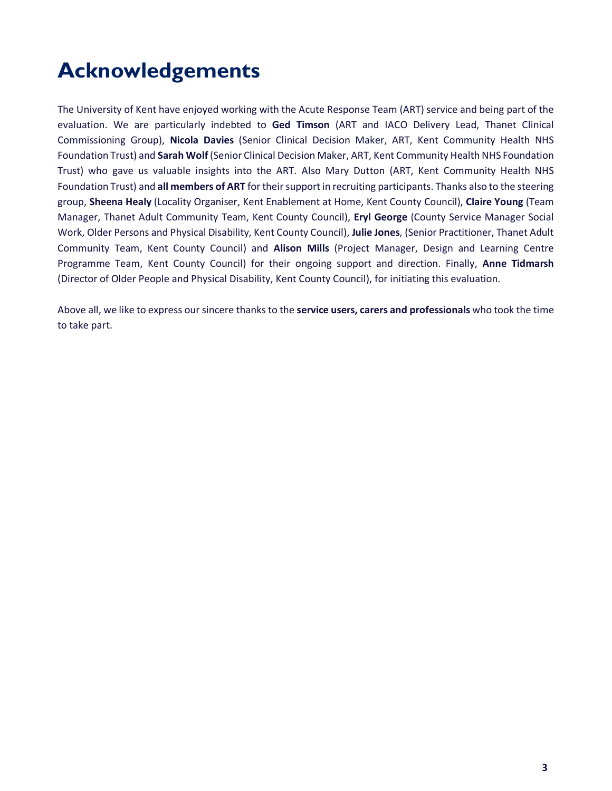# **Acknowledgements**

The University of Kent have enjoyed working with the Acute Response Team (ART) service and being part of the evaluation. We are particularly indebted to **Ged Timson** (ART and IACO Delivery Lead, Thanet Clinical Commissioning Group), **Nicola Davies** (Senior Clinical Decision Maker, ART, Kent Community Health NHS Foundation Trust) and **Sarah Wolf** (Senior Clinical Decision Maker, ART, Kent Community Health NHS Foundation Trust) who gave us valuable insights into the ART. Also Mary Dutton (ART, Kent Community Health NHS Foundation Trust) and **all members of ART** for their support in recruiting participants. Thanks also to the steering group, **Sheena Healy** (Locality Organiser, Kent Enablement at Home, Kent County Council), **Claire Young** (Team Manager, Thanet Adult Community Team, Kent County Council), **Eryl George** (County Service Manager Social Work, Older Persons and Physical Disability, Kent County Council), **Julie Jones**, (Senior Practitioner, Thanet Adult Community Team, Kent County Council) and **Alison Mills** (Project Manager, Design and Learning Centre Programme Team, Kent County Council) for their ongoing support and direction. Finally, **Anne Tidmarsh** (Director of Older People and Physical Disability, Kent County Council), for initiating this evaluation.

Above all, we like to express our sincere thanks to the **service users, carers and professionals** who took the time to take part.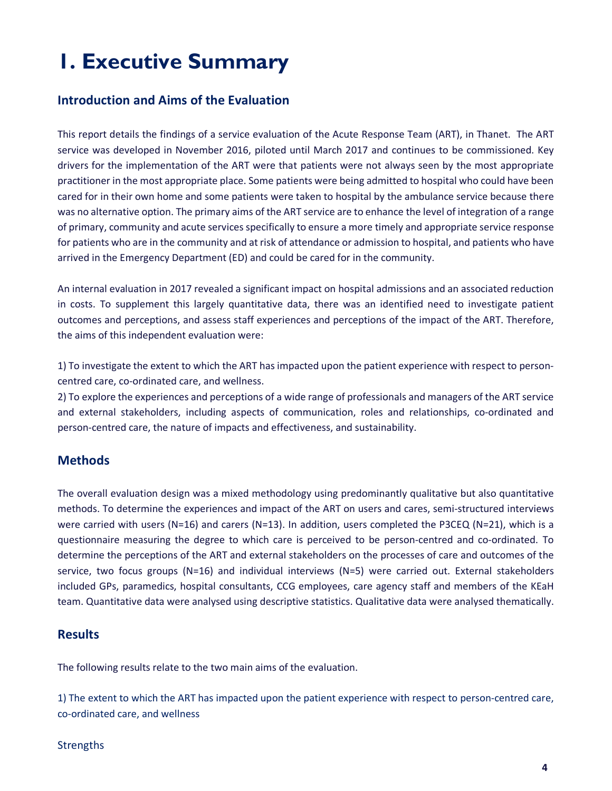# **1. Executive Summary**

#### **Introduction and Aims of the Evaluation**

This report details the findings of a service evaluation of the Acute Response Team (ART), in Thanet. The ART service was developed in November 2016, piloted until March 2017 and continues to be commissioned. Key drivers for the implementation of the ART were that patients were not always seen by the most appropriate practitioner in the most appropriate place. Some patients were being admitted to hospital who could have been cared for in their own home and some patients were taken to hospital by the ambulance service because there was no alternative option. The primary aims of the ART service are to enhance the level of integration of a range of primary, community and acute services specifically to ensure a more timely and appropriate service response for patients who are in the community and at risk of attendance or admission to hospital, and patients who have arrived in the Emergency Department (ED) and could be cared for in the community.

An internal evaluation in 2017 revealed a significant impact on hospital admissions and an associated reduction in costs. To supplement this largely quantitative data, there was an identified need to investigate patient outcomes and perceptions, and assess staff experiences and perceptions of the impact of the ART. Therefore, the aims of this independent evaluation were:

1) To investigate the extent to which the ART has impacted upon the patient experience with respect to personcentred care, co-ordinated care, and wellness.

2) To explore the experiences and perceptions of a wide range of professionals and managers of the ART service and external stakeholders, including aspects of communication, roles and relationships, co-ordinated and person-centred care, the nature of impacts and effectiveness, and sustainability.

#### **Methods**

The overall evaluation design was a mixed methodology using predominantly qualitative but also quantitative methods. To determine the experiences and impact of the ART on users and cares, semi-structured interviews were carried with users (N=16) and carers (N=13). In addition, users completed the P3CEQ (N=21), which is a questionnaire measuring the degree to which care is perceived to be person-centred and co-ordinated. To determine the perceptions of the ART and external stakeholders on the processes of care and outcomes of the service, two focus groups (N=16) and individual interviews (N=5) were carried out. External stakeholders included GPs, paramedics, hospital consultants, CCG employees, care agency staff and members of the KEaH team. Quantitative data were analysed using descriptive statistics. Qualitative data were analysed thematically.

#### **Results**

The following results relate to the two main aims of the evaluation.

1) The extent to which the ART has impacted upon the patient experience with respect to person-centred care, co-ordinated care, and wellness

#### **Strengths**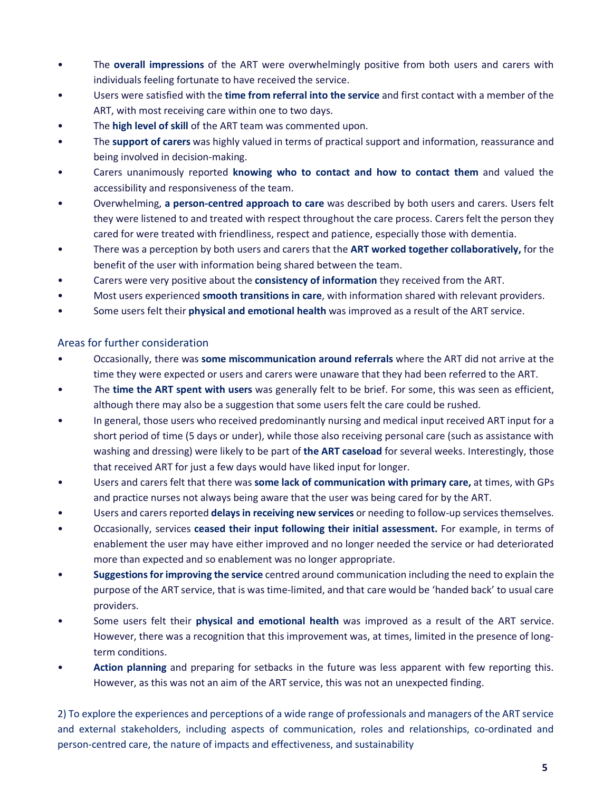- The **overall impressions** of the ART were overwhelmingly positive from both users and carers with individuals feeling fortunate to have received the service.
- Users were satisfied with the **time from referral into the service** and first contact with a member of the ART, with most receiving care within one to two days.
- The **high level of skill** of the ART team was commented upon.
- The **support of carers** was highly valued in terms of practical support and information, reassurance and being involved in decision-making.
- Carers unanimously reported **knowing who to contact and how to contact them** and valued the accessibility and responsiveness of the team.
- Overwhelming, **a person-centred approach to care** was described by both users and carers. Users felt they were listened to and treated with respect throughout the care process. Carers felt the person they cared for were treated with friendliness, respect and patience, especially those with dementia.
- There was a perception by both users and carers that the **ART worked together collaboratively,** for the benefit of the user with information being shared between the team.
- Carers were very positive about the **consistency of information** they received from the ART.
- Most users experienced **smooth transitions in care**, with information shared with relevant providers.
- Some users felt their **physical and emotional health** was improved as a result of the ART service.

#### Areas for further consideration

- Occasionally, there was **some miscommunication around referrals** where the ART did not arrive at the time they were expected or users and carers were unaware that they had been referred to the ART.
- The **time the ART spent with users** was generally felt to be brief. For some, this was seen as efficient, although there may also be a suggestion that some users felt the care could be rushed.
- In general, those users who received predominantly nursing and medical input received ART input for a short period of time (5 days or under), while those also receiving personal care (such as assistance with washing and dressing) were likely to be part of **the ART caseload** for several weeks. Interestingly, those that received ART for just a few days would have liked input for longer.
- Users and carers felt that there was **some lack of communication with primary care,** at times, with GPs and practice nurses not always being aware that the user was being cared for by the ART.
- Users and carers reported **delays in receiving new services** or needing to follow-up services themselves.
- Occasionally, services **ceased their input following their initial assessment.** For example, in terms of enablement the user may have either improved and no longer needed the service or had deteriorated more than expected and so enablement was no longer appropriate.
- **Suggestions for improving the service** centred around communication including the need to explain the purpose of the ART service, that is was time-limited, and that care would be 'handed back' to usual care providers.
- Some users felt their **physical and emotional health** was improved as a result of the ART service. However, there was a recognition that this improvement was, at times, limited in the presence of longterm conditions.
- **Action planning** and preparing for setbacks in the future was less apparent with few reporting this. However, as this was not an aim of the ART service, this was not an unexpected finding.

2) To explore the experiences and perceptions of a wide range of professionals and managers of the ART service and external stakeholders, including aspects of communication, roles and relationships, co-ordinated and person-centred care, the nature of impacts and effectiveness, and sustainability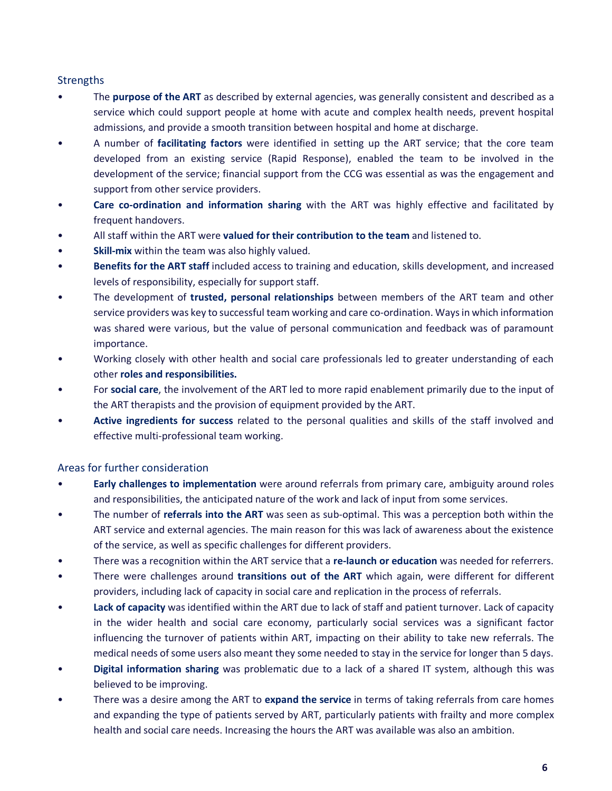#### **Strengths**

- The **purpose of the ART** as described by external agencies, was generally consistent and described as a service which could support people at home with acute and complex health needs, prevent hospital admissions, and provide a smooth transition between hospital and home at discharge.
- A number of **facilitating factors** were identified in setting up the ART service; that the core team developed from an existing service (Rapid Response), enabled the team to be involved in the development of the service; financial support from the CCG was essential as was the engagement and support from other service providers.
- **Care co-ordination and information sharing** with the ART was highly effective and facilitated by frequent handovers.
- All staff within the ART were **valued for their contribution to the team** and listened to.
- **Skill-mix** within the team was also highly valued.
- **Benefits for the ART staff** included access to training and education, skills development, and increased levels of responsibility, especially for support staff.
- The development of **trusted, personal relationships** between members of the ART team and other service providers was key to successful team working and care co-ordination. Ways in which information was shared were various, but the value of personal communication and feedback was of paramount importance.
- Working closely with other health and social care professionals led to greater understanding of each other **roles and responsibilities.**
- For **social care**, the involvement of the ART led to more rapid enablement primarily due to the input of the ART therapists and the provision of equipment provided by the ART.
- **Active ingredients for success** related to the personal qualities and skills of the staff involved and effective multi-professional team working.

#### Areas for further consideration

- **Early challenges to implementation** were around referrals from primary care, ambiguity around roles and responsibilities, the anticipated nature of the work and lack of input from some services.
- The number of **referrals into the ART** was seen as sub-optimal. This was a perception both within the ART service and external agencies. The main reason for this was lack of awareness about the existence of the service, as well as specific challenges for different providers.
- There was a recognition within the ART service that a **re-launch or education** was needed for referrers.
- There were challenges around **transitions out of the ART** which again, were different for different providers, including lack of capacity in social care and replication in the process of referrals.
- **Lack of capacity** was identified within the ART due to lack of staff and patient turnover. Lack of capacity in the wider health and social care economy, particularly social services was a significant factor influencing the turnover of patients within ART, impacting on their ability to take new referrals. The medical needs of some users also meant they some needed to stay in the service for longer than 5 days.
- **Digital information sharing** was problematic due to a lack of a shared IT system, although this was believed to be improving.
- There was a desire among the ART to **expand the service** in terms of taking referrals from care homes and expanding the type of patients served by ART, particularly patients with frailty and more complex health and social care needs. Increasing the hours the ART was available was also an ambition.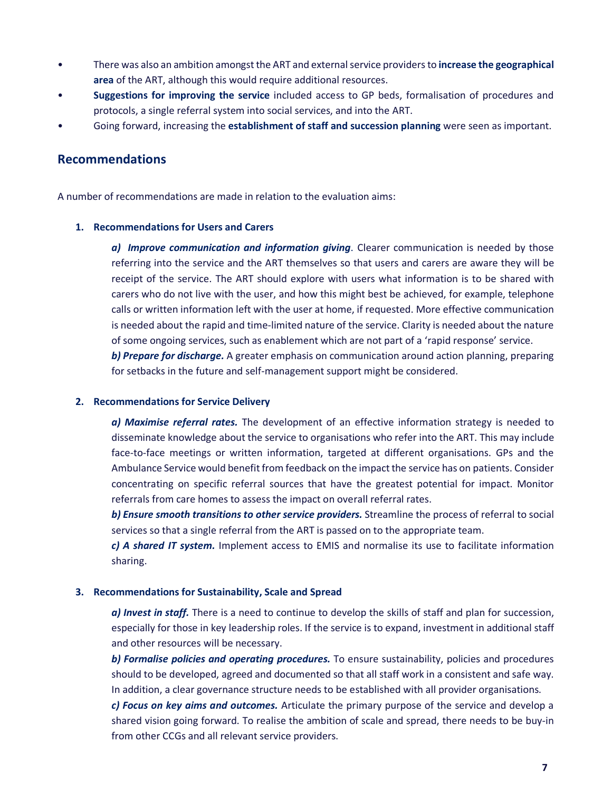- There was also an ambition amongst the ART and external service providers to **increase the geographical area** of the ART, although this would require additional resources.
- **Suggestions for improving the service** included access to GP beds, formalisation of procedures and protocols, a single referral system into social services, and into the ART.
- Going forward, increasing the **establishment of staff and succession planning** were seen as important.

#### **Recommendations**

A number of recommendations are made in relation to the evaluation aims:

#### **1. Recommendations for Users and Carers**

*a) Improve communication and information giving*. Clearer communication is needed by those referring into the service and the ART themselves so that users and carers are aware they will be receipt of the service. The ART should explore with users what information is to be shared with carers who do not live with the user, and how this might best be achieved, for example, telephone calls or written information left with the user at home, if requested. More effective communication is needed about the rapid and time-limited nature of the service. Clarity is needed about the nature of some ongoing services, such as enablement which are not part of a 'rapid response' service.

*b) Prepare for discharge.* A greater emphasis on communication around action planning, preparing for setbacks in the future and self-management support might be considered.

#### **2. Recommendations for Service Delivery**

*a) Maximise referral rates.* The development of an effective information strategy is needed to disseminate knowledge about the service to organisations who refer into the ART. This may include face-to-face meetings or written information, targeted at different organisations. GPs and the Ambulance Service would benefit from feedback on the impact the service has on patients. Consider concentrating on specific referral sources that have the greatest potential for impact. Monitor referrals from care homes to assess the impact on overall referral rates.

*b) Ensure smooth transitions to other service providers.* Streamline the process of referral to social services so that a single referral from the ART is passed on to the appropriate team.

*c) A shared IT system.* Implement access to EMIS and normalise its use to facilitate information sharing.

#### **3. Recommendations for Sustainability, Scale and Spread**

*a) Invest in staff.* There is a need to continue to develop the skills of staff and plan for succession, especially for those in key leadership roles. If the service is to expand, investment in additional staff and other resources will be necessary.

*b) Formalise policies and operating procedures.* To ensure sustainability, policies and procedures should to be developed, agreed and documented so that all staff work in a consistent and safe way. In addition, a clear governance structure needs to be established with all provider organisations.

*c) Focus on key aims and outcomes.* Articulate the primary purpose of the service and develop a shared vision going forward. To realise the ambition of scale and spread, there needs to be buy-in from other CCGs and all relevant service providers.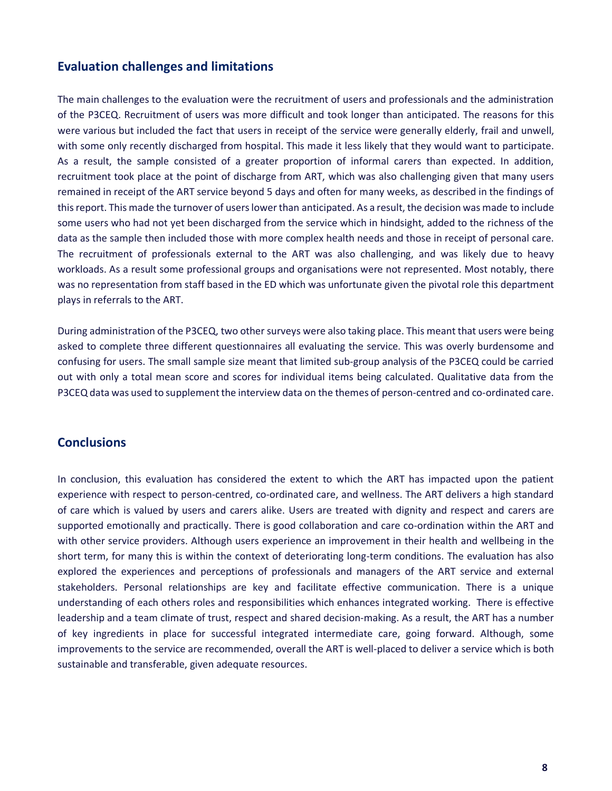#### **Evaluation challenges and limitations**

The main challenges to the evaluation were the recruitment of users and professionals and the administration of the P3CEQ. Recruitment of users was more difficult and took longer than anticipated. The reasons for this were various but included the fact that users in receipt of the service were generally elderly, frail and unwell, with some only recently discharged from hospital. This made it less likely that they would want to participate. As a result, the sample consisted of a greater proportion of informal carers than expected. In addition, recruitment took place at the point of discharge from ART, which was also challenging given that many users remained in receipt of the ART service beyond 5 days and often for many weeks, as described in the findings of this report. This made the turnover of users lower than anticipated. As a result, the decision was made to include some users who had not yet been discharged from the service which in hindsight, added to the richness of the data as the sample then included those with more complex health needs and those in receipt of personal care. The recruitment of professionals external to the ART was also challenging, and was likely due to heavy workloads. As a result some professional groups and organisations were not represented. Most notably, there was no representation from staff based in the ED which was unfortunate given the pivotal role this department plays in referrals to the ART.

During administration of the P3CEQ, two other surveys were also taking place. This meant that users were being asked to complete three different questionnaires all evaluating the service. This was overly burdensome and confusing for users. The small sample size meant that limited sub-group analysis of the P3CEQ could be carried out with only a total mean score and scores for individual items being calculated. Qualitative data from the P3CEQ data was used to supplement the interview data on the themes of person-centred and co-ordinated care.

#### **Conclusions**

In conclusion, this evaluation has considered the extent to which the ART has impacted upon the patient experience with respect to person-centred, co-ordinated care, and wellness. The ART delivers a high standard of care which is valued by users and carers alike. Users are treated with dignity and respect and carers are supported emotionally and practically. There is good collaboration and care co-ordination within the ART and with other service providers. Although users experience an improvement in their health and wellbeing in the short term, for many this is within the context of deteriorating long-term conditions. The evaluation has also explored the experiences and perceptions of professionals and managers of the ART service and external stakeholders. Personal relationships are key and facilitate effective communication. There is a unique understanding of each others roles and responsibilities which enhances integrated working. There is effective leadership and a team climate of trust, respect and shared decision-making. As a result, the ART has a number of key ingredients in place for successful integrated intermediate care, going forward. Although, some improvements to the service are recommended, overall the ART is well-placed to deliver a service which is both sustainable and transferable, given adequate resources.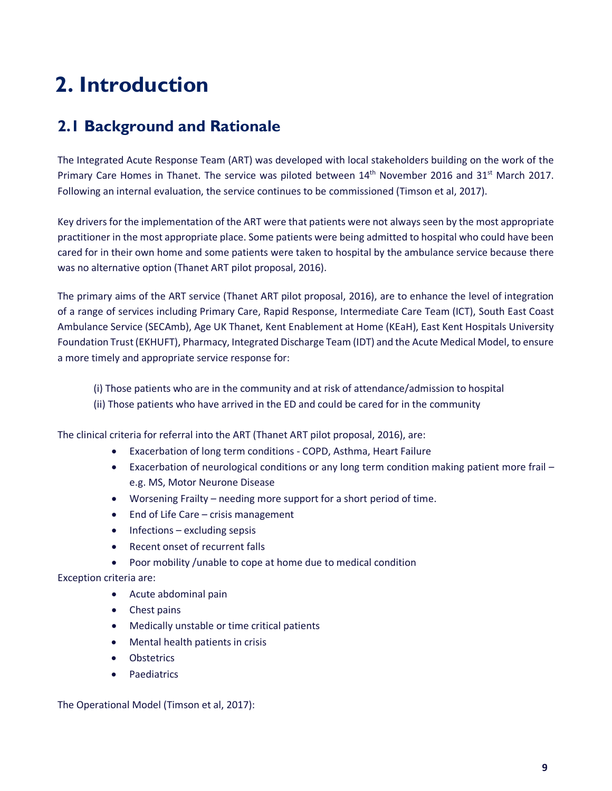# **2. Introduction**

# **2.1 Background and Rationale**

The Integrated Acute Response Team (ART) was developed with local stakeholders building on the work of the Primary Care Homes in Thanet. The service was piloted between 14<sup>th</sup> November 2016 and 31<sup>st</sup> March 2017. Following an internal evaluation, the service continues to be commissioned (Timson et al, 2017).

Key drivers for the implementation of the ART were that patients were not always seen by the most appropriate practitioner in the most appropriate place. Some patients were being admitted to hospital who could have been cared for in their own home and some patients were taken to hospital by the ambulance service because there was no alternative option (Thanet ART pilot proposal, 2016).

The primary aims of the ART service (Thanet ART pilot proposal, 2016), are to enhance the level of integration of a range of services including Primary Care, Rapid Response, Intermediate Care Team (ICT), South East Coast Ambulance Service (SECAmb), Age UK Thanet, Kent Enablement at Home (KEaH), East Kent Hospitals University Foundation Trust (EKHUFT), Pharmacy, Integrated Discharge Team (IDT) and the Acute Medical Model, to ensure a more timely and appropriate service response for:

(i) Those patients who are in the community and at risk of attendance/admission to hospital (ii) Those patients who have arrived in the ED and could be cared for in the community

The clinical criteria for referral into the ART (Thanet ART pilot proposal, 2016), are:

- Exacerbation of long term conditions COPD, Asthma, Heart Failure
- Exacerbation of neurological conditions or any long term condition making patient more frail e.g. MS, Motor Neurone Disease
- Worsening Frailty needing more support for a short period of time.
- End of Life Care crisis management
- Infections excluding sepsis
- Recent onset of recurrent falls
- Poor mobility /unable to cope at home due to medical condition

#### Exception criteria are:

- Acute abdominal pain
- Chest pains
- Medically unstable or time critical patients
- Mental health patients in crisis
- **Obstetrics**
- **Paediatrics**

#### The Operational Model (Timson et al, 2017):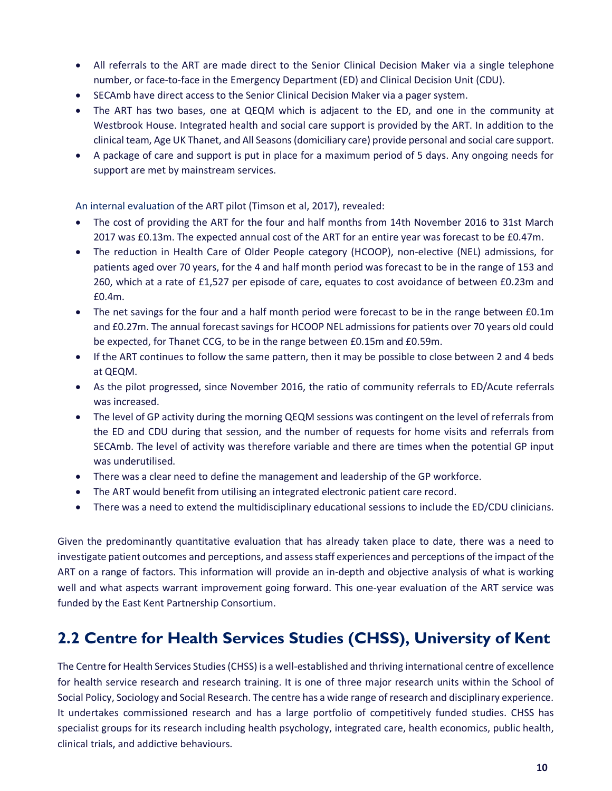- All referrals to the ART are made direct to the Senior Clinical Decision Maker via a single telephone number, or face-to-face in the Emergency Department (ED) and Clinical Decision Unit (CDU).
- SECAmb have direct access to the Senior Clinical Decision Maker via a pager system.
- The ART has two bases, one at QEQM which is adjacent to the ED, and one in the community at Westbrook House. Integrated health and social care support is provided by the ART. In addition to the clinical team, Age UK Thanet, and All Seasons (domiciliary care) provide personal and social care support.
- A package of care and support is put in place for a maximum period of 5 days. Any ongoing needs for support are met by mainstream services.

An internal evaluation of the ART pilot (Timson et al, 2017), revealed:

- The cost of providing the ART for the four and half months from 14th November 2016 to 31st March 2017 was £0.13m. The expected annual cost of the ART for an entire year was forecast to be £0.47m.
- The reduction in Health Care of Older People category (HCOOP), non-elective (NEL) admissions, for patients aged over 70 years, for the 4 and half month period was forecast to be in the range of 153 and 260, which at a rate of £1,527 per episode of care, equates to cost avoidance of between £0.23m and £0.4m.
- The net savings for the four and a half month period were forecast to be in the range between £0.1m and £0.27m. The annual forecast savings for HCOOP NEL admissions for patients over 70 years old could be expected, for Thanet CCG, to be in the range between £0.15m and £0.59m.
- If the ART continues to follow the same pattern, then it may be possible to close between 2 and 4 beds at QEQM.
- As the pilot progressed, since November 2016, the ratio of community referrals to ED/Acute referrals was increased.
- The level of GP activity during the morning QEQM sessions was contingent on the level of referrals from the ED and CDU during that session, and the number of requests for home visits and referrals from SECAmb. The level of activity was therefore variable and there are times when the potential GP input was underutilised.
- There was a clear need to define the management and leadership of the GP workforce.
- The ART would benefit from utilising an integrated electronic patient care record.
- There was a need to extend the multidisciplinary educational sessions to include the ED/CDU clinicians.

Given the predominantly quantitative evaluation that has already taken place to date, there was a need to investigate patient outcomes and perceptions, and assess staff experiences and perceptions of the impact of the ART on a range of factors. This information will provide an in-depth and objective analysis of what is working well and what aspects warrant improvement going forward. This one-year evaluation of the ART service was funded by the East Kent Partnership Consortium.

### **2.2 Centre for Health Services Studies (CHSS), University of Kent**

The Centre for Health Services Studies (CHSS) is a well-established and thriving international centre of excellence for health service research and research training. It is one of three major research units within the School of Social Policy, Sociology and Social Research. The centre has a wide range of research and disciplinary experience. It undertakes commissioned research and has a large portfolio of competitively funded studies. CHSS has specialist groups for its research including health psychology, integrated care, health economics, public health, clinical trials, and addictive behaviours.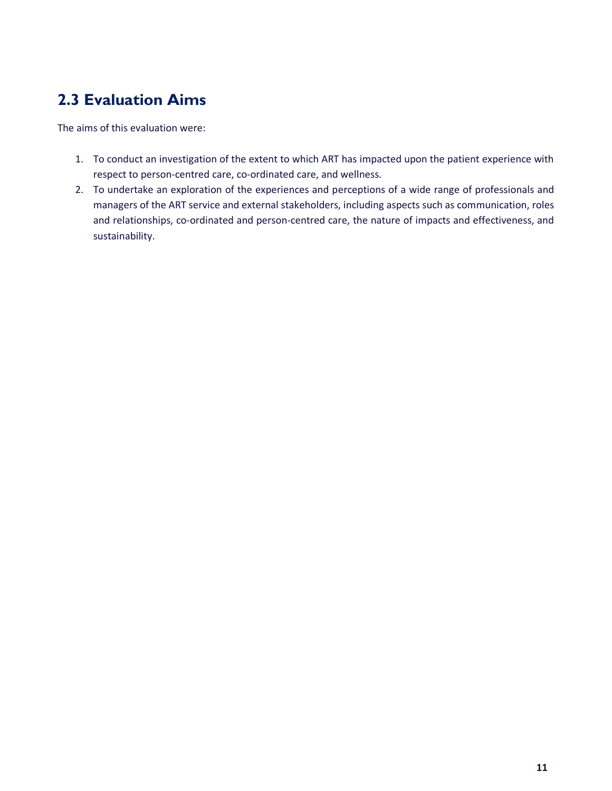# **2.3 Evaluation Aims**

The aims of this evaluation were:

- 1. To conduct an investigation of the extent to which ART has impacted upon the patient experience with respect to person-centred care, co-ordinated care, and wellness.
- 2. To undertake an exploration of the experiences and perceptions of a wide range of professionals and managers of the ART service and external stakeholders, including aspects such as communication, roles and relationships, co-ordinated and person-centred care, the nature of impacts and effectiveness, and sustainability.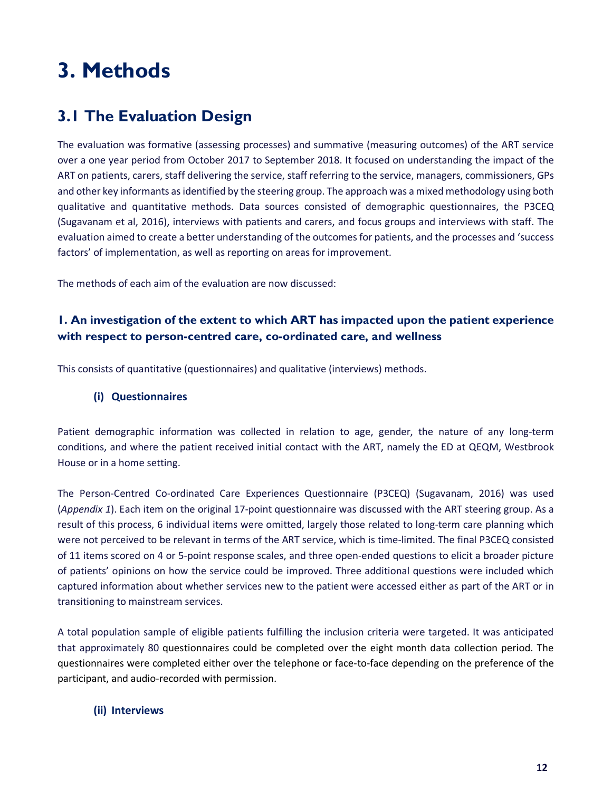# **3. Methods**

# **3.1 The Evaluation Design**

The evaluation was formative (assessing processes) and summative (measuring outcomes) of the ART service over a one year period from October 2017 to September 2018. It focused on understanding the impact of the ART on patients, carers, staff delivering the service, staff referring to the service, managers, commissioners, GPs and other key informants as identified by the steering group. The approach was a mixed methodology using both qualitative and quantitative methods. Data sources consisted of demographic questionnaires, the P3CEQ (Sugavanam et al, 2016), interviews with patients and carers, and focus groups and interviews with staff. The evaluation aimed to create a better understanding of the outcomes for patients, and the processes and 'success factors' of implementation, as well as reporting on areas for improvement.

The methods of each aim of the evaluation are now discussed:

#### **1. An investigation of the extent to which ART has impacted upon the patient experience with respect to person-centred care, co-ordinated care, and wellness**

This consists of quantitative (questionnaires) and qualitative (interviews) methods.

#### **(i) Questionnaires**

Patient demographic information was collected in relation to age, gender, the nature of any long-term conditions, and where the patient received initial contact with the ART, namely the ED at QEQM, Westbrook House or in a home setting.

The Person-Centred Co-ordinated Care Experiences Questionnaire (P3CEQ) (Sugavanam, 2016) was used (*Appendix 1*). Each item on the original 17-point questionnaire was discussed with the ART steering group. As a result of this process, 6 individual items were omitted, largely those related to long-term care planning which were not perceived to be relevant in terms of the ART service, which is time-limited. The final P3CEQ consisted of 11 items scored on 4 or 5-point response scales, and three open-ended questions to elicit a broader picture of patients' opinions on how the service could be improved. Three additional questions were included which captured information about whether services new to the patient were accessed either as part of the ART or in transitioning to mainstream services.

A total population sample of eligible patients fulfilling the inclusion criteria were targeted. It was anticipated that approximately 80 questionnaires could be completed over the eight month data collection period. The questionnaires were completed either over the telephone or face-to-face depending on the preference of the participant, and audio-recorded with permission.

#### **(ii) Interviews**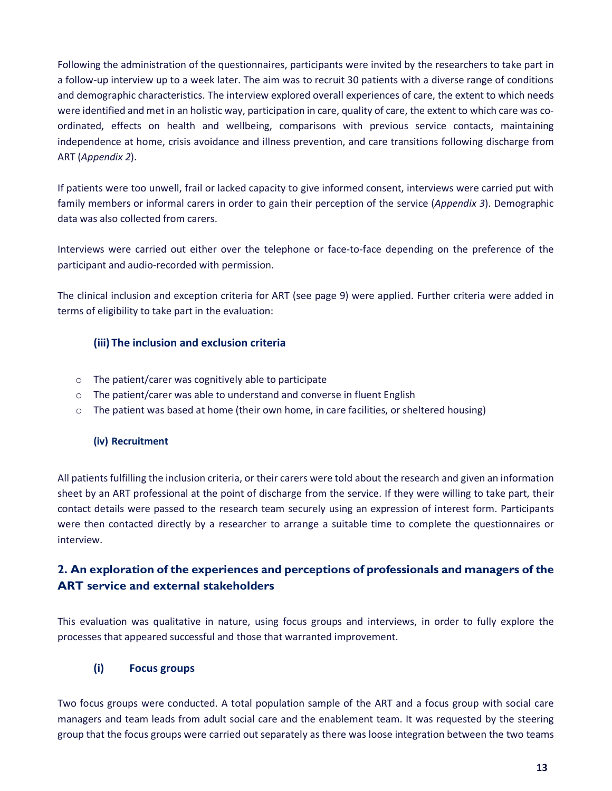Following the administration of the questionnaires, participants were invited by the researchers to take part in a follow-up interview up to a week later. The aim was to recruit 30 patients with a diverse range of conditions and demographic characteristics. The interview explored overall experiences of care, the extent to which needs were identified and met in an holistic way, participation in care, quality of care, the extent to which care was coordinated, effects on health and wellbeing, comparisons with previous service contacts, maintaining independence at home, crisis avoidance and illness prevention, and care transitions following discharge from ART (*Appendix 2*).

If patients were too unwell, frail or lacked capacity to give informed consent, interviews were carried put with family members or informal carers in order to gain their perception of the service (*Appendix 3*). Demographic data was also collected from carers.

Interviews were carried out either over the telephone or face-to-face depending on the preference of the participant and audio-recorded with permission.

The clinical inclusion and exception criteria for ART (see page 9) were applied. Further criteria were added in terms of eligibility to take part in the evaluation:

#### **(iii) The inclusion and exclusion criteria**

- o The patient/carer was cognitively able to participate
- o The patient/carer was able to understand and converse in fluent English
- $\circ$  The patient was based at home (their own home, in care facilities, or sheltered housing)

#### **(iv) Recruitment**

All patients fulfilling the inclusion criteria, or their carers were told about the research and given an information sheet by an ART professional at the point of discharge from the service. If they were willing to take part, their contact details were passed to the research team securely using an expression of interest form. Participants were then contacted directly by a researcher to arrange a suitable time to complete the questionnaires or interview.

#### **2. An exploration of the experiences and perceptions of professionals and managers of the ART service and external stakeholders**

This evaluation was qualitative in nature, using focus groups and interviews, in order to fully explore the processes that appeared successful and those that warranted improvement.

#### **(i) Focus groups**

Two focus groups were conducted. A total population sample of the ART and a focus group with social care managers and team leads from adult social care and the enablement team. It was requested by the steering group that the focus groups were carried out separately as there was loose integration between the two teams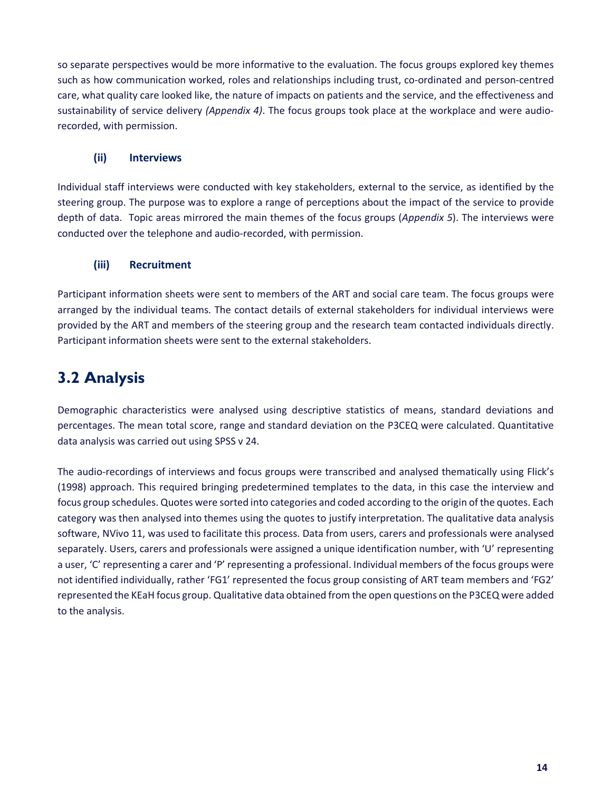so separate perspectives would be more informative to the evaluation. The focus groups explored key themes such as how communication worked, roles and relationships including trust, co-ordinated and person-centred care, what quality care looked like, the nature of impacts on patients and the service, and the effectiveness and sustainability of service delivery *(Appendix 4)*. The focus groups took place at the workplace and were audiorecorded, with permission.

#### **(ii) Interviews**

Individual staff interviews were conducted with key stakeholders, external to the service, as identified by the steering group. The purpose was to explore a range of perceptions about the impact of the service to provide depth of data. Topic areas mirrored the main themes of the focus groups (*Appendix 5*). The interviews were conducted over the telephone and audio-recorded, with permission.

#### **(iii) Recruitment**

Participant information sheets were sent to members of the ART and social care team. The focus groups were arranged by the individual teams. The contact details of external stakeholders for individual interviews were provided by the ART and members of the steering group and the research team contacted individuals directly. Participant information sheets were sent to the external stakeholders.

# **3.2 Analysis**

Demographic characteristics were analysed using descriptive statistics of means, standard deviations and percentages. The mean total score, range and standard deviation on the P3CEQ were calculated. Quantitative data analysis was carried out using SPSS v 24.

The audio-recordings of interviews and focus groups were transcribed and analysed thematically using Flick's (1998) approach. This required bringing predetermined templates to the data, in this case the interview and focus group schedules. Quotes were sorted into categories and coded according to the origin of the quotes. Each category was then analysed into themes using the quotes to justify interpretation. The qualitative data analysis software, NVivo 11, was used to facilitate this process. Data from users, carers and professionals were analysed separately. Users, carers and professionals were assigned a unique identification number, with 'U' representing a user, 'C' representing a carer and 'P' representing a professional. Individual members of the focus groups were not identified individually, rather 'FG1' represented the focus group consisting of ART team members and 'FG2' represented the KEaH focus group. Qualitative data obtained from the open questions on the P3CEQ were added to the analysis.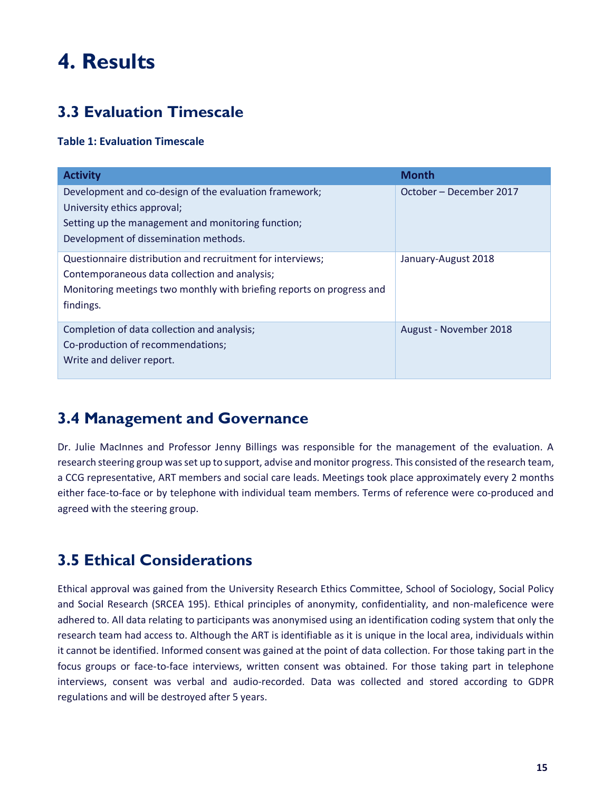# **4. Results**

# **3.3 Evaluation Timescale**

#### **Table 1: Evaluation Timescale**

| <b>Activity</b>                                                       | <b>Month</b>            |
|-----------------------------------------------------------------------|-------------------------|
| Development and co-design of the evaluation framework;                | October – December 2017 |
| University ethics approval;                                           |                         |
| Setting up the management and monitoring function;                    |                         |
| Development of dissemination methods.                                 |                         |
| Questionnaire distribution and recruitment for interviews;            | January-August 2018     |
| Contemporaneous data collection and analysis;                         |                         |
| Monitoring meetings two monthly with briefing reports on progress and |                         |
| findings.                                                             |                         |
| Completion of data collection and analysis;                           | August - November 2018  |
| Co-production of recommendations;                                     |                         |
| Write and deliver report.                                             |                         |

### **3.4 Management and Governance**

Dr. Julie MacInnes and Professor Jenny Billings was responsible for the management of the evaluation. A research steering group was set up to support, advise and monitor progress. This consisted of the research team, a CCG representative, ART members and social care leads. Meetings took place approximately every 2 months either face-to-face or by telephone with individual team members. Terms of reference were co-produced and agreed with the steering group.

# **3.5 Ethical Considerations**

Ethical approval was gained from the University Research Ethics Committee, School of Sociology, Social Policy and Social Research (SRCEA 195). Ethical principles of anonymity, confidentiality, and non-maleficence were adhered to. All data relating to participants was anonymised using an identification coding system that only the research team had access to. Although the ART is identifiable as it is unique in the local area, individuals within it cannot be identified. Informed consent was gained at the point of data collection. For those taking part in the focus groups or face-to-face interviews, written consent was obtained. For those taking part in telephone interviews, consent was verbal and audio-recorded. Data was collected and stored according to GDPR regulations and will be destroyed after 5 years.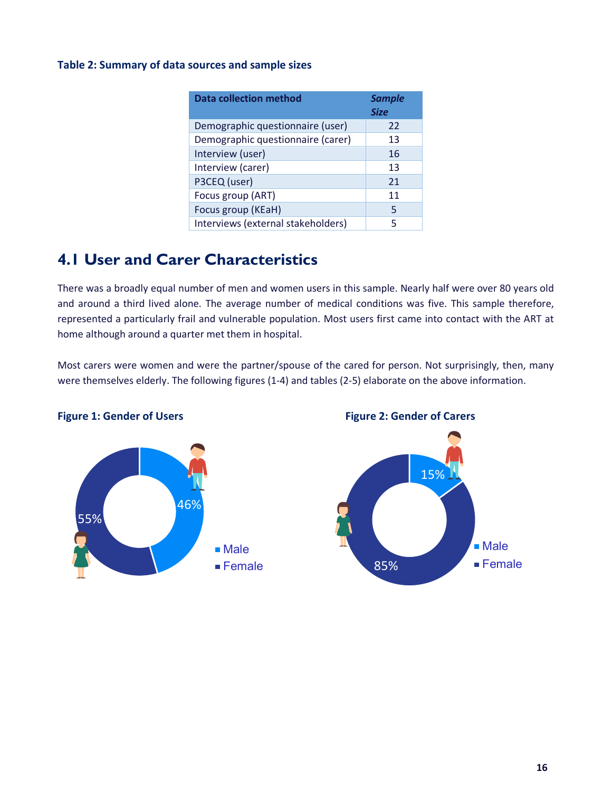#### **Table 2: Summary of data sources and sample sizes**

| Data collection method             | <b>Sample</b><br><b>Size</b> |
|------------------------------------|------------------------------|
| Demographic questionnaire (user)   | 22                           |
| Demographic questionnaire (carer)  | 13                           |
| Interview (user)                   | 16                           |
| Interview (carer)                  | 13                           |
| P3CEQ (user)                       | 21                           |
| Focus group (ART)                  | 11                           |
| Focus group (KEaH)                 | 5                            |
| Interviews (external stakeholders) | 5                            |

# **4.1 User and Carer Characteristics**

There was a broadly equal number of men and women users in this sample. Nearly half were over 80 years old and around a third lived alone. The average number of medical conditions was five. This sample therefore, represented a particularly frail and vulnerable population. Most users first came into contact with the ART at home although around a quarter met them in hospital.

Most carers were women and were the partner/spouse of the cared for person. Not surprisingly, then, many were themselves elderly. The following figures (1-4) and tables (2-5) elaborate on the above information.

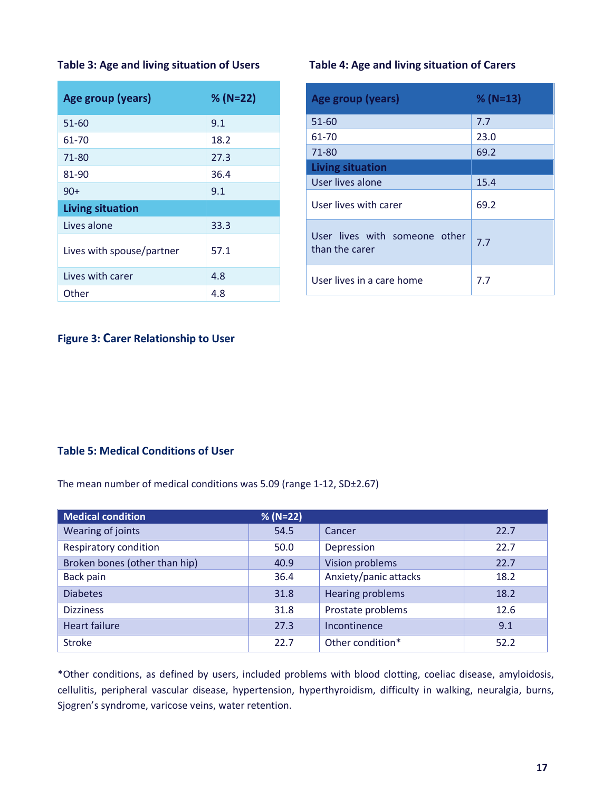| Age group (years)         | $% (N=22)$ |
|---------------------------|------------|
| $51 - 60$                 | 9.1        |
| 61-70                     | 18.2       |
| 71-80                     | 27.3       |
| 81-90                     | 36.4       |
| $90+$                     | 9.1        |
| <b>Living situation</b>   |            |
| Lives alone               | 33.3       |
| Lives with spouse/partner | 57.1       |
| Lives with carer          | 4.8        |
| Other                     | 4.8        |

#### **Table 3: Age and living situation of Users Table 4: Age and living situation of Carers**

| <b>Age group (years)</b>                        | $% (N=13)$ |
|-------------------------------------------------|------------|
| 51-60                                           | 7.7        |
| 61-70                                           | 23.0       |
| 71-80                                           | 69.2       |
| <b>Living situation</b>                         |            |
| User lives alone                                | 15.4       |
| User lives with carer                           | 69.2       |
| User lives with someone other<br>than the carer | 7.7        |
| User lives in a care home                       | 7.7        |

#### **Figure 3: Carer Relationship to User**

#### **Table 5: Medical Conditions of User**

The mean number of medical conditions was 5.09 (range 1-12, SD±2.67)

| <b>Medical condition</b>      | $% (N=22)$ |                         |      |
|-------------------------------|------------|-------------------------|------|
| Wearing of joints             | 54.5       | Cancer                  | 22.7 |
| Respiratory condition         | 50.0       | Depression              | 22.7 |
| Broken bones (other than hip) | 40.9       | Vision problems         | 22.7 |
| Back pain                     | 36.4       | Anxiety/panic attacks   | 18.2 |
| <b>Diabetes</b>               | 31.8       | <b>Hearing problems</b> | 18.2 |
| <b>Dizziness</b>              | 31.8       | Prostate problems       | 12.6 |
| <b>Heart failure</b>          | 27.3       | Incontinence            | 9.1  |
| <b>Stroke</b>                 | 22.7       | Other condition*        | 52.2 |

\*Other conditions, as defined by users, included problems with blood clotting, coeliac disease, amyloidosis, cellulitis, peripheral vascular disease, hypertension, hyperthyroidism, difficulty in walking, neuralgia, burns, Sjogren's syndrome, varicose veins, water retention.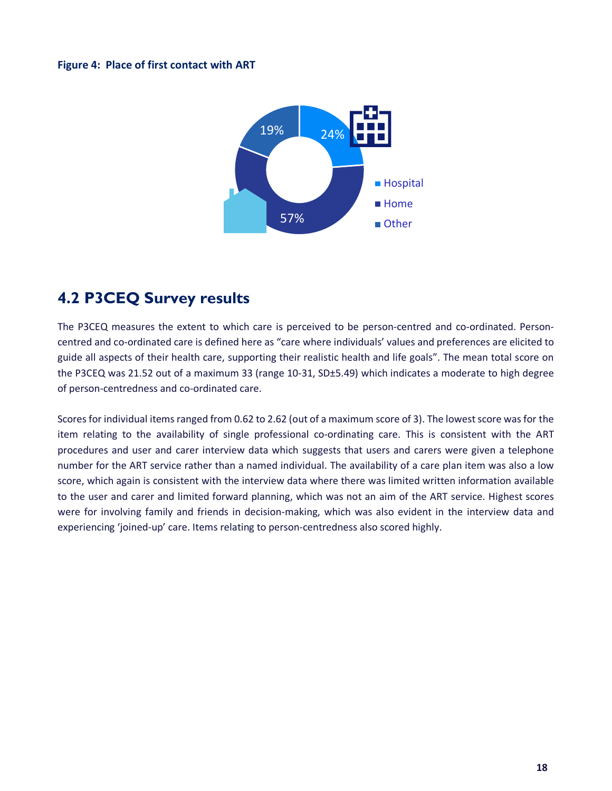#### **Figure 4: Place of first contact with ART**



### **4.2 P3CEQ Survey results**

The P3CEQ measures the extent to which care is perceived to be person-centred and co-ordinated. Personcentred and co-ordinated care is defined here as "care where individuals' values and preferences are elicited to guide all aspects of their health care, supporting their realistic health and life goals". The mean total score on the P3CEQ was 21.52 out of a maximum 33 (range 10-31, SD±5.49) which indicates a moderate to high degree of person-centredness and co-ordinated care.

Scores for individual items ranged from 0.62 to 2.62 (out of a maximum score of 3). The lowest score was for the item relating to the availability of single professional co-ordinating care. This is consistent with the ART procedures and user and carer interview data which suggests that users and carers were given a telephone number for the ART service rather than a named individual. The availability of a care plan item was also a low score, which again is consistent with the interview data where there was limited written information available to the user and carer and limited forward planning, which was not an aim of the ART service. Highest scores were for involving family and friends in decision-making, which was also evident in the interview data and experiencing 'joined-up' care. Items relating to person-centredness also scored highly.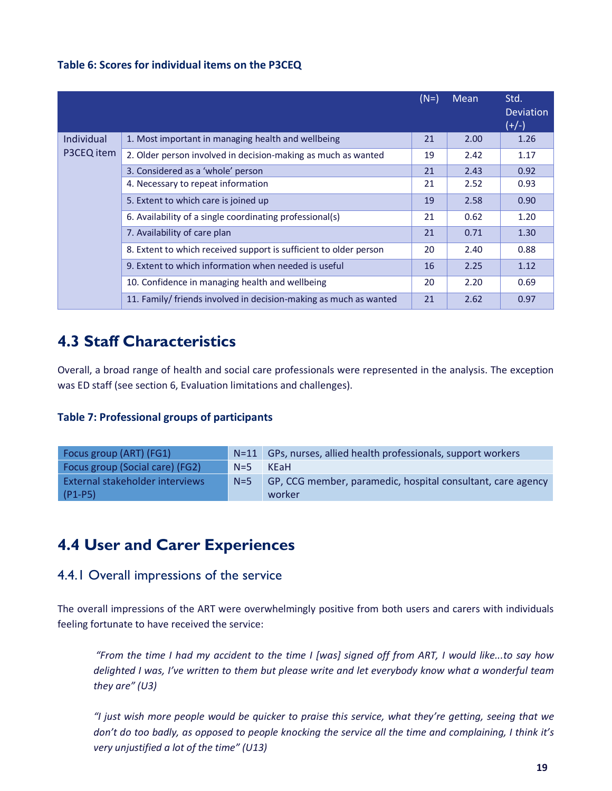#### **Table 6: Scores for individual items on the P3CEQ**

|            |                                                                   | $(N=)$ | Mean | Std.<br><b>Deviation</b><br>$(+/-)$ |
|------------|-------------------------------------------------------------------|--------|------|-------------------------------------|
| Individual | 1. Most important in managing health and wellbeing                | 21     | 2.00 | 1.26                                |
| P3CEQ item | 2. Older person involved in decision-making as much as wanted     | 19     | 2.42 | 1.17                                |
|            | 3. Considered as a 'whole' person                                 | 21     | 2.43 | 0.92                                |
|            | 4. Necessary to repeat information                                | 21     | 2.52 | 0.93                                |
|            | 5. Extent to which care is joined up                              | 19     | 2.58 | 0.90                                |
|            | 6. Availability of a single coordinating professional(s)          | 21     | 0.62 | 1.20                                |
|            | 7. Availability of care plan                                      | 21     | 0.71 | 1.30                                |
|            | 8. Extent to which received support is sufficient to older person | 20     | 2.40 | 0.88                                |
|            | 9. Extent to which information when needed is useful              | 16     | 2.25 | 1.12                                |
|            | 10. Confidence in managing health and wellbeing                   | 20     | 2.20 | 0.69                                |
|            | 11. Family/ friends involved in decision-making as much as wanted | 21     | 2.62 | 0.97                                |

### **4.3 Staff Characteristics**

Overall, a broad range of health and social care professionals were represented in the analysis. The exception was ED staff (see section 6, Evaluation limitations and challenges).

#### **Table 7: Professional groups of participants**

| Focus group (ART) (FG1)                | $N=11$ | GPs, nurses, allied health professionals, support workers   |
|----------------------------------------|--------|-------------------------------------------------------------|
| <b>Focus group (Social care) (FG2)</b> | $N=5$  | <b>KE</b> aH                                                |
| <b>External stakeholder interviews</b> | $N=5$  | GP, CCG member, paramedic, hospital consultant, care agency |
| $(P1-P5)$                              |        | worker                                                      |

### **4.4 User and Carer Experiences**

#### 4.4.1 Overall impressions of the service

The overall impressions of the ART were overwhelmingly positive from both users and carers with individuals feeling fortunate to have received the service:

*"From the time I had my accident to the time I [was] signed off from ART, I would like...to say how delighted I was, I've written to them but please write and let everybody know what a wonderful team they are" (U3)*

*"I just wish more people would be quicker to praise this service, what they're getting, seeing that we don't do too badly, as opposed to people knocking the service all the time and complaining, I think it's very unjustified a lot of the time" (U13)*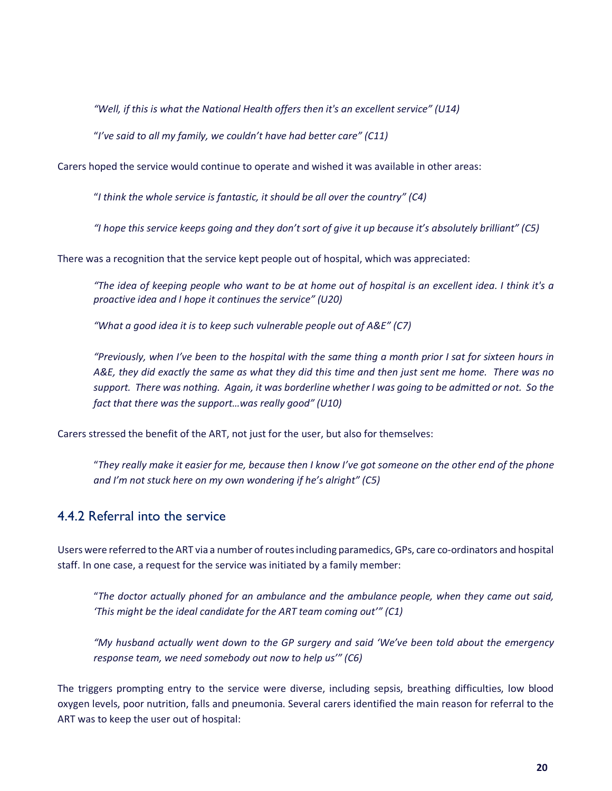*"Well, if this is what the National Health offers then it's an excellent service" (U14)*

"*I've said to all my family, we couldn't have had better care" (C11)*

Carers hoped the service would continue to operate and wished it was available in other areas:

"*I think the whole service is fantastic, it should be all over the country" (C4)*

*"I hope this service keeps going and they don't sort of give it up because it's absolutely brilliant" (C5)*

There was a recognition that the service kept people out of hospital, which was appreciated:

*"The idea of keeping people who want to be at home out of hospital is an excellent idea. I think it's a proactive idea and I hope it continues the service" (U20)*

*"What a good idea it is to keep such vulnerable people out of A&E" (C7)*

*"Previously, when I've been to the hospital with the same thing a month prior I sat for sixteen hours in A&E, they did exactly the same as what they did this time and then just sent me home. There was no support. There was nothing. Again, it was borderline whether I was going to be admitted or not. So the fact that there was the support…was really good" (U10)*

Carers stressed the benefit of the ART, not just for the user, but also for themselves:

"*They really make it easier for me, because then I know I've got someone on the other end of the phone and I'm not stuck here on my own wondering if he's alright" (C5)*

#### 4.4.2 Referral into the service

Users were referred to the ART via a number of routes including paramedics, GPs, care co-ordinators and hospital staff. In one case, a request for the service was initiated by a family member:

"*The doctor actually phoned for an ambulance and the ambulance people, when they came out said, 'This might be the ideal candidate for the ART team coming out'" (C1)*

*"My husband actually went down to the GP surgery and said 'We've been told about the emergency response team, we need somebody out now to help us'" (C6)*

The triggers prompting entry to the service were diverse, including sepsis, breathing difficulties, low blood oxygen levels, poor nutrition, falls and pneumonia. Several carers identified the main reason for referral to the ART was to keep the user out of hospital: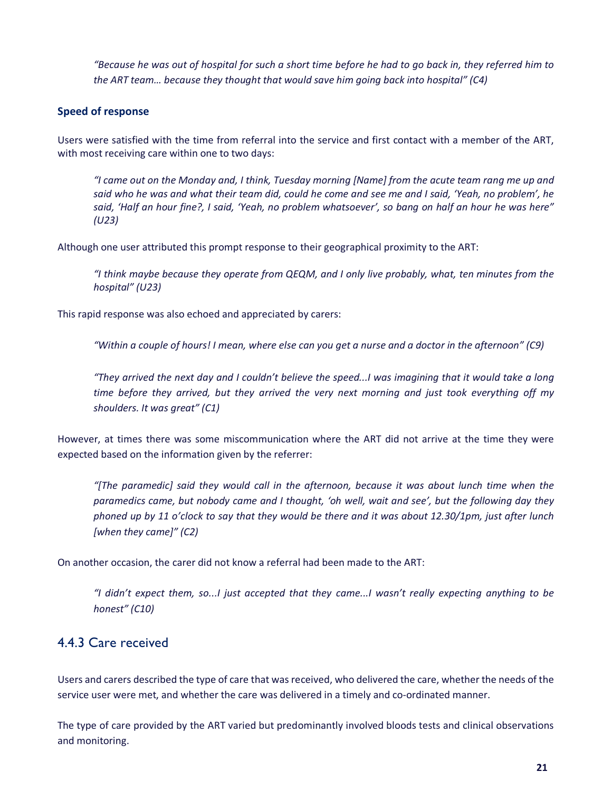*"Because he was out of hospital for such a short time before he had to go back in, they referred him to the ART team… because they thought that would save him going back into hospital" (C4)*

#### **Speed of response**

Users were satisfied with the time from referral into the service and first contact with a member of the ART, with most receiving care within one to two days:

*"I came out on the Monday and, I think, Tuesday morning [Name] from the acute team rang me up and said who he was and what their team did, could he come and see me and I said, 'Yeah, no problem', he said, 'Half an hour fine?, I said, 'Yeah, no problem whatsoever', so bang on half an hour he was here" (U23)*

Although one user attributed this prompt response to their geographical proximity to the ART:

*"I think maybe because they operate from QEQM, and I only live probably, what, ten minutes from the hospital" (U23)*

This rapid response was also echoed and appreciated by carers:

*"Within a couple of hours! I mean, where else can you get a nurse and a doctor in the afternoon" (C9)*

*"They arrived the next day and I couldn't believe the speed...I was imagining that it would take a long time before they arrived, but they arrived the very next morning and just took everything off my shoulders. It was great" (C1)*

However, at times there was some miscommunication where the ART did not arrive at the time they were expected based on the information given by the referrer:

*"[The paramedic] said they would call in the afternoon, because it was about lunch time when the paramedics came, but nobody came and I thought, 'oh well, wait and see', but the following day they phoned up by 11 o'clock to say that they would be there and it was about 12.30/1pm, just after lunch [when they came]" (C2)*

On another occasion, the carer did not know a referral had been made to the ART:

*"I didn't expect them, so...I just accepted that they came...I wasn't really expecting anything to be honest" (C10)*

### 4.4.3 Care received

Users and carers described the type of care that was received, who delivered the care, whether the needs of the service user were met, and whether the care was delivered in a timely and co-ordinated manner.

The type of care provided by the ART varied but predominantly involved bloods tests and clinical observations and monitoring.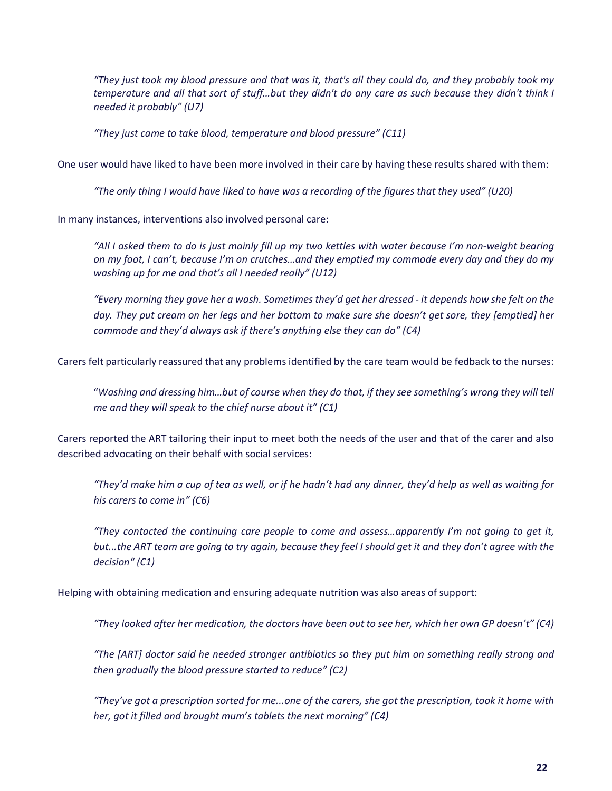*"They just took my blood pressure and that was it, that's all they could do, and they probably took my temperature and all that sort of stuff…but they didn't do any care as such because they didn't think I needed it probably" (U7)*

*"They just came to take blood, temperature and blood pressure" (C11)*

One user would have liked to have been more involved in their care by having these results shared with them:

*"The only thing I would have liked to have was a recording of the figures that they used" (U20)*

In many instances, interventions also involved personal care:

*"All I asked them to do is just mainly fill up my two kettles with water because I'm non-weight bearing on my foot, I can't, because I'm on crutches…and they emptied my commode every day and they do my washing up for me and that's all I needed really" (U12)*

*"Every morning they gave her a wash. Sometimes they'd get her dressed - it depends how she felt on the day. They put cream on her legs and her bottom to make sure she doesn't get sore, they [emptied] her commode and they'd always ask if there's anything else they can do" (C4)*

Carers felt particularly reassured that any problems identified by the care team would be fedback to the nurses:

"*Washing and dressing him…but of course when they do that, if they see something's wrong they will tell me and they will speak to the chief nurse about it" (C1)*

Carers reported the ART tailoring their input to meet both the needs of the user and that of the carer and also described advocating on their behalf with social services:

*"They'd make him a cup of tea as well, or if he hadn't had any dinner, they'd help as well as waiting for his carers to come in" (C6)*

*"They contacted the continuing care people to come and assess…apparently I'm not going to get it, but...the ART team are going to try again, because they feel I should get it and they don't agree with the decision" (C1)*

Helping with obtaining medication and ensuring adequate nutrition was also areas of support:

*"They looked after her medication, the doctors have been out to see her, which her own GP doesn't" (C4)*

*"The [ART] doctor said he needed stronger antibiotics so they put him on something really strong and then gradually the blood pressure started to reduce" (C2)* 

*"They've got a prescription sorted for me...one of the carers, she got the prescription, took it home with her, got it filled and brought mum's tablets the next morning" (C4)*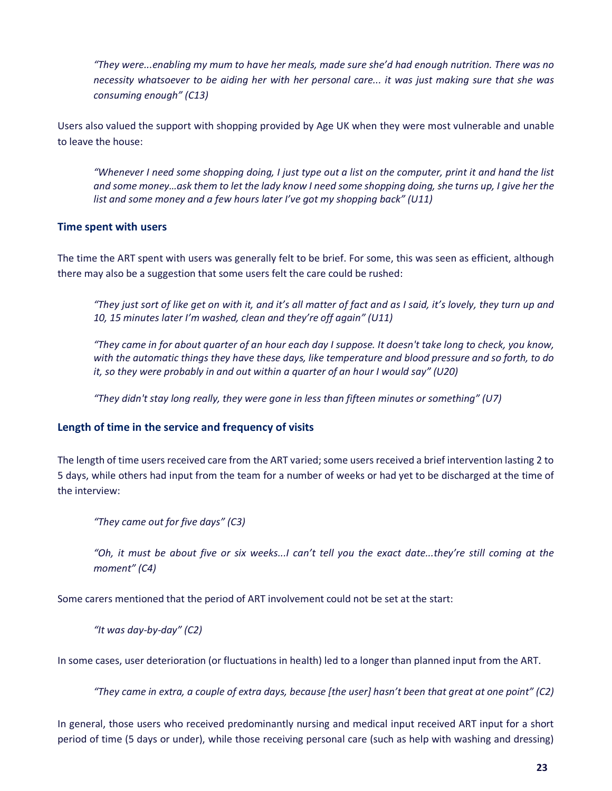*"They were...enabling my mum to have her meals, made sure she'd had enough nutrition. There was no necessity whatsoever to be aiding her with her personal care... it was just making sure that she was consuming enough" (C13)*

Users also valued the support with shopping provided by Age UK when they were most vulnerable and unable to leave the house:

*"Whenever I need some shopping doing, I just type out a list on the computer, print it and hand the list and some money…ask them to let the lady know I need some shopping doing, she turns up, I give her the list and some money and a few hours later I've got my shopping back" (U11)*

#### **Time spent with users**

The time the ART spent with users was generally felt to be brief. For some, this was seen as efficient, although there may also be a suggestion that some users felt the care could be rushed:

*"They just sort of like get on with it, and it's all matter of fact and as I said, it's lovely, they turn up and 10, 15 minutes later I'm washed, clean and they're off again" (U11)*

*"They came in for about quarter of an hour each day I suppose. It doesn't take long to check, you know, with the automatic things they have these days, like temperature and blood pressure and so forth, to do it, so they were probably in and out within a quarter of an hour I would say" (U20)*

*"They didn't stay long really, they were gone in less than fifteen minutes or something" (U7)*

#### **Length of time in the service and frequency of visits**

The length of time users received care from the ART varied; some users received a brief intervention lasting 2 to 5 days, while others had input from the team for a number of weeks or had yet to be discharged at the time of the interview:

*"They came out for five days" (C3)*

*"Oh, it must be about five or six weeks...I can't tell you the exact date...they're still coming at the moment" (C4)*

Some carers mentioned that the period of ART involvement could not be set at the start:

*"It was day-by-day" (C2)*

In some cases, user deterioration (or fluctuations in health) led to a longer than planned input from the ART.

*"They came in extra, a couple of extra days, because [the user] hasn't been that great at one point" (C2)*

In general, those users who received predominantly nursing and medical input received ART input for a short period of time (5 days or under), while those receiving personal care (such as help with washing and dressing)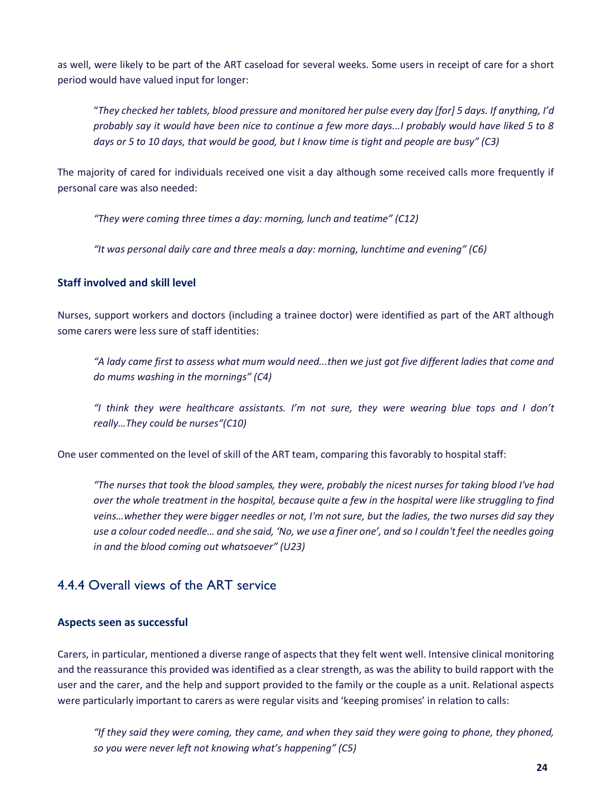as well, were likely to be part of the ART caseload for several weeks. Some users in receipt of care for a short period would have valued input for longer:

"*They checked her tablets, blood pressure and monitored her pulse every day [for] 5 days. If anything, I'd probably say it would have been nice to continue a few more days...I probably would have liked 5 to 8 days or 5 to 10 days, that would be good, but I know time is tight and people are busy" (C3)*

The majority of cared for individuals received one visit a day although some received calls more frequently if personal care was also needed:

*"They were coming three times a day: morning, lunch and teatime" (C12)*

*"It was personal daily care and three meals a day: morning, lunchtime and evening" (C6)*

#### **Staff involved and skill level**

Nurses, support workers and doctors (including a trainee doctor) were identified as part of the ART although some carers were less sure of staff identities:

*"A lady came first to assess what mum would need...then we just got five different ladies that come and do mums washing in the mornings" (C4)*

*"I think they were healthcare assistants. I'm not sure, they were wearing blue tops and I don't really…They could be nurses"(C10)*

One user commented on the level of skill of the ART team, comparing this favorably to hospital staff:

*"The nurses that took the blood samples, they were, probably the nicest nurses for taking blood I've had over the whole treatment in the hospital, because quite a few in the hospital were like struggling to find veins…whether they were bigger needles or not, I'm not sure, but the ladies, the two nurses did say they use a colour coded needle… and she said, 'No, we use a finer one', and so I couldn't feel the needles going in and the blood coming out whatsoever" (U23)*

### 4.4.4 Overall views of the ART service

#### **Aspects seen as successful**

Carers, in particular, mentioned a diverse range of aspects that they felt went well. Intensive clinical monitoring and the reassurance this provided was identified as a clear strength, as was the ability to build rapport with the user and the carer, and the help and support provided to the family or the couple as a unit. Relational aspects were particularly important to carers as were regular visits and 'keeping promises' in relation to calls:

*"If they said they were coming, they came, and when they said they were going to phone, they phoned, so you were never left not knowing what's happening" (C5)*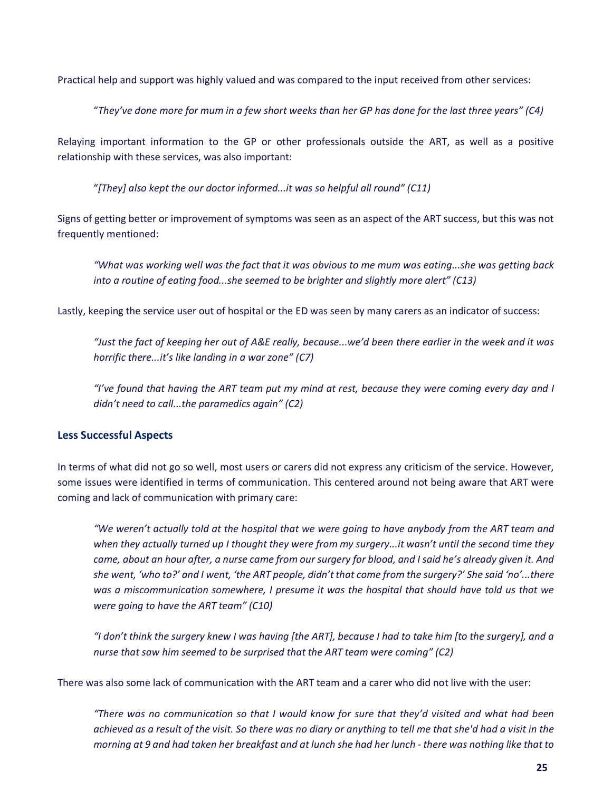Practical help and support was highly valued and was compared to the input received from other services:

"*They've done more for mum in a few short weeks than her GP has done for the last three years" (C4)*

Relaying important information to the GP or other professionals outside the ART, as well as a positive relationship with these services, was also important:

"*[They] also kept the our doctor informed...it was so helpful all round" (C11)*

Signs of getting better or improvement of symptoms was seen as an aspect of the ART success, but this was not frequently mentioned:

*"What was working well was the fact that it was obvious to me mum was eating...she was getting back into a routine of eating food...she seemed to be brighter and slightly more alert" (C13)*

Lastly, keeping the service user out of hospital or the ED was seen by many carers as an indicator of success:

*"Just the fact of keeping her out of A&E really, because...we'd been there earlier in the week and it was horrific there...it's like landing in a war zone" (C7)*

*"I've found that having the ART team put my mind at rest, because they were coming every day and I didn't need to call...the paramedics again" (C2)*

#### **Less Successful Aspects**

In terms of what did not go so well, most users or carers did not express any criticism of the service. However, some issues were identified in terms of communication. This centered around not being aware that ART were coming and lack of communication with primary care:

*"We weren't actually told at the hospital that we were going to have anybody from the ART team and when they actually turned up I thought they were from my surgery...it wasn't until the second time they came, about an hour after, a nurse came from our surgery for blood, and I said he's already given it. And she went, 'who to?' and I went, 'the ART people, didn't that come from the surgery?' She said 'no'...there was a miscommunication somewhere, I presume it was the hospital that should have told us that we were going to have the ART team" (C10)*

*"I don't think the surgery knew I was having [the ART], because I had to take him [to the surgery], and a nurse that saw him seemed to be surprised that the ART team were coming" (C2)*

There was also some lack of communication with the ART team and a carer who did not live with the user:

*"There was no communication so that I would know for sure that they'd visited and what had been achieved as a result of the visit. So there was no diary or anything to tell me that she'd had a visit in the morning at 9 and had taken her breakfast and at lunch she had her lunch - there was nothing like that to*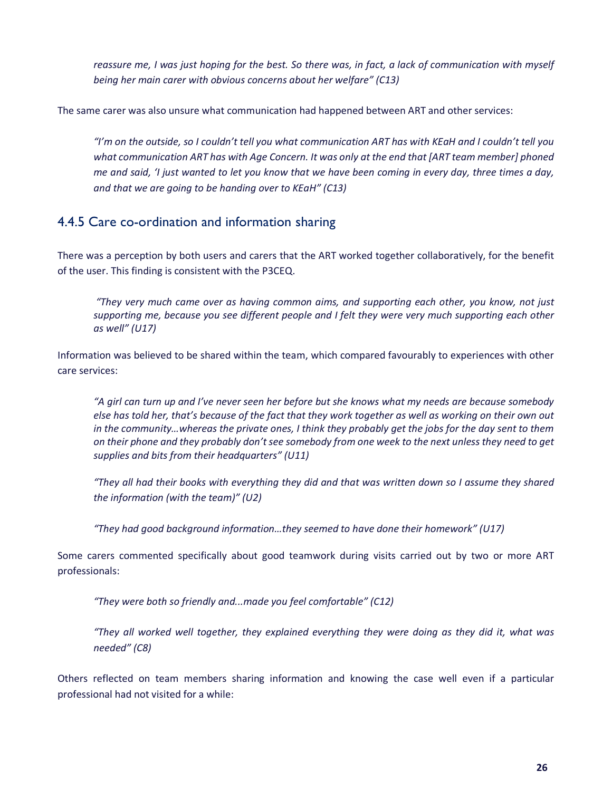*reassure me, I was just hoping for the best. So there was, in fact, a lack of communication with myself being her main carer with obvious concerns about her welfare" (C13)*

The same carer was also unsure what communication had happened between ART and other services:

*"I'm on the outside, so I couldn't tell you what communication ART has with KEaH and I couldn't tell you what communication ART has with Age Concern. It was only at the end that [ART team member] phoned me and said, 'I just wanted to let you know that we have been coming in every day, three times a day, and that we are going to be handing over to KEaH" (C13)*

#### 4.4.5 Care co-ordination and information sharing

There was a perception by both users and carers that the ART worked together collaboratively, for the benefit of the user. This finding is consistent with the P3CEQ.

*"They very much came over as having common aims, and supporting each other, you know, not just supporting me, because you see different people and I felt they were very much supporting each other as well" (U17)*

Information was believed to be shared within the team, which compared favourably to experiences with other care services:

*"A girl can turn up and I've never seen her before but she knows what my needs are because somebody else has told her, that's because of the fact that they work together as well as working on their own out in the community…whereas the private ones, I think they probably get the jobs for the day sent to them on their phone and they probably don't see somebody from one week to the next unless they need to get supplies and bits from their headquarters" (U11)*

*"They all had their books with everything they did and that was written down so I assume they shared the information (with the team)" (U2)*

*"They had good background information…they seemed to have done their homework" (U17)*

Some carers commented specifically about good teamwork during visits carried out by two or more ART professionals:

*"They were both so friendly and...made you feel comfortable" (C12)*

*"They all worked well together, they explained everything they were doing as they did it, what was needed" (C8)*

Others reflected on team members sharing information and knowing the case well even if a particular professional had not visited for a while: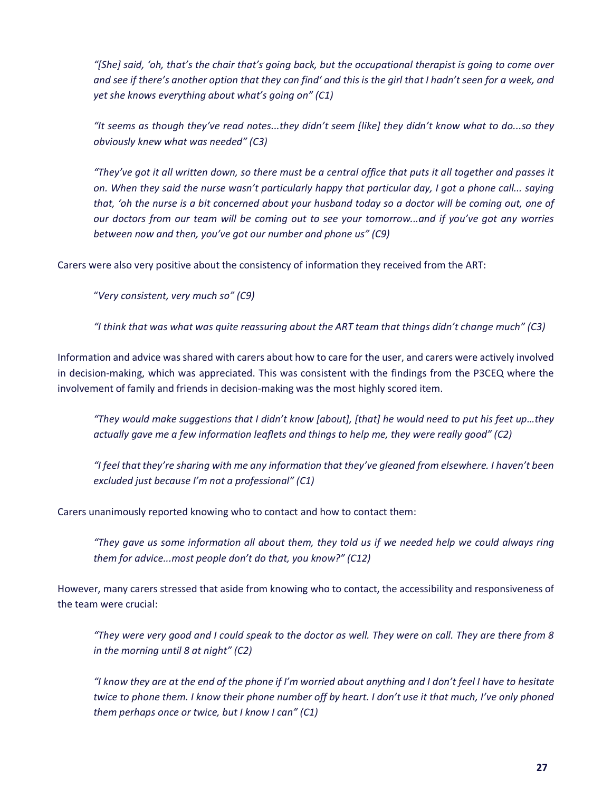*"[She] said, 'oh, that's the chair that's going back, but the occupational therapist is going to come over and see if there's another option that they can find' and this is the girl that I hadn't seen for a week, and yet she knows everything about what's going on" (C1)*

*"It seems as though they've read notes...they didn't seem [like] they didn't know what to do...so they obviously knew what was needed" (C3)*

*"They've got it all written down, so there must be a central office that puts it all together and passes it on. When they said the nurse wasn't particularly happy that particular day, I got a phone call... saying that, 'oh the nurse is a bit concerned about your husband today so a doctor will be coming out, one of our doctors from our team will be coming out to see your tomorrow...and if you've got any worries between now and then, you've got our number and phone us" (C9)*

Carers were also very positive about the consistency of information they received from the ART:

"*Very consistent, very much so" (C9)*

*"I think that was what was quite reassuring about the ART team that things didn't change much" (C3)*

Information and advice was shared with carers about how to care for the user, and carers were actively involved in decision-making, which was appreciated. This was consistent with the findings from the P3CEQ where the involvement of family and friends in decision-making was the most highly scored item.

*"They would make suggestions that I didn't know [about], [that] he would need to put his feet up…they actually gave me a few information leaflets and things to help me, they were really good" (C2)*

*"I feel that they're sharing with me any information that they've gleaned from elsewhere. I haven't been excluded just because I'm not a professional" (C1)*

Carers unanimously reported knowing who to contact and how to contact them:

*"They gave us some information all about them, they told us if we needed help we could always ring them for advice...most people don't do that, you know?" (C12)*

However, many carers stressed that aside from knowing who to contact, the accessibility and responsiveness of the team were crucial:

*"They were very good and I could speak to the doctor as well. They were on call. They are there from 8 in the morning until 8 at night" (C2)*

*"I know they are at the end of the phone if I'm worried about anything and I don't feel I have to hesitate twice to phone them. I know their phone number off by heart. I don't use it that much, I've only phoned them perhaps once or twice, but I know I can" (C1)*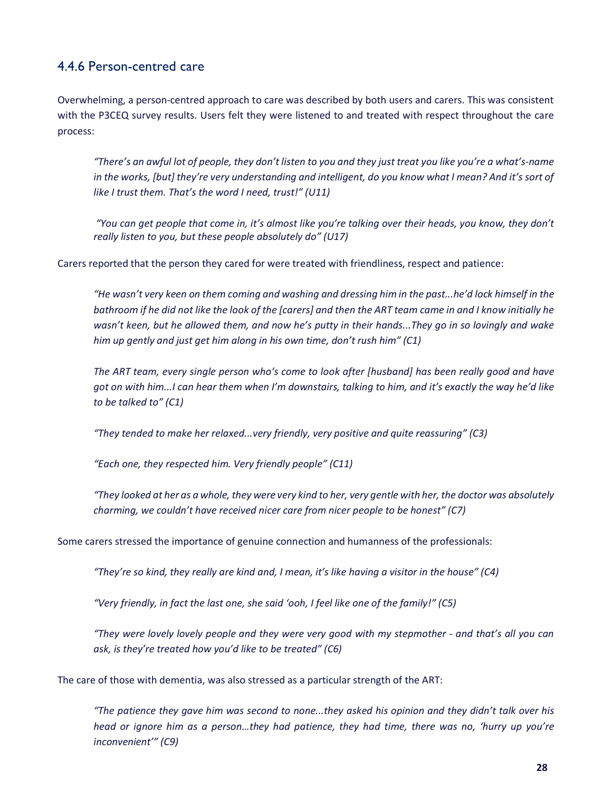### 4.4.6 Person-centred care

Overwhelming, a person-centred approach to care was described by both users and carers. This was consistent with the P3CEQ survey results. Users felt they were listened to and treated with respect throughout the care process:

*"There's an awful lot of people, they don't listen to you and they just treat you like you're a what's-name in the works, [but] they're very understanding and intelligent, do you know what I mean? And it's sort of like I trust them. That's the word I need, trust!" (U11)*

*"You can get people that come in, it's almost like you're talking over their heads, you know, they don't really listen to you, but these people absolutely do" (U17)*

Carers reported that the person they cared for were treated with friendliness, respect and patience:

*"He wasn't very keen on them coming and washing and dressing him in the past...he'd lock himself in the bathroom if he did not like the look of the [carers] and then the ART team came in and I know initially he wasn't keen, but he allowed them, and now he's putty in their hands...They go in so lovingly and wake him up gently and just get him along in his own time, don't rush him" (C1)*

*The ART team, every single person who's come to look after [husband] has been really good and have got on with him...I can hear them when I'm downstairs, talking to him, and it's exactly the way he'd like to be talked to" (C1)*

*"They tended to make her relaxed...very friendly, very positive and quite reassuring" (C3)*

*"Each one, they respected him. Very friendly people" (C11)*

*"They looked at her as a whole, they were very kind to her, very gentle with her, the doctor was absolutely charming, we couldn't have received nicer care from nicer people to be honest" (C7)*

Some carers stressed the importance of genuine connection and humanness of the professionals:

*"They're so kind, they really are kind and, I mean, it's like having a visitor in the house" (C4)*

*"Very friendly, in fact the last one, she said 'ooh, I feel like one of the family!" (C5)*

*"They were lovely lovely people and they were very good with my stepmother - and that's all you can ask, is they're treated how you'd like to be treated" (C6)*

The care of those with dementia, was also stressed as a particular strength of the ART:

*"The patience they gave him was second to none...they asked his opinion and they didn't talk over his head or ignore him as a person…they had patience, they had time, there was no, 'hurry up you're inconvenient'" (C9)*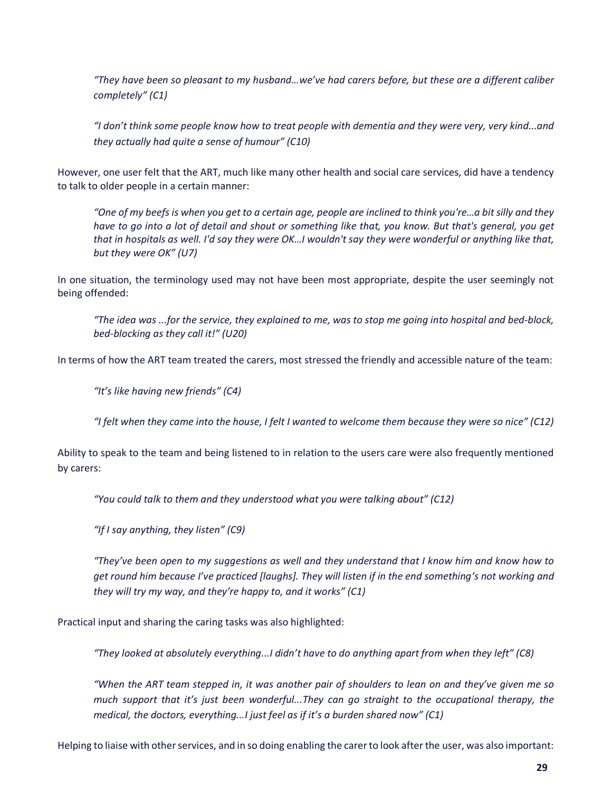*"They have been so pleasant to my husband…we've had carers before, but these are a different caliber completely" (C1)*

*"I don't think some people know how to treat people with dementia and they were very, very kind...and they actually had quite a sense of humour" (C10)*

However, one user felt that the ART, much like many other health and social care services, did have a tendency to talk to older people in a certain manner:

*"One of my beefs is when you get to a certain age, people are inclined to think you're…a bit silly and they have to go into a lot of detail and shout or something like that, you know. But that's general, you get that in hospitals as well. I'd say they were OK…I wouldn't say they were wonderful or anything like that, but they were OK" (U7)*

In one situation, the terminology used may not have been most appropriate, despite the user seemingly not being offended:

*"The idea was ...for the service, they explained to me, was to stop me going into hospital and bed-block, bed-blocking as they call it!" (U20)*

In terms of how the ART team treated the carers, most stressed the friendly and accessible nature of the team:

*"It's like having new friends" (C4)*

*"I felt when they came into the house, I felt I wanted to welcome them because they were so nice" (C12)*

Ability to speak to the team and being listened to in relation to the users care were also frequently mentioned by carers:

*"You could talk to them and they understood what you were talking about" (C12)*

*"If I say anything, they listen" (C9)*

*"They've been open to my suggestions as well and they understand that I know him and know how to get round him because I've practiced [laughs]. They will listen if in the end something's not working and they will try my way, and they're happy to, and it works" (C1)*

Practical input and sharing the caring tasks was also highlighted:

*"They looked at absolutely everything...I didn't have to do anything apart from when they left" (C8)*

*"When the ART team stepped in, it was another pair of shoulders to lean on and they've given me so much support that it's just been wonderful...They can go straight to the occupational therapy, the medical, the doctors, everything...I just feel as if it's a burden shared now" (C1)*

Helping to liaise with other services, and in so doing enabling the carer to look after the user, was also important: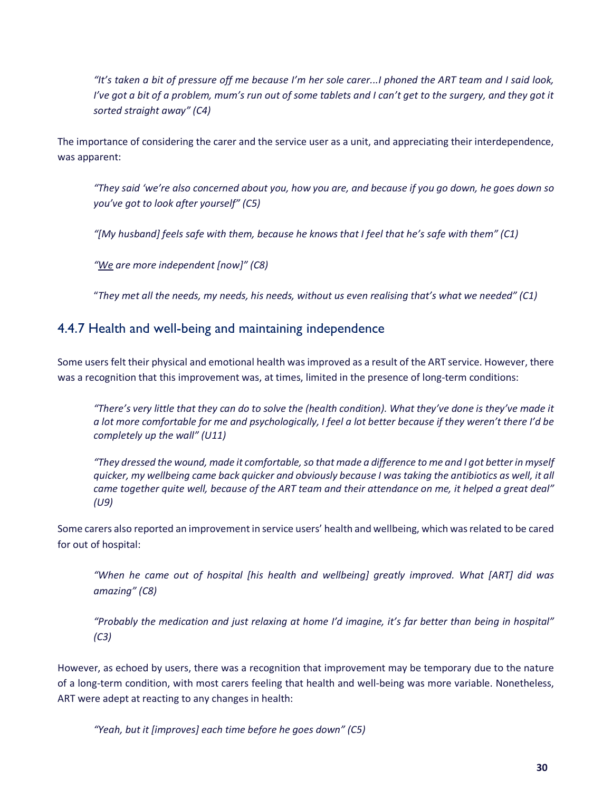*"It's taken a bit of pressure off me because I'm her sole carer...I phoned the ART team and I said look, I've got a bit of a problem, mum's run out of some tablets and I can't get to the surgery, and they got it sorted straight away" (C4)*

The importance of considering the carer and the service user as a unit, and appreciating their interdependence, was apparent:

*"They said 'we're also concerned about you, how you are, and because if you go down, he goes down so you've got to look after yourself" (C5)*

*"[My husband] feels safe with them, because he knows that I feel that he's safe with them" (C1)*

*"We are more independent [now]" (C8)*

"*They met all the needs, my needs, his needs, without us even realising that's what we needed" (C1)*

#### 4.4.7 Health and well-being and maintaining independence

Some users felt their physical and emotional health was improved as a result of the ART service. However, there was a recognition that this improvement was, at times, limited in the presence of long-term conditions:

*"There's very little that they can do to solve the (health condition). What they've done is they've made it a lot more comfortable for me and psychologically, I feel a lot better because if they weren't there I'd be completely up the wall" (U11)*

*"They dressed the wound, made it comfortable, so that made a difference to me and I got better in myself quicker, my wellbeing came back quicker and obviously because I was taking the antibiotics as well, it all came together quite well, because of the ART team and their attendance on me, it helped a great deal" (U9)*

Some carers also reported an improvement in service users' health and wellbeing, which was related to be cared for out of hospital:

*"When he came out of hospital [his health and wellbeing] greatly improved. What [ART] did was amazing" (C8)*

*"Probably the medication and just relaxing at home I'd imagine, it's far better than being in hospital" (C3)*

However, as echoed by users, there was a recognition that improvement may be temporary due to the nature of a long-term condition, with most carers feeling that health and well-being was more variable. Nonetheless, ART were adept at reacting to any changes in health:

*"Yeah, but it [improves] each time before he goes down" (C5)*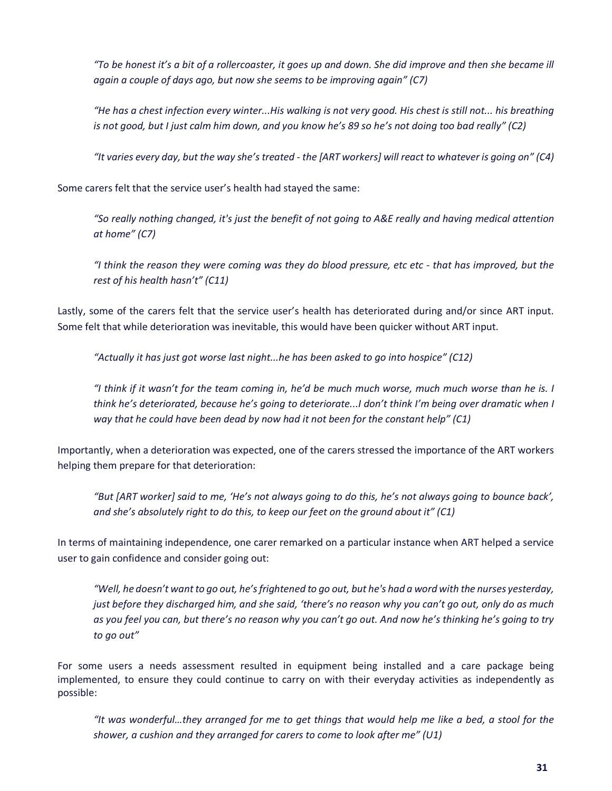*"To be honest it's a bit of a rollercoaster, it goes up and down. She did improve and then she became ill again a couple of days ago, but now she seems to be improving again" (C7)*

*"He has a chest infection every winter...His walking is not very good. His chest is still not... his breathing is not good, but I just calm him down, and you know he's 89 so he's not doing too bad really" (C2)*

*"It varies every day, but the way she's treated - the [ART workers] will react to whatever is going on" (C4)*

Some carers felt that the service user's health had stayed the same:

*"So really nothing changed, it's just the benefit of not going to A&E really and having medical attention at home" (C7)*

*"I think the reason they were coming was they do blood pressure, etc etc - that has improved, but the rest of his health hasn't" (C11)*

Lastly, some of the carers felt that the service user's health has deteriorated during and/or since ART input. Some felt that while deterioration was inevitable, this would have been quicker without ART input.

*"Actually it has just got worse last night...he has been asked to go into hospice" (C12)*

*"I think if it wasn't for the team coming in, he'd be much much worse, much much worse than he is. I think he's deteriorated, because he's going to deteriorate...I don't think I'm being over dramatic when I way that he could have been dead by now had it not been for the constant help" (C1)*

Importantly, when a deterioration was expected, one of the carers stressed the importance of the ART workers helping them prepare for that deterioration:

*"But [ART worker] said to me, 'He's not always going to do this, he's not always going to bounce back', and she's absolutely right to do this, to keep our feet on the ground about it" (C1)*

In terms of maintaining independence, one carer remarked on a particular instance when ART helped a service user to gain confidence and consider going out:

*"Well, he doesn't want to go out, he's frightened to go out, but he's had a word with the nurses yesterday, just before they discharged him, and she said, 'there's no reason why you can't go out, only do as much as you feel you can, but there's no reason why you can't go out. And now he's thinking he's going to try to go out"*

For some users a needs assessment resulted in equipment being installed and a care package being implemented, to ensure they could continue to carry on with their everyday activities as independently as possible:

*"It was wonderful…they arranged for me to get things that would help me like a bed, a stool for the shower, a cushion and they arranged for carers to come to look after me" (U1)*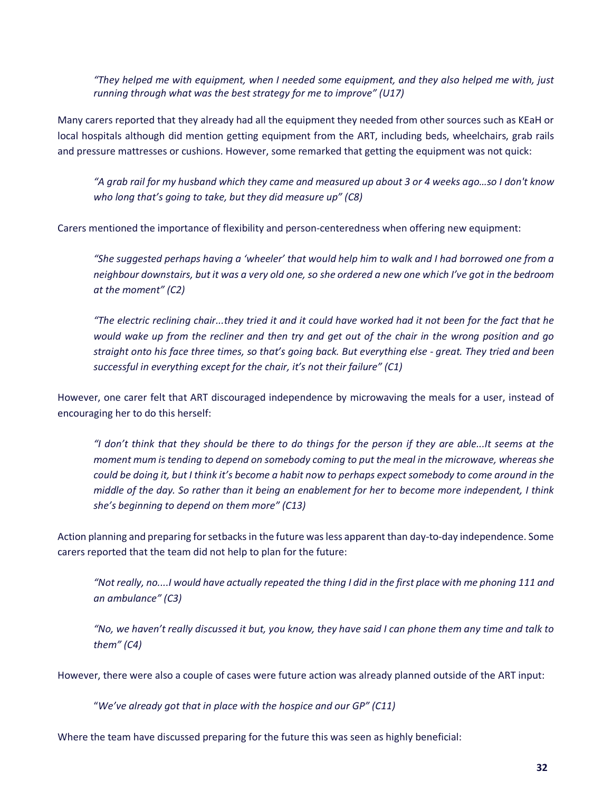*"They helped me with equipment, when I needed some equipment, and they also helped me with, just running through what was the best strategy for me to improve" (U17)*

Many carers reported that they already had all the equipment they needed from other sources such as KEaH or local hospitals although did mention getting equipment from the ART, including beds, wheelchairs, grab rails and pressure mattresses or cushions. However, some remarked that getting the equipment was not quick:

*"A grab rail for my husband which they came and measured up about 3 or 4 weeks ago…so I don't know who long that's going to take, but they did measure up" (C8)*

Carers mentioned the importance of flexibility and person-centeredness when offering new equipment:

*"She suggested perhaps having a 'wheeler' that would help him to walk and I had borrowed one from a neighbour downstairs, but it was a very old one, so she ordered a new one which I've got in the bedroom at the moment" (C2)*

*"The electric reclining chair...they tried it and it could have worked had it not been for the fact that he would wake up from the recliner and then try and get out of the chair in the wrong position and go straight onto his face three times, so that's going back. But everything else - great. They tried and been successful in everything except for the chair, it's not their failure" (C1)*

However, one carer felt that ART discouraged independence by microwaving the meals for a user, instead of encouraging her to do this herself:

*"I don't think that they should be there to do things for the person if they are able...It seems at the moment mum is tending to depend on somebody coming to put the meal in the microwave, whereas she could be doing it, but I think it's become a habit now to perhaps expect somebody to come around in the middle of the day. So rather than it being an enablement for her to become more independent, I think she's beginning to depend on them more" (C13)* 

Action planning and preparing for setbacks in the future was less apparent than day-to-day independence. Some carers reported that the team did not help to plan for the future:

*"Not really, no....I would have actually repeated the thing I did in the first place with me phoning 111 and an ambulance" (C3)*

*"No, we haven't really discussed it but, you know, they have said I can phone them any time and talk to them" (C4)*

However, there were also a couple of cases were future action was already planned outside of the ART input:

"*We've already got that in place with the hospice and our GP" (C11)*

Where the team have discussed preparing for the future this was seen as highly beneficial: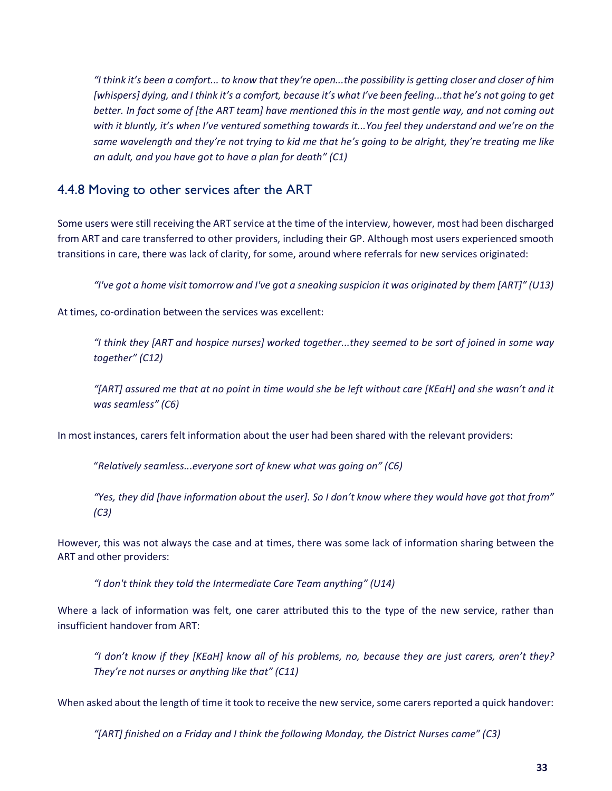*"I think it's been a comfort... to know that they're open...the possibility is getting closer and closer of him [whispers] dying, and I think it's a comfort, because it's what I've been feeling...that he's not going to get better. In fact some of [the ART team] have mentioned this in the most gentle way, and not coming out with it bluntly, it's when I've ventured something towards it...You feel they understand and we're on the same wavelength and they're not trying to kid me that he's going to be alright, they're treating me like an adult, and you have got to have a plan for death" (C1)*

#### 4.4.8 Moving to other services after the ART

Some users were still receiving the ART service at the time of the interview, however, most had been discharged from ART and care transferred to other providers, including their GP. Although most users experienced smooth transitions in care, there was lack of clarity, for some, around where referrals for new services originated:

*"I've got a home visit tomorrow and I've got a sneaking suspicion it was originated by them [ART]" (U13)*

At times, co-ordination between the services was excellent:

*"I think they [ART and hospice nurses] worked together...they seemed to be sort of joined in some way together" (C12)*

*"[ART] assured me that at no point in time would she be left without care [KEaH] and she wasn't and it was seamless" (C6)*

In most instances, carers felt information about the user had been shared with the relevant providers:

"*Relatively seamless...everyone sort of knew what was going on" (C6)*

*"Yes, they did [have information about the user]. So I don't know where they would have got that from" (C3)*

However, this was not always the case and at times, there was some lack of information sharing between the ART and other providers:

*"I don't think they told the Intermediate Care Team anything" (U14)*

Where a lack of information was felt, one carer attributed this to the type of the new service, rather than insufficient handover from ART:

*"I don't know if they [KEaH] know all of his problems, no, because they are just carers, aren't they? They're not nurses or anything like that" (C11)*

When asked about the length of time it took to receive the new service, some carers reported a quick handover:

*"[ART] finished on a Friday and I think the following Monday, the District Nurses came" (C3)*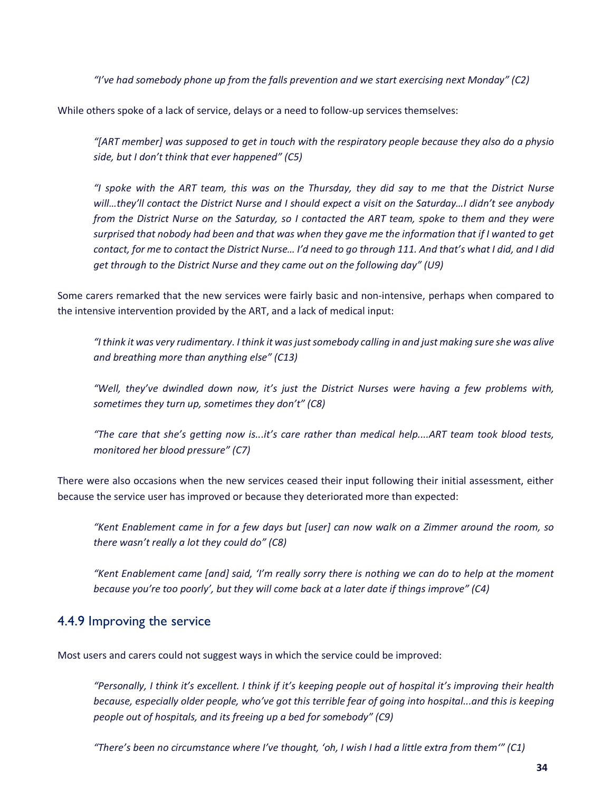*"I've had somebody phone up from the falls prevention and we start exercising next Monday" (C2)*

While others spoke of a lack of service, delays or a need to follow-up services themselves:

*"[ART member] was supposed to get in touch with the respiratory people because they also do a physio side, but I don't think that ever happened" (C5)*

*"I spoke with the ART team, this was on the Thursday, they did say to me that the District Nurse will…they'll contact the District Nurse and I should expect a visit on the Saturday…I didn't see anybody from the District Nurse on the Saturday, so I contacted the ART team, spoke to them and they were surprised that nobody had been and that was when they gave me the information that if I wanted to get contact, for me to contact the District Nurse… I'd need to go through 111. And that's what I did, and I did get through to the District Nurse and they came out on the following day" (U9)*

Some carers remarked that the new services were fairly basic and non-intensive, perhaps when compared to the intensive intervention provided by the ART, and a lack of medical input:

*"I think it was very rudimentary. I think it was just somebody calling in and just making sure she was alive and breathing more than anything else" (C13)*

*"Well, they've dwindled down now, it's just the District Nurses were having a few problems with, sometimes they turn up, sometimes they don't" (C8)*

*"The care that she's getting now is...it's care rather than medical help....ART team took blood tests, monitored her blood pressure" (C7)*

There were also occasions when the new services ceased their input following their initial assessment, either because the service user has improved or because they deteriorated more than expected:

*"Kent Enablement came in for a few days but [user] can now walk on a Zimmer around the room, so there wasn't really a lot they could do" (C8)*

*"Kent Enablement came [and] said, 'I'm really sorry there is nothing we can do to help at the moment because you're too poorly', but they will come back at a later date if things improve" (C4)*

### 4.4.9 Improving the service

Most users and carers could not suggest ways in which the service could be improved:

*"Personally, I think it's excellent. I think if it's keeping people out of hospital it's improving their health because, especially older people, who've got this terrible fear of going into hospital...and this is keeping people out of hospitals, and its freeing up a bed for somebody" (C9)*

*"There's been no circumstance where I've thought, 'oh, I wish I had a little extra from them'" (C1)*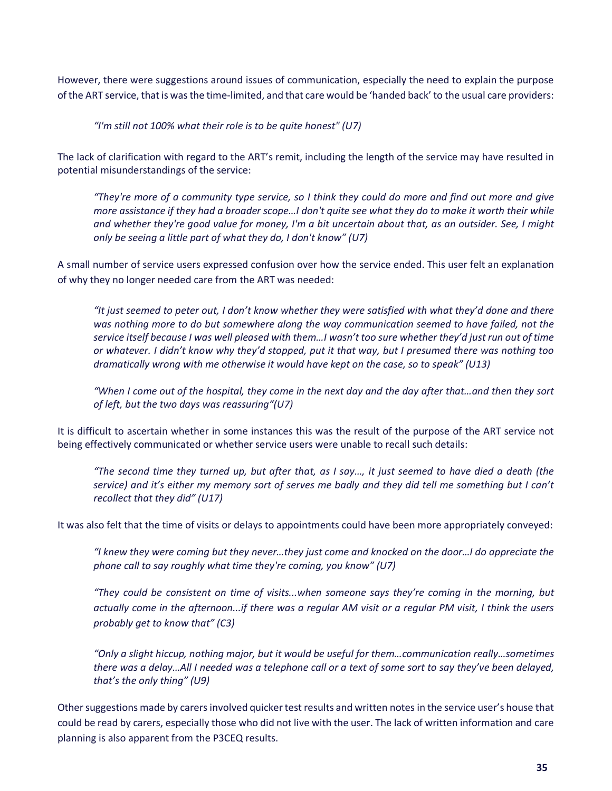However, there were suggestions around issues of communication, especially the need to explain the purpose of the ART service, that is was the time-limited, and that care would be 'handed back' to the usual care providers:

*"I'm still not 100% what their role is to be quite honest" (U7)*

The lack of clarification with regard to the ART's remit, including the length of the service may have resulted in potential misunderstandings of the service:

*"They're more of a community type service, so I think they could do more and find out more and give more assistance if they had a broader scope…I don't quite see what they do to make it worth their while and whether they're good value for money, I'm a bit uncertain about that, as an outsider. See, I might only be seeing a little part of what they do, I don't know" (U7)*

A small number of service users expressed confusion over how the service ended. This user felt an explanation of why they no longer needed care from the ART was needed:

*"It just seemed to peter out, I don't know whether they were satisfied with what they'd done and there was nothing more to do but somewhere along the way communication seemed to have failed, not the service itself because I was well pleased with them…I wasn't too sure whether they'd just run out of time or whatever. I didn't know why they'd stopped, put it that way, but I presumed there was nothing too dramatically wrong with me otherwise it would have kept on the case, so to speak" (U13)*

*"When I come out of the hospital, they come in the next day and the day after that…and then they sort of left, but the two days was reassuring"(U7)*

It is difficult to ascertain whether in some instances this was the result of the purpose of the ART service not being effectively communicated or whether service users were unable to recall such details:

*"The second time they turned up, but after that, as I say…, it just seemed to have died a death (the service) and it's either my memory sort of serves me badly and they did tell me something but I can't recollect that they did" (U17)*

It was also felt that the time of visits or delays to appointments could have been more appropriately conveyed:

*"I knew they were coming but they never…they just come and knocked on the door…I do appreciate the phone call to say roughly what time they're coming, you know" (U7)*

*"They could be consistent on time of visits...when someone says they're coming in the morning, but actually come in the afternoon...if there was a regular AM visit or a regular PM visit, I think the users probably get to know that" (C3)*

*"Only a slight hiccup, nothing major, but it would be useful for them…communication really…sometimes there was a delay…All I needed was a telephone call or a text of some sort to say they've been delayed, that's the only thing" (U9)*

Other suggestions made by carers involved quicker test results and written notes in the service user's house that could be read by carers, especially those who did not live with the user. The lack of written information and care planning is also apparent from the P3CEQ results.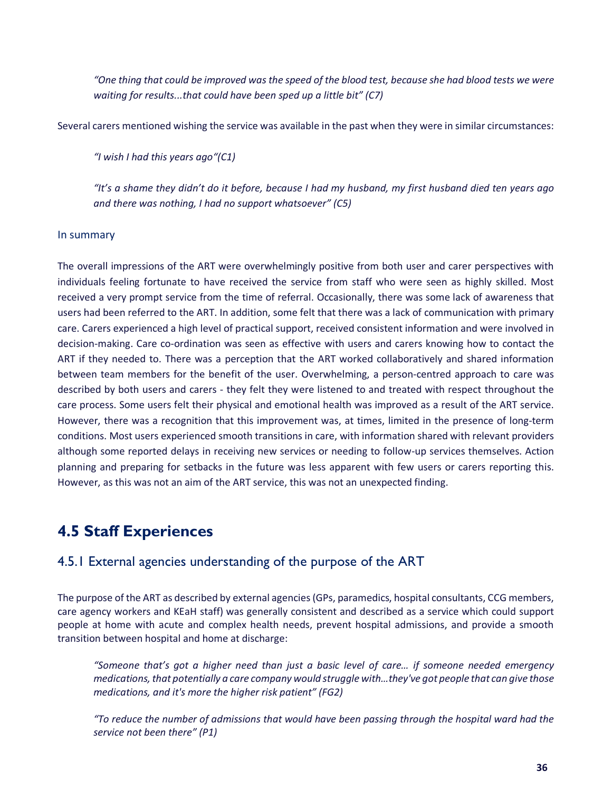*"One thing that could be improved was the speed of the blood test, because she had blood tests we were waiting for results...that could have been sped up a little bit" (C7)*

Several carers mentioned wishing the service was available in the past when they were in similar circumstances:

*"I wish I had this years ago"(C1)*

*"It's a shame they didn't do it before, because I had my husband, my first husband died ten years ago and there was nothing, I had no support whatsoever" (C5)*

#### In summary

The overall impressions of the ART were overwhelmingly positive from both user and carer perspectives with individuals feeling fortunate to have received the service from staff who were seen as highly skilled. Most received a very prompt service from the time of referral. Occasionally, there was some lack of awareness that users had been referred to the ART. In addition, some felt that there was a lack of communication with primary care. Carers experienced a high level of practical support, received consistent information and were involved in decision-making. Care co-ordination was seen as effective with users and carers knowing how to contact the ART if they needed to. There was a perception that the ART worked collaboratively and shared information between team members for the benefit of the user. Overwhelming, a person-centred approach to care was described by both users and carers - they felt they were listened to and treated with respect throughout the care process. Some users felt their physical and emotional health was improved as a result of the ART service. However, there was a recognition that this improvement was, at times, limited in the presence of long-term conditions. Most users experienced smooth transitions in care, with information shared with relevant providers although some reported delays in receiving new services or needing to follow-up services themselves. Action planning and preparing for setbacks in the future was less apparent with few users or carers reporting this. However, as this was not an aim of the ART service, this was not an unexpected finding.

### **4.5 Staff Experiences**

### 4.5.1 External agencies understanding of the purpose of the ART

The purpose of the ART as described by external agencies (GPs, paramedics, hospital consultants, CCG members, care agency workers and KEaH staff) was generally consistent and described as a service which could support people at home with acute and complex health needs, prevent hospital admissions, and provide a smooth transition between hospital and home at discharge:

*"Someone that's got a higher need than just a basic level of care… if someone needed emergency medications, that potentially a care company would struggle with…they've got people that can give those medications, and it's more the higher risk patient" (FG2)*

*"To reduce the number of admissions that would have been passing through the hospital ward had the service not been there" (P1)*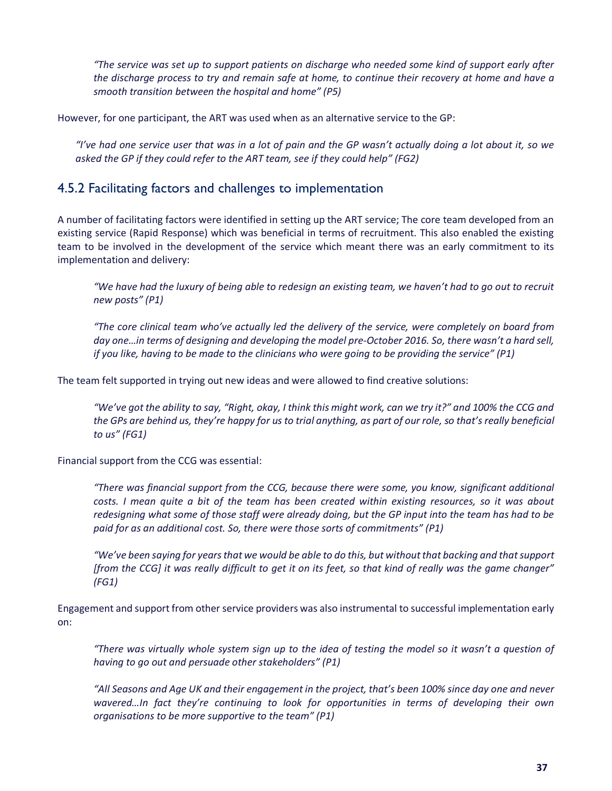*"The service was set up to support patients on discharge who needed some kind of support early after the discharge process to try and remain safe at home, to continue their recovery at home and have a smooth transition between the hospital and home" (P5)*

However, for one participant, the ART was used when as an alternative service to the GP:

*"I've had one service user that was in a lot of pain and the GP wasn't actually doing a lot about it, so we asked the GP if they could refer to the ART team, see if they could help" (FG2)*

### 4.5.2 Facilitating factors and challenges to implementation

A number of facilitating factors were identified in setting up the ART service; The core team developed from an existing service (Rapid Response) which was beneficial in terms of recruitment. This also enabled the existing team to be involved in the development of the service which meant there was an early commitment to its implementation and delivery:

*"We have had the luxury of being able to redesign an existing team, we haven't had to go out to recruit new posts" (P1)*

*"The core clinical team who've actually led the delivery of the service, were completely on board from day one…in terms of designing and developing the model pre-October 2016. So, there wasn't a hard sell, if you like, having to be made to the clinicians who were going to be providing the service" (P1)*

The team felt supported in trying out new ideas and were allowed to find creative solutions:

*"We've got the ability to say, "Right, okay, I think this might work, can we try it?" and 100% the CCG and the GPs are behind us, they're happy for us to trial anything, as part of our role, so that's really beneficial to us" (FG1)*

Financial support from the CCG was essential:

*"There was financial support from the CCG, because there were some, you know, significant additional costs. I mean quite a bit of the team has been created within existing resources, so it was about redesigning what some of those staff were already doing, but the GP input into the team has had to be paid for as an additional cost. So, there were those sorts of commitments" (P1)*

*"We've been saying for years that we would be able to do this, but without that backing and that support [from the CCG] it was really difficult to get it on its feet, so that kind of really was the game changer" (FG1)*

Engagement and support from other service providers was also instrumental to successful implementation early on:

*"There was virtually whole system sign up to the idea of testing the model so it wasn't a question of having to go out and persuade other stakeholders" (P1)*

*"All Seasons and Age UK and their engagement in the project, that's been 100% since day one and never wavered…In fact they're continuing to look for opportunities in terms of developing their own organisations to be more supportive to the team" (P1)*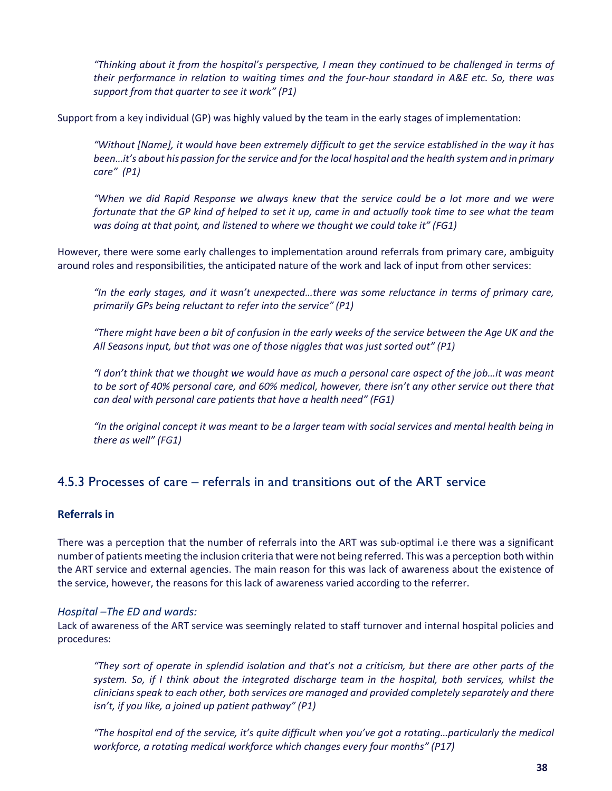*"Thinking about it from the hospital's perspective, I mean they continued to be challenged in terms of their performance in relation to waiting times and the four-hour standard in A&E etc. So, there was support from that quarter to see it work" (P1)*

Support from a key individual (GP) was highly valued by the team in the early stages of implementation:

*"Without [Name], it would have been extremely difficult to get the service established in the way it has been…it's about his passion for the service and for the local hospital and the health system and in primary care" (P1)*

*"When we did Rapid Response we always knew that the service could be a lot more and we were fortunate that the GP kind of helped to set it up, came in and actually took time to see what the team was doing at that point, and listened to where we thought we could take it" (FG1)*

However, there were some early challenges to implementation around referrals from primary care, ambiguity around roles and responsibilities, the anticipated nature of the work and lack of input from other services:

*"In the early stages, and it wasn't unexpected…there was some reluctance in terms of primary care, primarily GPs being reluctant to refer into the service" (P1)*

*"There might have been a bit of confusion in the early weeks of the service between the Age UK and the All Seasons input, but that was one of those niggles that was just sorted out" (P1)*

*"I don't think that we thought we would have as much a personal care aspect of the job…it was meant to be sort of 40% personal care, and 60% medical, however, there isn't any other service out there that can deal with personal care patients that have a health need" (FG1)*

*"In the original concept it was meant to be a larger team with social services and mental health being in there as well" (FG1)*

### 4.5.3 Processes of care – referrals in and transitions out of the ART service

### **Referrals in**

There was a perception that the number of referrals into the ART was sub-optimal i.e there was a significant number of patients meeting the inclusion criteria that were not being referred. This was a perception both within the ART service and external agencies. The main reason for this was lack of awareness about the existence of the service, however, the reasons for this lack of awareness varied according to the referrer.

### *Hospital –The ED and wards:*

Lack of awareness of the ART service was seemingly related to staff turnover and internal hospital policies and procedures:

*"They sort of operate in splendid isolation and that's not a criticism, but there are other parts of the system. So, if I think about the integrated discharge team in the hospital, both services, whilst the clinicians speak to each other, both services are managed and provided completely separately and there isn't, if you like, a joined up patient pathway" (P1)* 

*"The hospital end of the service, it's quite difficult when you've got a rotating…particularly the medical workforce, a rotating medical workforce which changes every four months" (P17)*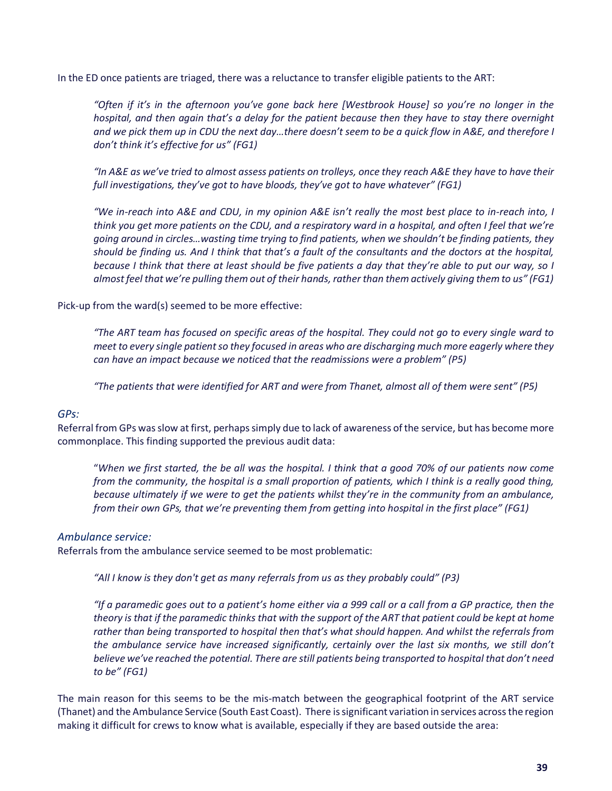In the ED once patients are triaged, there was a reluctance to transfer eligible patients to the ART:

*"Often if it's in the afternoon you've gone back here [Westbrook House] so you're no longer in the hospital, and then again that's a delay for the patient because then they have to stay there overnight and we pick them up in CDU the next day…there doesn't seem to be a quick flow in A&E, and therefore I don't think it's effective for us" (FG1)*

*"In A&E as we've tried to almost assess patients on trolleys, once they reach A&E they have to have their full investigations, they've got to have bloods, they've got to have whatever" (FG1)*

*"We in-reach into A&E and CDU, in my opinion A&E isn't really the most best place to in-reach into, I think you get more patients on the CDU, and a respiratory ward in a hospital, and often I feel that we're going around in circles…wasting time trying to find patients, when we shouldn't be finding patients, they should be finding us. And I think that that's a fault of the consultants and the doctors at the hospital, because I think that there at least should be five patients a day that they're able to put our way, so I almost feel that we're pulling them out of their hands, rather than them actively giving them to us" (FG1)*

Pick-up from the ward(s) seemed to be more effective:

*"The ART team has focused on specific areas of the hospital. They could not go to every single ward to meet to every single patient so they focused in areas who are discharging much more eagerly where they can have an impact because we noticed that the readmissions were a problem" (P5)*

*"The patients that were identified for ART and were from Thanet, almost all of them were sent" (P5)*

### *GPs:*

Referral from GPs was slow at first, perhaps simply due to lack of awareness of the service, but has become more commonplace. This finding supported the previous audit data:

"*When we first started, the be all was the hospital. I think that a good 70% of our patients now come from the community, the hospital is a small proportion of patients, which I think is a really good thing, because ultimately if we were to get the patients whilst they're in the community from an ambulance, from their own GPs, that we're preventing them from getting into hospital in the first place" (FG1)*

#### *Ambulance service:*

Referrals from the ambulance service seemed to be most problematic:

*"All I know is they don't get as many referrals from us as they probably could" (P3)*

*"If a paramedic goes out to a patient's home either via a 999 call or a call from a GP practice, then the theory is that if the paramedic thinks that with the support of the ART that patient could be kept at home rather than being transported to hospital then that's what should happen. And whilst the referrals from the ambulance service have increased significantly, certainly over the last six months, we still don't believe we've reached the potential. There are still patients being transported to hospital that don't need to be" (FG1)*

The main reason for this seems to be the mis-match between the geographical footprint of the ART service (Thanet) and the Ambulance Service (South East Coast). There is significant variation in services across the region making it difficult for crews to know what is available, especially if they are based outside the area: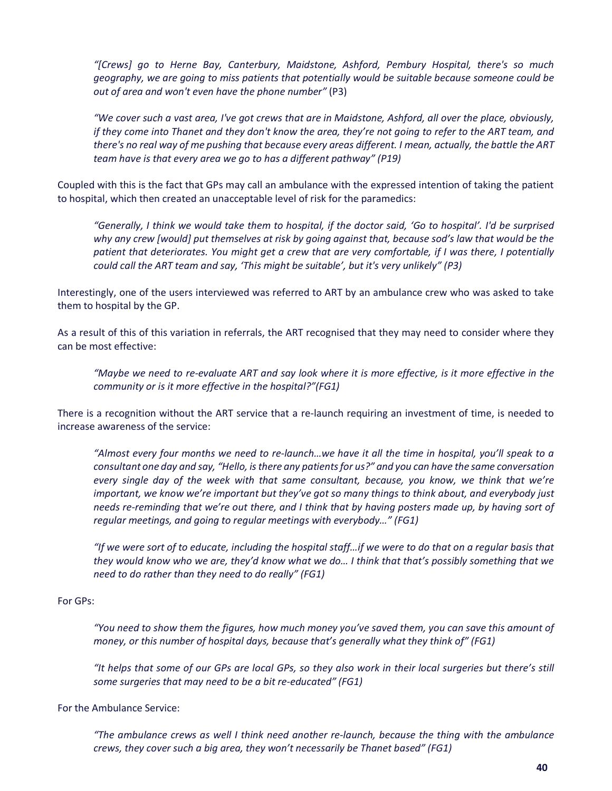*"[Crews] go to Herne Bay, Canterbury, Maidstone, Ashford, Pembury Hospital, there's so much geography, we are going to miss patients that potentially would be suitable because someone could be out of area and won't even have the phone number"* (P3)

*"We cover such a vast area, I've got crews that are in Maidstone, Ashford, all over the place, obviously, if they come into Thanet and they don't know the area, they're not going to refer to the ART team, and there's no real way of me pushing that because every areas different. I mean, actually, the battle the ART team have is that every area we go to has a different pathway" (P19)*

Coupled with this is the fact that GPs may call an ambulance with the expressed intention of taking the patient to hospital, which then created an unacceptable level of risk for the paramedics:

*"Generally, I think we would take them to hospital, if the doctor said, 'Go to hospital'. I'd be surprised why any crew [would] put themselves at risk by going against that, because sod's law that would be the patient that deteriorates. You might get a crew that are very comfortable, if I was there, I potentially could call the ART team and say, 'This might be suitable', but it's very unlikely" (P3)*

Interestingly, one of the users interviewed was referred to ART by an ambulance crew who was asked to take them to hospital by the GP.

As a result of this of this variation in referrals, the ART recognised that they may need to consider where they can be most effective:

*"Maybe we need to re-evaluate ART and say look where it is more effective, is it more effective in the community or is it more effective in the hospital?"(FG1)*

There is a recognition without the ART service that a re-launch requiring an investment of time, is needed to increase awareness of the service:

*"Almost every four months we need to re-launch…we have it all the time in hospital, you'll speak to a consultant one day and say, "Hello, is there any patients for us?" and you can have the same conversation every single day of the week with that same consultant, because, you know, we think that we're important, we know we're important but they've got so many things to think about, and everybody just needs re-reminding that we're out there, and I think that by having posters made up, by having sort of regular meetings, and going to regular meetings with everybody…" (FG1)*

*"If we were sort of to educate, including the hospital staff…if we were to do that on a regular basis that they would know who we are, they'd know what we do… I think that that's possibly something that we need to do rather than they need to do really" (FG1)*

#### For GPs:

*"You need to show them the figures, how much money you've saved them, you can save this amount of money, or this number of hospital days, because that's generally what they think of" (FG1)*

*"It helps that some of our GPs are local GPs, so they also work in their local surgeries but there's still some surgeries that may need to be a bit re-educated" (FG1)*

For the Ambulance Service:

*"The ambulance crews as well I think need another re-launch, because the thing with the ambulance crews, they cover such a big area, they won't necessarily be Thanet based" (FG1)*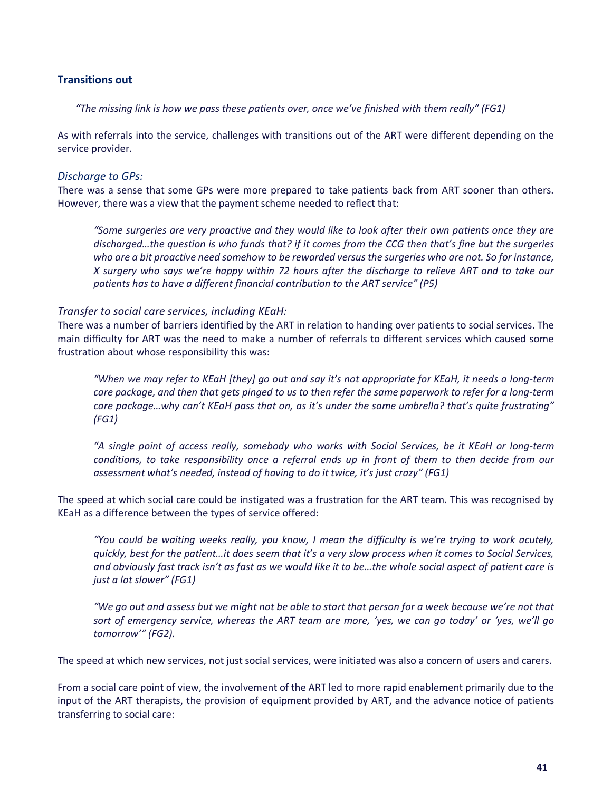### **Transitions out**

*"The missing link is how we pass these patients over, once we've finished with them really" (FG1)*

As with referrals into the service, challenges with transitions out of the ART were different depending on the service provider.

### *Discharge to GPs:*

There was a sense that some GPs were more prepared to take patients back from ART sooner than others. However, there was a view that the payment scheme needed to reflect that:

*"Some surgeries are very proactive and they would like to look after their own patients once they are discharged…the question is who funds that? if it comes from the CCG then that's fine but the surgeries who are a bit proactive need somehow to be rewarded versus the surgeries who are not. So for instance, X surgery who says we're happy within 72 hours after the discharge to relieve ART and to take our patients has to have a different financial contribution to the ART service" (P5)*

#### *Transfer to social care services, including KEaH:*

There was a number of barriers identified by the ART in relation to handing over patients to social services. The main difficulty for ART was the need to make a number of referrals to different services which caused some frustration about whose responsibility this was:

*"When we may refer to KEaH [they] go out and say it's not appropriate for KEaH, it needs a long-term care package, and then that gets pinged to us to then refer the same paperwork to refer for a long-term care package…why can't KEaH pass that on, as it's under the same umbrella? that's quite frustrating" (FG1)*

*"A single point of access really, somebody who works with Social Services, be it KEaH or long-term conditions, to take responsibility once a referral ends up in front of them to then decide from our assessment what's needed, instead of having to do it twice, it's just crazy" (FG1)*

The speed at which social care could be instigated was a frustration for the ART team. This was recognised by KEaH as a difference between the types of service offered:

*"You could be waiting weeks really, you know, I mean the difficulty is we're trying to work acutely, quickly, best for the patient…it does seem that it's a very slow process when it comes to Social Services, and obviously fast track isn't as fast as we would like it to be…the whole social aspect of patient care is just a lot slower" (FG1)*

*"We go out and assess but we might not be able to start that person for a week because we're not that sort of emergency service, whereas the ART team are more, 'yes, we can go today' or 'yes, we'll go tomorrow'" (FG2).*

The speed at which new services, not just social services, were initiated was also a concern of users and carers.

From a social care point of view, the involvement of the ART led to more rapid enablement primarily due to the input of the ART therapists, the provision of equipment provided by ART, and the advance notice of patients transferring to social care: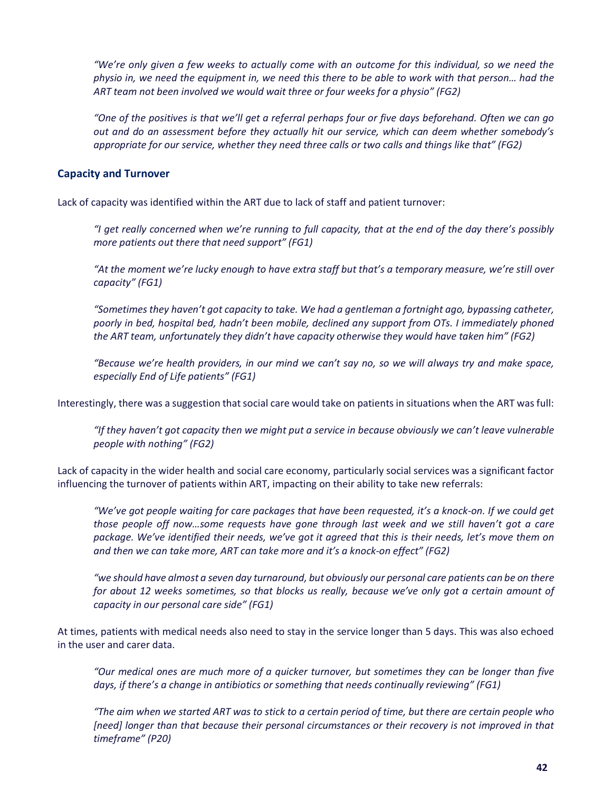*"We're only given a few weeks to actually come with an outcome for this individual, so we need the physio in, we need the equipment in, we need this there to be able to work with that person… had the ART team not been involved we would wait three or four weeks for a physio" (FG2)*

*"One of the positives is that we'll get a referral perhaps four or five days beforehand. Often we can go out and do an assessment before they actually hit our service, which can deem whether somebody's appropriate for our service, whether they need three calls or two calls and things like that" (FG2)*

### **Capacity and Turnover**

Lack of capacity was identified within the ART due to lack of staff and patient turnover:

*"I get really concerned when we're running to full capacity, that at the end of the day there's possibly more patients out there that need support" (FG1)*

*"At the moment we're lucky enough to have extra staff but that's a temporary measure, we're still over capacity" (FG1)*

*"Sometimes they haven't got capacity to take. We had a gentleman a fortnight ago, bypassing catheter, poorly in bed, hospital bed, hadn't been mobile, declined any support from OTs. I immediately phoned the ART team, unfortunately they didn't have capacity otherwise they would have taken him" (FG2)*

*"Because we're health providers, in our mind we can't say no, so we will always try and make space, especially End of Life patients" (FG1)*

Interestingly, there was a suggestion that social care would take on patients in situations when the ART was full:

*"If they haven't got capacity then we might put a service in because obviously we can't leave vulnerable people with nothing" (FG2)*

Lack of capacity in the wider health and social care economy, particularly social services was a significant factor influencing the turnover of patients within ART, impacting on their ability to take new referrals:

*"We've got people waiting for care packages that have been requested, it's a knock-on. If we could get those people off now…some requests have gone through last week and we still haven't got a care package. We've identified their needs, we've got it agreed that this is their needs, let's move them on and then we can take more, ART can take more and it's a knock-on effect" (FG2)*

*"we should have almost a seven day turnaround, but obviously our personal care patients can be on there for about 12 weeks sometimes, so that blocks us really, because we've only got a certain amount of capacity in our personal care side" (FG1)*

At times, patients with medical needs also need to stay in the service longer than 5 days. This was also echoed in the user and carer data.

*"Our medical ones are much more of a quicker turnover, but sometimes they can be longer than five days, if there's a change in antibiotics or something that needs continually reviewing" (FG1)*

*"The aim when we started ART was to stick to a certain period of time, but there are certain people who [need] longer than that because their personal circumstances or their recovery is not improved in that timeframe" (P20)*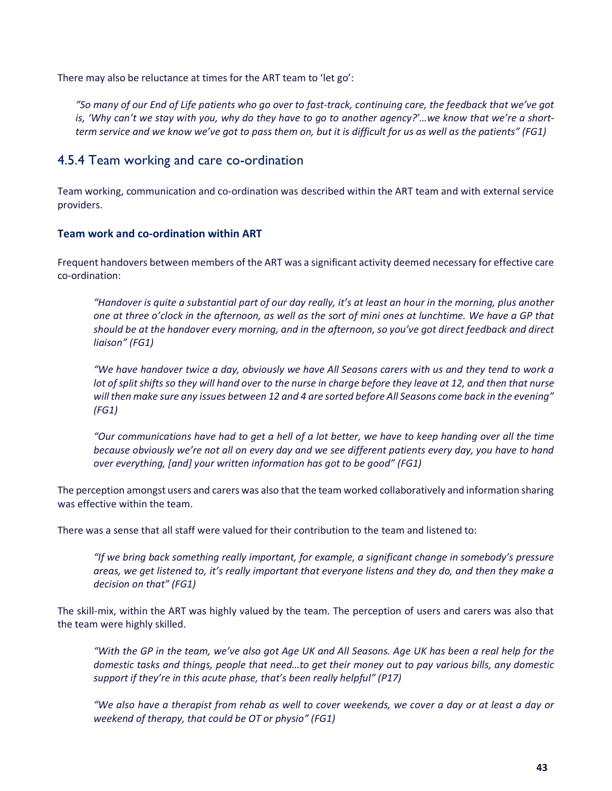There may also be reluctance at times for the ART team to 'let go':

*"So many of our End of Life patients who go over to fast-track, continuing care, the feedback that we've got is, 'Why can't we stay with you, why do they have to go to another agency?'…we know that we're a shortterm service and we know we've got to pass them on, but it is difficult for us as well as the patients" (FG1)*

### 4.5.4 Team working and care co-ordination

Team working, communication and co-ordination was described within the ART team and with external service providers.

### **Team work and co-ordination within ART**

Frequent handovers between members of the ART was a significant activity deemed necessary for effective care co-ordination:

*"Handover is quite a substantial part of our day really, it's at least an hour in the morning, plus another one at three o'clock in the afternoon, as well as the sort of mini ones at lunchtime. We have a GP that should be at the handover every morning, and in the afternoon, so you've got direct feedback and direct liaison" (FG1)*

*"We have handover twice a day, obviously we have All Seasons carers with us and they tend to work a lot of split shifts so they will hand over to the nurse in charge before they leave at 12, and then that nurse will then make sure any issues between 12 and 4 are sorted before All Seasons come back in the evening" (FG1)*

*"Our communications have had to get a hell of a lot better, we have to keep handing over all the time because obviously we're not all on every day and we see different patients every day, you have to hand over everything, [and] your written information has got to be good" (FG1)*

The perception amongst users and carers was also that the team worked collaboratively and information sharing was effective within the team.

There was a sense that all staff were valued for their contribution to the team and listened to:

*"If we bring back something really important, for example, a significant change in somebody's pressure areas, we get listened to, it's really important that everyone listens and they do, and then they make a decision on that" (FG1)*

The skill-mix, within the ART was highly valued by the team. The perception of users and carers was also that the team were highly skilled.

*"With the GP in the team, we've also got Age UK and All Seasons. Age UK has been a real help for the domestic tasks and things, people that need…to get their money out to pay various bills, any domestic support if they're in this acute phase, that's been really helpful" (P17)*

*"We also have a therapist from rehab as well to cover weekends, we cover a day or at least a day or weekend of therapy, that could be OT or physio" (FG1)*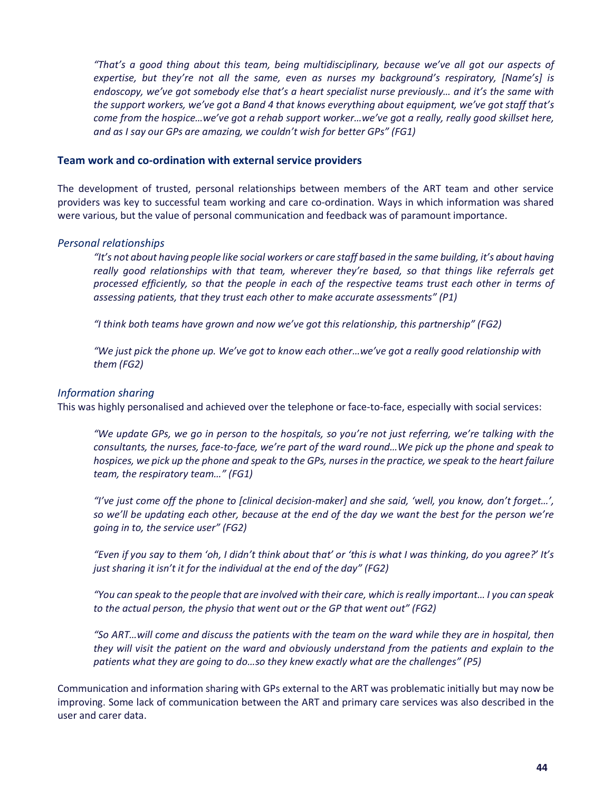*"That's a good thing about this team, being multidisciplinary, because we've all got our aspects of expertise, but they're not all the same, even as nurses my background's respiratory, [Name's] is endoscopy, we've got somebody else that's a heart specialist nurse previously… and it's the same with the support workers, we've got a Band 4 that knows everything about equipment, we've got staff that's come from the hospice…we've got a rehab support worker…we've got a really, really good skillset here, and as I say our GPs are amazing, we couldn't wish for better GPs" (FG1)*

#### **Team work and co-ordination with external service providers**

The development of trusted, personal relationships between members of the ART team and other service providers was key to successful team working and care co-ordination. Ways in which information was shared were various, but the value of personal communication and feedback was of paramount importance.

### *Personal relationships*

*"It's not about having people like social workers or care staff based in the same building, it's about having really good relationships with that team, wherever they're based, so that things like referrals get processed efficiently, so that the people in each of the respective teams trust each other in terms of assessing patients, that they trust each other to make accurate assessments" (P1)*

*"I think both teams have grown and now we've got this relationship, this partnership" (FG2)*

*"We just pick the phone up. We've got to know each other…we've got a really good relationship with them (FG2)*

### *Information sharing*

This was highly personalised and achieved over the telephone or face-to-face, especially with social services:

*"We update GPs, we go in person to the hospitals, so you're not just referring, we're talking with the consultants, the nurses, face-to-face, we're part of the ward round…We pick up the phone and speak to hospices, we pick up the phone and speak to the GPs, nurses in the practice, we speak to the heart failure team, the respiratory team…" (FG1)*

*"I've just come off the phone to [clinical decision-maker] and she said, 'well, you know, don't forget…', so we'll be updating each other, because at the end of the day we want the best for the person we're going in to, the service user" (FG2)*

*"Even if you say to them 'oh, I didn't think about that' or 'this is what I was thinking, do you agree?' It's just sharing it isn't it for the individual at the end of the day" (FG2)*

*"You can speak to the people that are involved with their care, which is really important… I you can speak to the actual person, the physio that went out or the GP that went out" (FG2)*

*"So ART…will come and discuss the patients with the team on the ward while they are in hospital, then they will visit the patient on the ward and obviously understand from the patients and explain to the patients what they are going to do…so they knew exactly what are the challenges" (P5)* 

Communication and information sharing with GPs external to the ART was problematic initially but may now be improving. Some lack of communication between the ART and primary care services was also described in the user and carer data.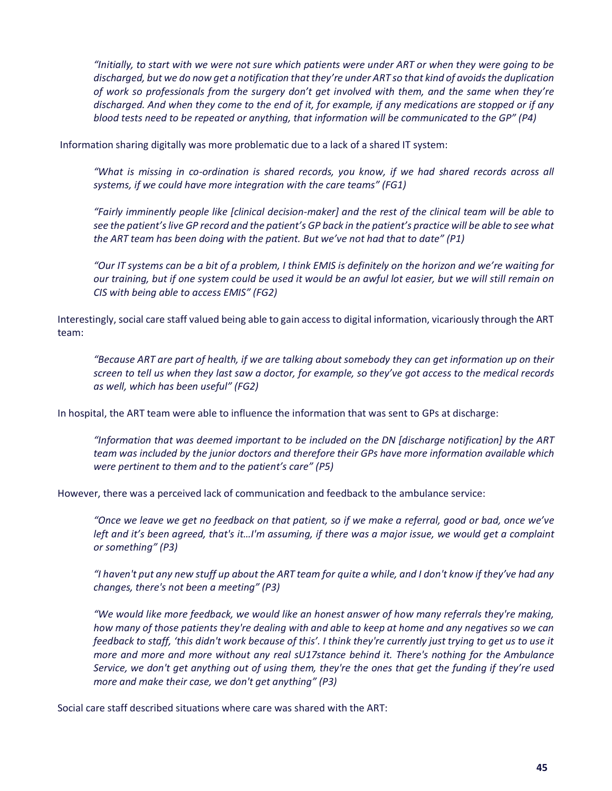*"Initially, to start with we were not sure which patients were under ART or when they were going to be discharged, but we do now get a notification that they're under ART so that kind of avoids the duplication of work so professionals from the surgery don't get involved with them, and the same when they're discharged. And when they come to the end of it, for example, if any medications are stopped or if any blood tests need to be repeated or anything, that information will be communicated to the GP" (P4)*

Information sharing digitally was more problematic due to a lack of a shared IT system:

*"What is missing in co-ordination is shared records, you know, if we had shared records across all systems, if we could have more integration with the care teams" (FG1)*

*"Fairly imminently people like [clinical decision-maker] and the rest of the clinical team will be able to see the patient's live GP record and the patient's GP back in the patient's practice will be able to see what the ART team has been doing with the patient. But we've not had that to date" (P1)*

*"Our IT systems can be a bit of a problem, I think EMIS is definitely on the horizon and we're waiting for our training, but if one system could be used it would be an awful lot easier, but we will still remain on CIS with being able to access EMIS" (FG2)*

Interestingly, social care staff valued being able to gain access to digital information, vicariously through the ART team:

*"Because ART are part of health, if we are talking about somebody they can get information up on their screen to tell us when they last saw a doctor, for example, so they've got access to the medical records as well, which has been useful" (FG2)*

In hospital, the ART team were able to influence the information that was sent to GPs at discharge:

*"Information that was deemed important to be included on the DN [discharge notification] by the ART team was included by the junior doctors and therefore their GPs have more information available which were pertinent to them and to the patient's care" (P5)*

However, there was a perceived lack of communication and feedback to the ambulance service:

*"Once we leave we get no feedback on that patient, so if we make a referral, good or bad, once we've left and it's been agreed, that's it…I'm assuming, if there was a major issue, we would get a complaint or something" (P3)*

*"I haven't put any new stuff up about the ART team for quite a while, and I don't know if they've had any changes, there's not been a meeting" (P3)* 

*"We would like more feedback, we would like an honest answer of how many referrals they're making, how many of those patients they're dealing with and able to keep at home and any negatives so we can feedback to staff, 'this didn't work because of this'. I think they're currently just trying to get us to use it more and more and more without any real sU17stance behind it. There's nothing for the Ambulance Service, we don't get anything out of using them, they're the ones that get the funding if they're used more and make their case, we don't get anything" (P3)*

Social care staff described situations where care was shared with the ART: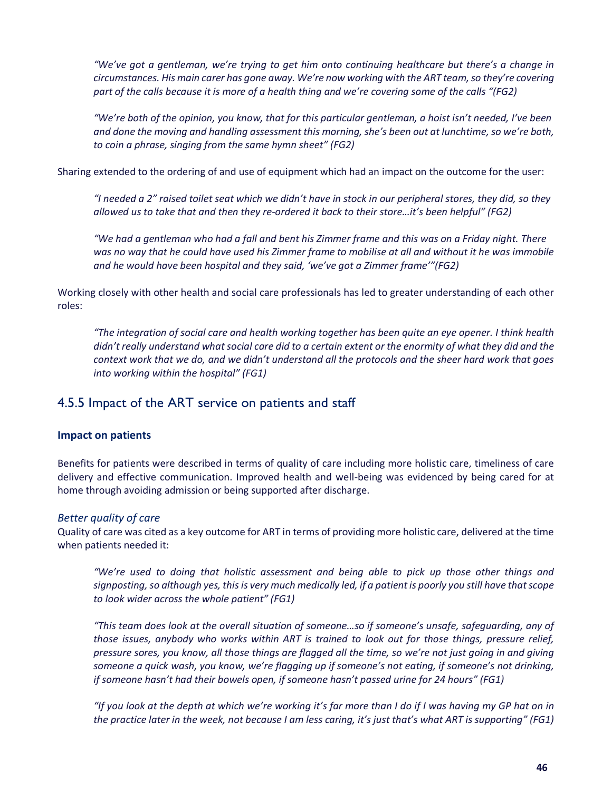*"We've got a gentleman, we're trying to get him onto continuing healthcare but there's a change in circumstances. His main carer has gone away. We're now working with the ART team, so they're covering part of the calls because it is more of a health thing and we're covering some of the calls "(FG2)*

*"We're both of the opinion, you know, that for this particular gentleman, a hoist isn't needed, I've been and done the moving and handling assessment this morning, she's been out at lunchtime, so we're both, to coin a phrase, singing from the same hymn sheet" (FG2)*

Sharing extended to the ordering of and use of equipment which had an impact on the outcome for the user:

*"I needed a 2" raised toilet seat which we didn't have in stock in our peripheral stores, they did, so they allowed us to take that and then they re-ordered it back to their store…it's been helpful" (FG2)*

*"We had a gentleman who had a fall and bent his Zimmer frame and this was on a Friday night. There* was no way that he could have used his Zimmer frame to mobilise at all and without it he was immobile *and he would have been hospital and they said, 'we've got a Zimmer frame'"(FG2)*

Working closely with other health and social care professionals has led to greater understanding of each other roles:

*"The integration of social care and health working together has been quite an eye opener. I think health didn't really understand what social care did to a certain extent or the enormity of what they did and the context work that we do, and we didn't understand all the protocols and the sheer hard work that goes into working within the hospital" (FG1)*

### 4.5.5 Impact of the ART service on patients and staff

### **Impact on patients**

Benefits for patients were described in terms of quality of care including more holistic care, timeliness of care delivery and effective communication. Improved health and well-being was evidenced by being cared for at home through avoiding admission or being supported after discharge.

### *Better quality of care*

Quality of care was cited as a key outcome for ART in terms of providing more holistic care, delivered at the time when patients needed it:

*"We're used to doing that holistic assessment and being able to pick up those other things and signposting, so although yes, this is very much medically led, if a patient is poorly you still have that scope to look wider across the whole patient" (FG1)*

*"This team does look at the overall situation of someone…so if someone's unsafe, safeguarding, any of those issues, anybody who works within ART is trained to look out for those things, pressure relief, pressure sores, you know, all those things are flagged all the time, so we're not just going in and giving someone a quick wash, you know, we're flagging up if someone's not eating, if someone's not drinking, if someone hasn't had their bowels open, if someone hasn't passed urine for 24 hours" (FG1)*

*"If you look at the depth at which we're working it's far more than I do if I was having my GP hat on in the practice later in the week, not because I am less caring, it's just that's what ART is supporting" (FG1)*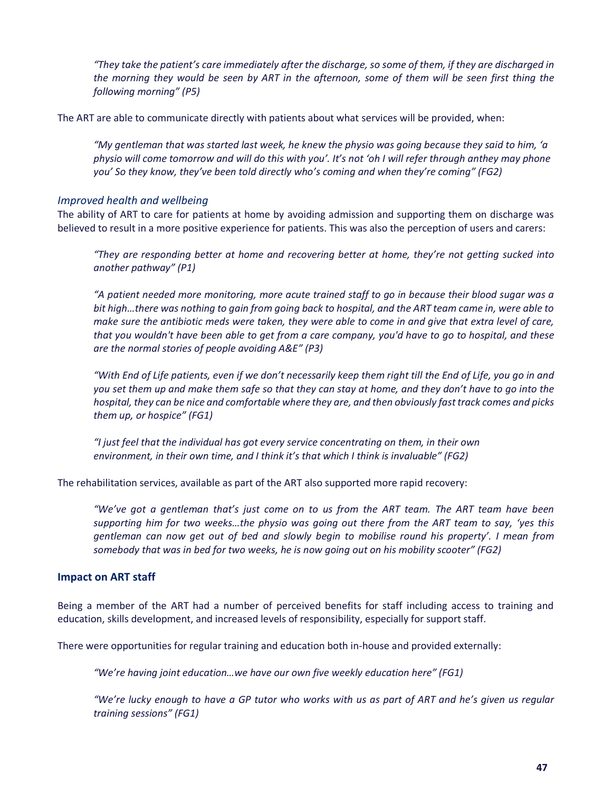*"They take the patient's care immediately after the discharge, so some of them, if they are discharged in the morning they would be seen by ART in the afternoon, some of them will be seen first thing the following morning" (P5)*

The ART are able to communicate directly with patients about what services will be provided, when:

*"My gentleman that was started last week, he knew the physio was going because they said to him, 'a physio will come tomorrow and will do this with you'. It's not 'oh I will refer through anthey may phone you' So they know, they've been told directly who's coming and when they're coming" (FG2)*

#### *Improved health and wellbeing*

The ability of ART to care for patients at home by avoiding admission and supporting them on discharge was believed to result in a more positive experience for patients. This was also the perception of users and carers:

*"They are responding better at home and recovering better at home, they're not getting sucked into another pathway" (P1)*

*"A patient needed more monitoring, more acute trained staff to go in because their blood sugar was a bit high…there was nothing to gain from going back to hospital, and the ART team came in, were able to make sure the antibiotic meds were taken, they were able to come in and give that extra level of care, that you wouldn't have been able to get from a care company, you'd have to go to hospital, and these are the normal stories of people avoiding A&E" (P3)*

*"With End of Life patients, even if we don't necessarily keep them right till the End of Life, you go in and you set them up and make them safe so that they can stay at home, and they don't have to go into the hospital, they can be nice and comfortable where they are, and then obviously fast track comes and picks them up, or hospice" (FG1)*

*"I just feel that the individual has got every service concentrating on them, in their own environment, in their own time, and I think it's that which I think is invaluable" (FG2)*

The rehabilitation services, available as part of the ART also supported more rapid recovery:

*"We've got a gentleman that's just come on to us from the ART team. The ART team have been supporting him for two weeks…the physio was going out there from the ART team to say, 'yes this gentleman can now get out of bed and slowly begin to mobilise round his property'. I mean from somebody that was in bed for two weeks, he is now going out on his mobility scooter" (FG2)*

### **Impact on ART staff**

Being a member of the ART had a number of perceived benefits for staff including access to training and education, skills development, and increased levels of responsibility, especially for support staff.

There were opportunities for regular training and education both in-house and provided externally:

*"We're having joint education…we have our own five weekly education here" (FG1)*

*"We're lucky enough to have a GP tutor who works with us as part of ART and he's given us regular training sessions" (FG1)*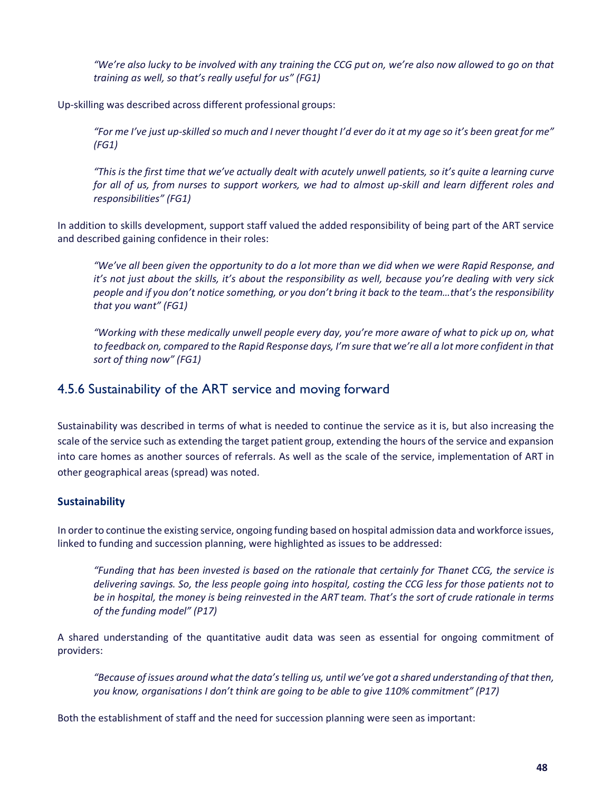*"We're also lucky to be involved with any training the CCG put on, we're also now allowed to go on that training as well, so that's really useful for us" (FG1)*

Up-skilling was described across different professional groups:

*"For me I've just up-skilled so much and I never thought I'd ever do it at my age so it's been great for me" (FG1)*

*"This is the first time that we've actually dealt with acutely unwell patients, so it's quite a learning curve for all of us, from nurses to support workers, we had to almost up-skill and learn different roles and responsibilities" (FG1)*

In addition to skills development, support staff valued the added responsibility of being part of the ART service and described gaining confidence in their roles:

*"We've all been given the opportunity to do a lot more than we did when we were Rapid Response, and it's not just about the skills, it's about the responsibility as well, because you're dealing with very sick people and if you don't notice something, or you don't bring it back to the team…that's the responsibility that you want" (FG1)*

*"Working with these medically unwell people every day, you're more aware of what to pick up on, what to feedback on, compared to the Rapid Response days, I'm sure that we're all a lot more confident in that sort of thing now" (FG1)*

### 4.5.6 Sustainability of the ART service and moving forward

Sustainability was described in terms of what is needed to continue the service as it is, but also increasing the scale of the service such as extending the target patient group, extending the hours of the service and expansion into care homes as another sources of referrals. As well as the scale of the service, implementation of ART in other geographical areas (spread) was noted.

### **Sustainability**

In order to continue the existing service, ongoing funding based on hospital admission data and workforce issues, linked to funding and succession planning, were highlighted as issues to be addressed:

*"Funding that has been invested is based on the rationale that certainly for Thanet CCG, the service is delivering savings. So, the less people going into hospital, costing the CCG less for those patients not to be in hospital, the money is being reinvested in the ART team. That's the sort of crude rationale in terms of the funding model" (P17)* 

A shared understanding of the quantitative audit data was seen as essential for ongoing commitment of providers:

*"Because of issues around what the data's telling us, until we've got a shared understanding of that then, you know, organisations I don't think are going to be able to give 110% commitment" (P17)*

Both the establishment of staff and the need for succession planning were seen as important: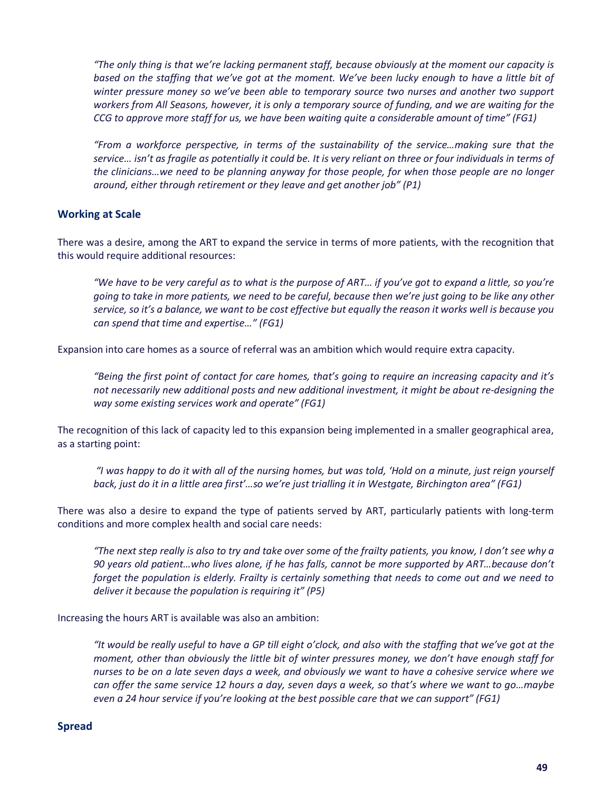*"The only thing is that we're lacking permanent staff, because obviously at the moment our capacity is* based on the staffing that we've got at the moment. We've been lucky enough to have a little bit of *winter pressure money so we've been able to temporary source two nurses and another two support workers from All Seasons, however, it is only a temporary source of funding, and we are waiting for the CCG to approve more staff for us, we have been waiting quite a considerable amount of time" (FG1)*

*"From a workforce perspective, in terms of the sustainability of the service…making sure that the service… isn't as fragile as potentially it could be. It is very reliant on three or four individuals in terms of the clinicians…we need to be planning anyway for those people, for when those people are no longer around, either through retirement or they leave and get another job" (P1)*

### **Working at Scale**

There was a desire, among the ART to expand the service in terms of more patients, with the recognition that this would require additional resources:

*"We have to be very careful as to what is the purpose of ART… if you've got to expand a little, so you're going to take in more patients, we need to be careful, because then we're just going to be like any other service, so it's a balance, we want to be cost effective but equally the reason it works well is because you can spend that time and expertise…" (FG1)*

Expansion into care homes as a source of referral was an ambition which would require extra capacity.

*"Being the first point of contact for care homes, that's going to require an increasing capacity and it's not necessarily new additional posts and new additional investment, it might be about re-designing the way some existing services work and operate" (FG1)*

The recognition of this lack of capacity led to this expansion being implemented in a smaller geographical area, as a starting point:

*"I was happy to do it with all of the nursing homes, but was told, 'Hold on a minute, just reign yourself back, just do it in a little area first'…so we're just trialling it in Westgate, Birchington area" (FG1)*

There was also a desire to expand the type of patients served by ART, particularly patients with long-term conditions and more complex health and social care needs:

*"The next step really is also to try and take over some of the frailty patients, you know, I don't see why a 90 years old patient…who lives alone, if he has falls, cannot be more supported by ART…because don't forget the population is elderly. Frailty is certainly something that needs to come out and we need to deliver it because the population is requiring it" (P5)*

Increasing the hours ART is available was also an ambition:

*"It would be really useful to have a GP till eight o'clock, and also with the staffing that we've got at the moment, other than obviously the little bit of winter pressures money, we don't have enough staff for nurses to be on a late seven days a week, and obviously we want to have a cohesive service where we can offer the same service 12 hours a day, seven days a week, so that's where we want to go…maybe even a 24 hour service if you're looking at the best possible care that we can support" (FG1)*

#### **Spread**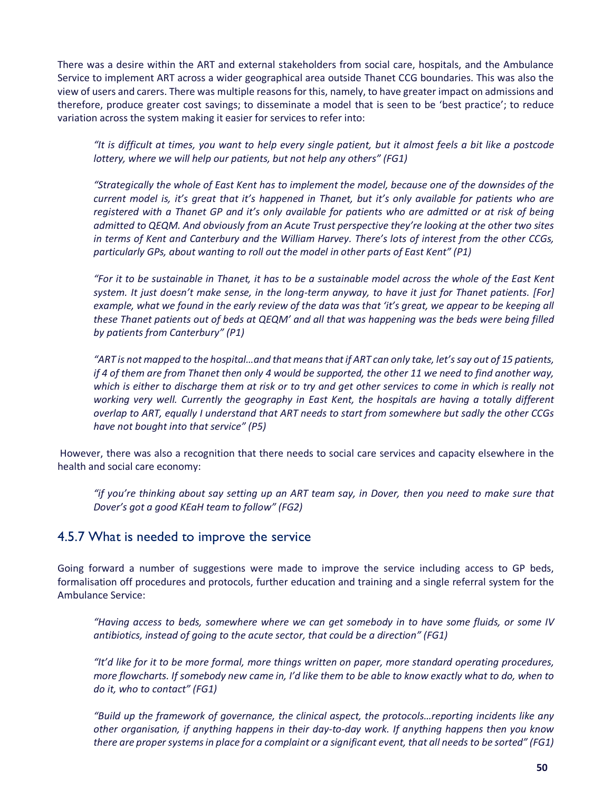There was a desire within the ART and external stakeholders from social care, hospitals, and the Ambulance Service to implement ART across a wider geographical area outside Thanet CCG boundaries. This was also the view of users and carers. There was multiple reasons for this, namely, to have greater impact on admissions and therefore, produce greater cost savings; to disseminate a model that is seen to be 'best practice'; to reduce variation across the system making it easier for services to refer into:

*"It is difficult at times, you want to help every single patient, but it almost feels a bit like a postcode lottery, where we will help our patients, but not help any others" (FG1)*

*"Strategically the whole of East Kent has to implement the model, because one of the downsides of the current model is, it's great that it's happened in Thanet, but it's only available for patients who are registered with a Thanet GP and it's only available for patients who are admitted or at risk of being admitted to QEQM. And obviously from an Acute Trust perspective they're looking at the other two sites in terms of Kent and Canterbury and the William Harvey. There's lots of interest from the other CCGs, particularly GPs, about wanting to roll out the model in other parts of East Kent" (P1)*

*"For it to be sustainable in Thanet, it has to be a sustainable model across the whole of the East Kent system. It just doesn't make sense, in the long-term anyway, to have it just for Thanet patients. [For] example, what we found in the early review of the data was that 'it's great, we appear to be keeping all these Thanet patients out of beds at QEQM' and all that was happening was the beds were being filled by patients from Canterbury" (P1)*

*"ART is not mapped to the hospital…and that means that if ART can only take, let's say out of 15 patients, if 4 of them are from Thanet then only 4 would be supported, the other 11 we need to find another way, which is either to discharge them at risk or to try and get other services to come in which is really not working very well. Currently the geography in East Kent, the hospitals are having a totally different overlap to ART, equally I understand that ART needs to start from somewhere but sadly the other CCGs have not bought into that service" (P5)*

However, there was also a recognition that there needs to social care services and capacity elsewhere in the health and social care economy:

*"if you're thinking about say setting up an ART team say, in Dover, then you need to make sure that Dover's got a good KEaH team to follow" (FG2)*

### 4.5.7 What is needed to improve the service

Going forward a number of suggestions were made to improve the service including access to GP beds, formalisation off procedures and protocols, further education and training and a single referral system for the Ambulance Service:

*"Having access to beds, somewhere where we can get somebody in to have some fluids, or some IV antibiotics, instead of going to the acute sector, that could be a direction" (FG1)*

*"It'd like for it to be more formal, more things written on paper, more standard operating procedures, more flowcharts. If somebody new came in, I'd like them to be able to know exactly what to do, when to do it, who to contact" (FG1)*

*"Build up the framework of governance, the clinical aspect, the protocols…reporting incidents like any other organisation, if anything happens in their day-to-day work. If anything happens then you know there are proper systems in place for a complaint or a significant event, that all needs to be sorted" (FG1)*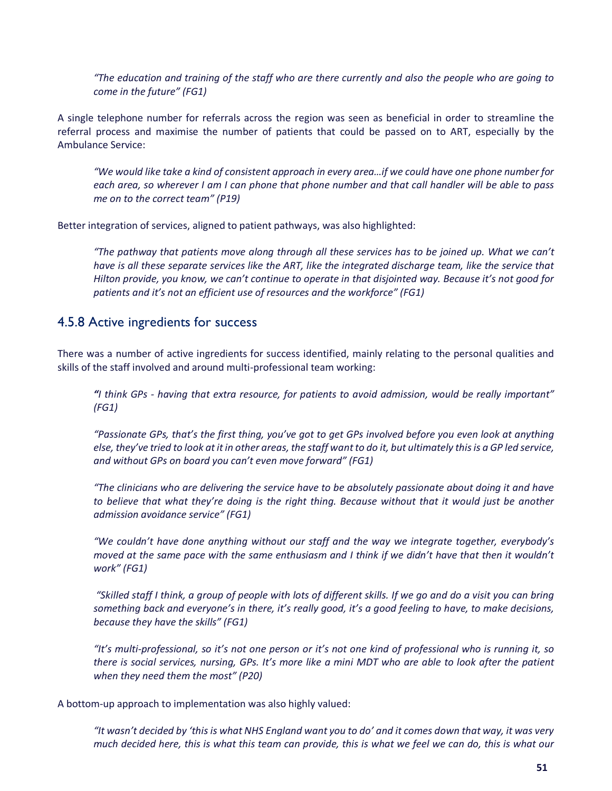*"The education and training of the staff who are there currently and also the people who are going to come in the future" (FG1)*

A single telephone number for referrals across the region was seen as beneficial in order to streamline the referral process and maximise the number of patients that could be passed on to ART, especially by the Ambulance Service:

*"We would like take a kind of consistent approach in every area…if we could have one phone number for each area, so wherever I am I can phone that phone number and that call handler will be able to pass me on to the correct team" (P19)*

Better integration of services, aligned to patient pathways, was also highlighted:

*"The pathway that patients move along through all these services has to be joined up. What we can't have is all these separate services like the ART, like the integrated discharge team, like the service that Hilton provide, you know, we can't continue to operate in that disjointed way. Because it's not good for patients and it's not an efficient use of resources and the workforce" (FG1)* 

### 4.5.8 Active ingredients for success

There was a number of active ingredients for success identified, mainly relating to the personal qualities and skills of the staff involved and around multi-professional team working:

*"I think GPs - having that extra resource, for patients to avoid admission, would be really important" (FG1)*

*"Passionate GPs, that's the first thing, you've got to get GPs involved before you even look at anything else, they've tried to look at it in other areas, the staff want to do it, but ultimately this is a GP led service, and without GPs on board you can't even move forward" (FG1)*

*"The clinicians who are delivering the service have to be absolutely passionate about doing it and have to believe that what they're doing is the right thing. Because without that it would just be another admission avoidance service" (FG1)*

*"We couldn't have done anything without our staff and the way we integrate together, everybody's moved at the same pace with the same enthusiasm and I think if we didn't have that then it wouldn't work" (FG1)*

*"Skilled staff I think, a group of people with lots of different skills. If we go and do a visit you can bring something back and everyone's in there, it's really good, it's a good feeling to have, to make decisions, because they have the skills" (FG1)*

*"It's multi-professional, so it's not one person or it's not one kind of professional who is running it, so there is social services, nursing, GPs. It's more like a mini MDT who are able to look after the patient when they need them the most" (P20)*

A bottom-up approach to implementation was also highly valued:

*"It wasn't decided by 'this is what NHS England want you to do' and it comes down that way, it was very much decided here, this is what this team can provide, this is what we feel we can do, this is what our*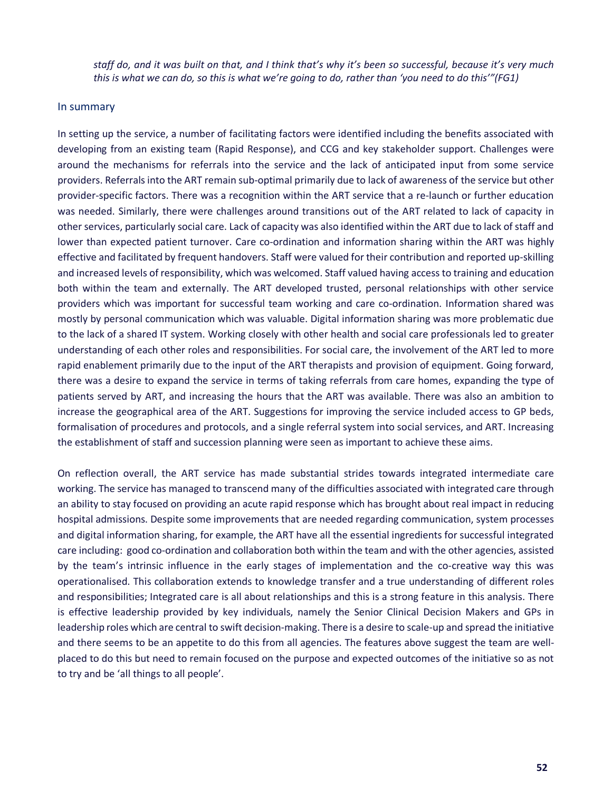*staff do, and it was built on that, and I think that's why it's been so successful, because it's very much this is what we can do, so this is what we're going to do, rather than 'you need to do this'"(FG1)*

#### In summary

In setting up the service, a number of facilitating factors were identified including the benefits associated with developing from an existing team (Rapid Response), and CCG and key stakeholder support. Challenges were around the mechanisms for referrals into the service and the lack of anticipated input from some service providers. Referrals into the ART remain sub-optimal primarily due to lack of awareness of the service but other provider-specific factors. There was a recognition within the ART service that a re-launch or further education was needed. Similarly, there were challenges around transitions out of the ART related to lack of capacity in other services, particularly social care. Lack of capacity was also identified within the ART due to lack of staff and lower than expected patient turnover. Care co-ordination and information sharing within the ART was highly effective and facilitated by frequent handovers. Staff were valued for their contribution and reported up-skilling and increased levels of responsibility, which was welcomed. Staff valued having access to training and education both within the team and externally. The ART developed trusted, personal relationships with other service providers which was important for successful team working and care co-ordination. Information shared was mostly by personal communication which was valuable. Digital information sharing was more problematic due to the lack of a shared IT system. Working closely with other health and social care professionals led to greater understanding of each other roles and responsibilities. For social care, the involvement of the ART led to more rapid enablement primarily due to the input of the ART therapists and provision of equipment. Going forward, there was a desire to expand the service in terms of taking referrals from care homes, expanding the type of patients served by ART, and increasing the hours that the ART was available. There was also an ambition to increase the geographical area of the ART. Suggestions for improving the service included access to GP beds, formalisation of procedures and protocols, and a single referral system into social services, and ART. Increasing the establishment of staff and succession planning were seen as important to achieve these aims.

On reflection overall, the ART service has made substantial strides towards integrated intermediate care working. The service has managed to transcend many of the difficulties associated with integrated care through an ability to stay focused on providing an acute rapid response which has brought about real impact in reducing hospital admissions. Despite some improvements that are needed regarding communication, system processes and digital information sharing, for example, the ART have all the essential ingredients for successful integrated care including: good co-ordination and collaboration both within the team and with the other agencies, assisted by the team's intrinsic influence in the early stages of implementation and the co-creative way this was operationalised. This collaboration extends to knowledge transfer and a true understanding of different roles and responsibilities; Integrated care is all about relationships and this is a strong feature in this analysis. There is effective leadership provided by key individuals, namely the Senior Clinical Decision Makers and GPs in leadership roles which are central to swift decision-making. There is a desire to scale-up and spread the initiative and there seems to be an appetite to do this from all agencies. The features above suggest the team are wellplaced to do this but need to remain focused on the purpose and expected outcomes of the initiative so as not to try and be 'all things to all people'.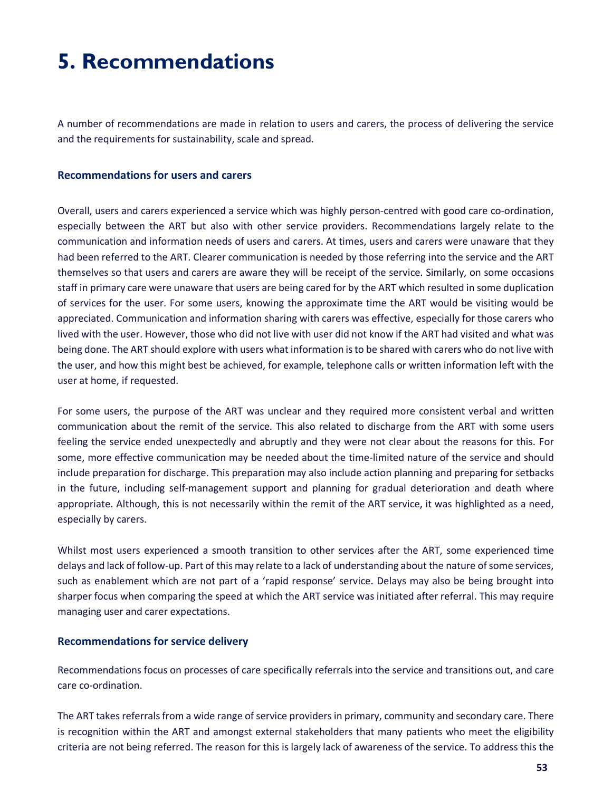# **5. Recommendations**

A number of recommendations are made in relation to users and carers, the process of delivering the service and the requirements for sustainability, scale and spread.

### **Recommendations for users and carers**

Overall, users and carers experienced a service which was highly person-centred with good care co-ordination, especially between the ART but also with other service providers. Recommendations largely relate to the communication and information needs of users and carers. At times, users and carers were unaware that they had been referred to the ART. Clearer communication is needed by those referring into the service and the ART themselves so that users and carers are aware they will be receipt of the service. Similarly, on some occasions staff in primary care were unaware that users are being cared for by the ART which resulted in some duplication of services for the user. For some users, knowing the approximate time the ART would be visiting would be appreciated. Communication and information sharing with carers was effective, especially for those carers who lived with the user. However, those who did not live with user did not know if the ART had visited and what was being done. The ART should explore with users what information is to be shared with carers who do not live with the user, and how this might best be achieved, for example, telephone calls or written information left with the user at home, if requested.

For some users, the purpose of the ART was unclear and they required more consistent verbal and written communication about the remit of the service. This also related to discharge from the ART with some users feeling the service ended unexpectedly and abruptly and they were not clear about the reasons for this. For some, more effective communication may be needed about the time-limited nature of the service and should include preparation for discharge. This preparation may also include action planning and preparing for setbacks in the future, including self-management support and planning for gradual deterioration and death where appropriate. Although, this is not necessarily within the remit of the ART service, it was highlighted as a need, especially by carers.

Whilst most users experienced a smooth transition to other services after the ART, some experienced time delays and lack of follow-up. Part of this may relate to a lack of understanding about the nature of some services, such as enablement which are not part of a 'rapid response' service. Delays may also be being brought into sharper focus when comparing the speed at which the ART service was initiated after referral. This may require managing user and carer expectations.

### **Recommendations for service delivery**

Recommendations focus on processes of care specifically referrals into the service and transitions out, and care care co-ordination.

The ART takes referrals from a wide range of service providers in primary, community and secondary care. There is recognition within the ART and amongst external stakeholders that many patients who meet the eligibility criteria are not being referred. The reason for this is largely lack of awareness of the service. To address this the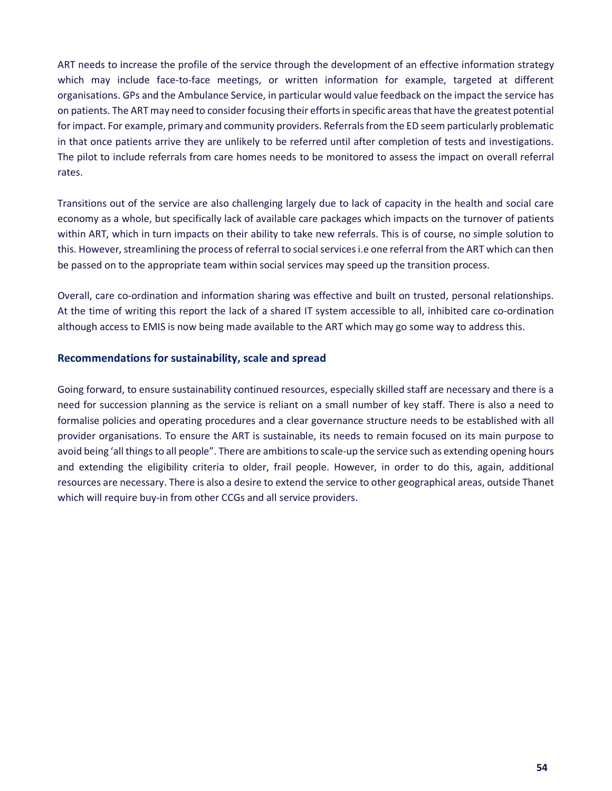ART needs to increase the profile of the service through the development of an effective information strategy which may include face-to-face meetings, or written information for example, targeted at different organisations. GPs and the Ambulance Service, in particular would value feedback on the impact the service has on patients. The ART may need to consider focusing their efforts in specific areas that have the greatest potential for impact. For example, primary and community providers. Referrals from the ED seem particularly problematic in that once patients arrive they are unlikely to be referred until after completion of tests and investigations. The pilot to include referrals from care homes needs to be monitored to assess the impact on overall referral rates.

Transitions out of the service are also challenging largely due to lack of capacity in the health and social care economy as a whole, but specifically lack of available care packages which impacts on the turnover of patients within ART, which in turn impacts on their ability to take new referrals. This is of course, no simple solution to this. However, streamlining the process of referral to social services i.e one referral from the ART which can then be passed on to the appropriate team within social services may speed up the transition process.

Overall, care co-ordination and information sharing was effective and built on trusted, personal relationships. At the time of writing this report the lack of a shared IT system accessible to all, inhibited care co-ordination although access to EMIS is now being made available to the ART which may go some way to address this.

### **Recommendations for sustainability, scale and spread**

Going forward, to ensure sustainability continued resources, especially skilled staff are necessary and there is a need for succession planning as the service is reliant on a small number of key staff. There is also a need to formalise policies and operating procedures and a clear governance structure needs to be established with all provider organisations. To ensure the ART is sustainable, its needs to remain focused on its main purpose to avoid being 'all things to all people". There are ambitions to scale-up the service such as extending opening hours and extending the eligibility criteria to older, frail people. However, in order to do this, again, additional resources are necessary. There is also a desire to extend the service to other geographical areas, outside Thanet which will require buy-in from other CCGs and all service providers.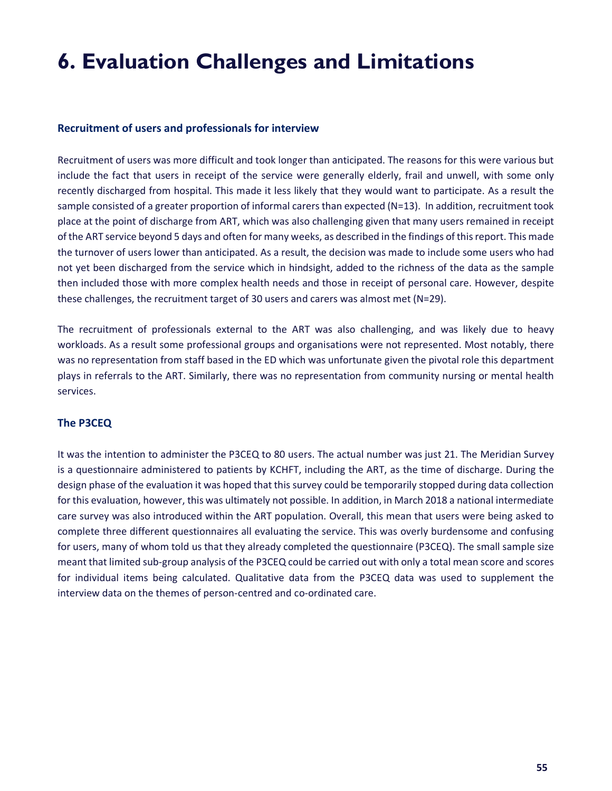# **6. Evaluation Challenges and Limitations**

### **Recruitment of users and professionals for interview**

Recruitment of users was more difficult and took longer than anticipated. The reasons for this were various but include the fact that users in receipt of the service were generally elderly, frail and unwell, with some only recently discharged from hospital. This made it less likely that they would want to participate. As a result the sample consisted of a greater proportion of informal carers than expected (N=13). In addition, recruitment took place at the point of discharge from ART, which was also challenging given that many users remained in receipt of the ART service beyond 5 days and often for many weeks, as described in the findings of this report. This made the turnover of users lower than anticipated. As a result, the decision was made to include some users who had not yet been discharged from the service which in hindsight, added to the richness of the data as the sample then included those with more complex health needs and those in receipt of personal care. However, despite these challenges, the recruitment target of 30 users and carers was almost met (N=29).

The recruitment of professionals external to the ART was also challenging, and was likely due to heavy workloads. As a result some professional groups and organisations were not represented. Most notably, there was no representation from staff based in the ED which was unfortunate given the pivotal role this department plays in referrals to the ART. Similarly, there was no representation from community nursing or mental health services.

### **The P3CEQ**

It was the intention to administer the P3CEQ to 80 users. The actual number was just 21. The Meridian Survey is a questionnaire administered to patients by KCHFT, including the ART, as the time of discharge. During the design phase of the evaluation it was hoped that this survey could be temporarily stopped during data collection for this evaluation, however, this was ultimately not possible. In addition, in March 2018 a national intermediate care survey was also introduced within the ART population. Overall, this mean that users were being asked to complete three different questionnaires all evaluating the service. This was overly burdensome and confusing for users, many of whom told us that they already completed the questionnaire (P3CEQ). The small sample size meant that limited sub-group analysis of the P3CEQ could be carried out with only a total mean score and scores for individual items being calculated. Qualitative data from the P3CEQ data was used to supplement the interview data on the themes of person-centred and co-ordinated care.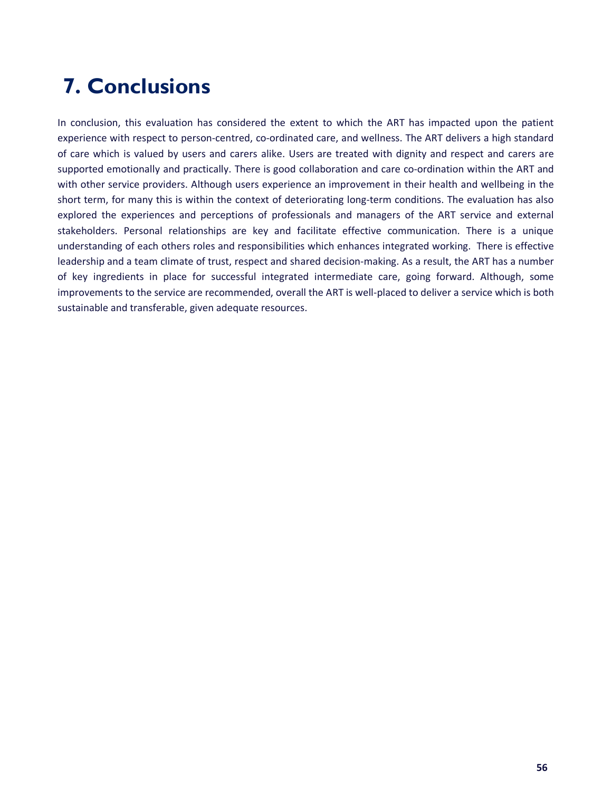# **7. Conclusions**

In conclusion, this evaluation has considered the extent to which the ART has impacted upon the patient experience with respect to person-centred, co-ordinated care, and wellness. The ART delivers a high standard of care which is valued by users and carers alike. Users are treated with dignity and respect and carers are supported emotionally and practically. There is good collaboration and care co-ordination within the ART and with other service providers. Although users experience an improvement in their health and wellbeing in the short term, for many this is within the context of deteriorating long-term conditions. The evaluation has also explored the experiences and perceptions of professionals and managers of the ART service and external stakeholders. Personal relationships are key and facilitate effective communication. There is a unique understanding of each others roles and responsibilities which enhances integrated working. There is effective leadership and a team climate of trust, respect and shared decision-making. As a result, the ART has a number of key ingredients in place for successful integrated intermediate care, going forward. Although, some improvements to the service are recommended, overall the ART is well-placed to deliver a service which is both sustainable and transferable, given adequate resources.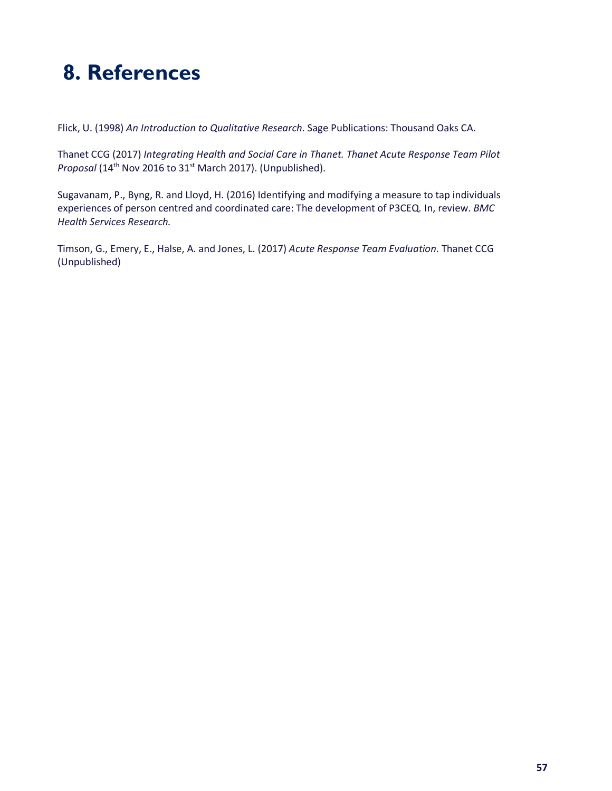# **8. References**

Flick, U. (1998) *An Introduction to Qualitative Research*. Sage Publications: Thousand Oaks CA.

Thanet CCG (2017) *Integrating Health and Social Care in Thanet. Thanet Acute Response Team Pilot*  Proposal (14<sup>th</sup> Nov 2016 to 31<sup>st</sup> March 2017). (Unpublished).

Sugavanam, P., Byng, R. and Lloyd, H. (2016) Identifying and modifying a measure to tap individuals experiences of person centred and coordinated care: The development of P3CEQ*.* In, review. *BMC Health Services Research.*

Timson, G., Emery, E., Halse, A. and Jones, L. (2017) *Acute Response Team Evaluation*. Thanet CCG (Unpublished)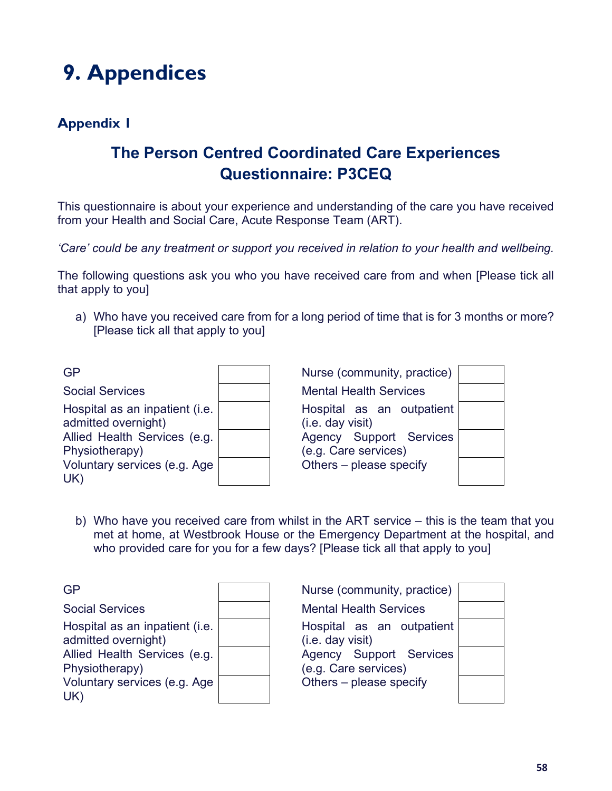# **9. Appendices**

### **Appendix 1**

## **The Person Centred Coordinated Care Experiences Questionnaire: P3CEQ**

This questionnaire is about your experience and understanding of the care you have received from your Health and Social Care, Acute Response Team (ART).

*'Care' could be any treatment or support you received in relation to your health and wellbeing.* 

The following questions ask you who you have received care from and when [Please tick all that apply to you]

a) Who have you received care from for a long period of time that is for 3 months or more? [Please tick all that apply to you]

| <b>GP</b>                                                                                                                                      | Nurse (community, practice)                                                                                                 |  |
|------------------------------------------------------------------------------------------------------------------------------------------------|-----------------------------------------------------------------------------------------------------------------------------|--|
| <b>Social Services</b>                                                                                                                         | <b>Mental Health Services</b>                                                                                               |  |
| Hospital as an inpatient (i.e.<br>admitted overnight)<br>Allied Health Services (e.g.<br>Physiotherapy)<br>Voluntary services (e.g. Age<br>UK) | Hospital as an outpatient<br>(i.e. day visit)<br>Agency Support Services<br>(e.g. Care services)<br>Others – please specify |  |

b) Who have you received care from whilst in the ART service – this is the team that you met at home, at Westbrook House or the Emergency Department at the hospital, and who provided care for you for a few days? [Please tick all that apply to you]

| <b>GP</b>                                                                                                                               | Nurse (community, practice)                                                                                                 |  |
|-----------------------------------------------------------------------------------------------------------------------------------------|-----------------------------------------------------------------------------------------------------------------------------|--|
| <b>Social Services</b>                                                                                                                  | <b>Mental Health Services</b>                                                                                               |  |
| Hospital as an inpatient (i.e.<br>admitted overnight)<br>Allied Health Services (e.g.<br>Physiotherapy)<br>Voluntary services (e.g. Age | Hospital as an outpatient<br>(i.e. day visit)<br>Agency Support Services<br>(e.g. Care services)<br>Others – please specify |  |
| UK)                                                                                                                                     |                                                                                                                             |  |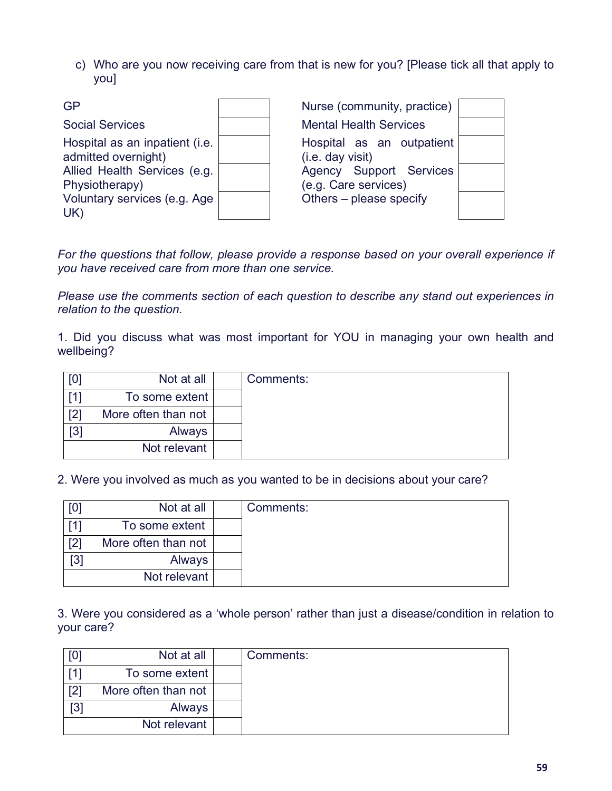c) Who are you now receiving care from that is new for you? [Please tick all that apply to you]

| GP                                                                                                      | Nurse (community, practice)                                                                      |  |
|---------------------------------------------------------------------------------------------------------|--------------------------------------------------------------------------------------------------|--|
| <b>Social Services</b>                                                                                  | <b>Mental Health Services</b>                                                                    |  |
| Hospital as an inpatient (i.e.<br>admitted overnight)<br>Allied Health Services (e.g.<br>Physiotherapy) | Hospital as an outpatient<br>(i.e. day visit)<br>Agency Support Services<br>(e.g. Care services) |  |
| Voluntary services (e.g. Age<br>UK)                                                                     | Others - please specify                                                                          |  |

*For the questions that follow, please provide a response based on your overall experience if you have received care from more than one service.* 

*Please use the comments section of each question to describe any stand out experiences in relation to the question.* 

1. Did you discuss what was most important for YOU in managing your own health and wellbeing?

| [0] | Not at all          | Comments: |
|-----|---------------------|-----------|
| [1] | To some extent      |           |
| [2] | More often than not |           |
| [3] | <b>Always</b>       |           |
|     | Not relevant        |           |

2. Were you involved as much as you wanted to be in decisions about your care?

| [0] | Not at all          | Comments: |
|-----|---------------------|-----------|
|     | To some extent      |           |
| [2] | More often than not |           |
| [3] | Always              |           |
|     | Not relevant        |           |

3. Were you considered as a 'whole person' rather than just a disease/condition in relation to your care?

|                   | Not at all          | Comments: |
|-------------------|---------------------|-----------|
|                   | To some extent      |           |
| [2]               | More often than not |           |
| $\lceil 3 \rceil$ | Always              |           |
|                   | Not relevant        |           |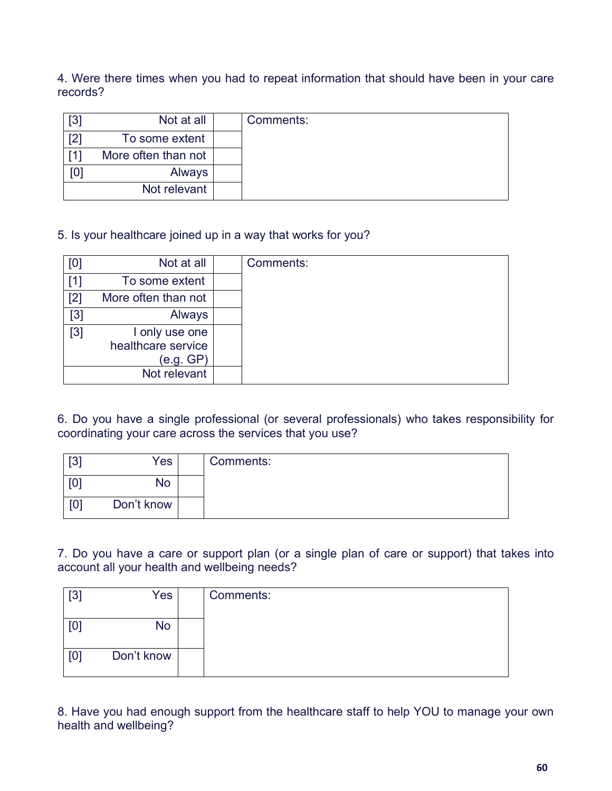4. Were there times when you had to repeat information that should have been in your care records?

| $\lceil 3 \rceil$ | Not at all          | Comments: |
|-------------------|---------------------|-----------|
| [2]               | To some extent      |           |
|                   | More often than not |           |
| וסן               | Always              |           |
|                   | Not relevant        |           |

5. Is your healthcare joined up in a way that works for you?

| [0]   | Not at all                                        | Comments: |
|-------|---------------------------------------------------|-----------|
| [1]   | To some extent                                    |           |
| $[2]$ | More often than not                               |           |
| $[3]$ | Always                                            |           |
| [3]   | I only use one<br>healthcare service<br>(e.g. GP) |           |
|       | Not relevant                                      |           |

6. Do you have a single professional (or several professionals) who takes responsibility for coordinating your care across the services that you use?

| $[3]$ | Yes        | Comments: |
|-------|------------|-----------|
| [0]   | No         |           |
| [0]   | Don't know |           |

7. Do you have a care or support plan (or a single plan of care or support) that takes into account all your health and wellbeing needs?

| $[3]$ | Yes        | Comments: |
|-------|------------|-----------|
| [0]   | No         |           |
| [0]   | Don't know |           |

8. Have you had enough support from the healthcare staff to help YOU to manage your own health and wellbeing?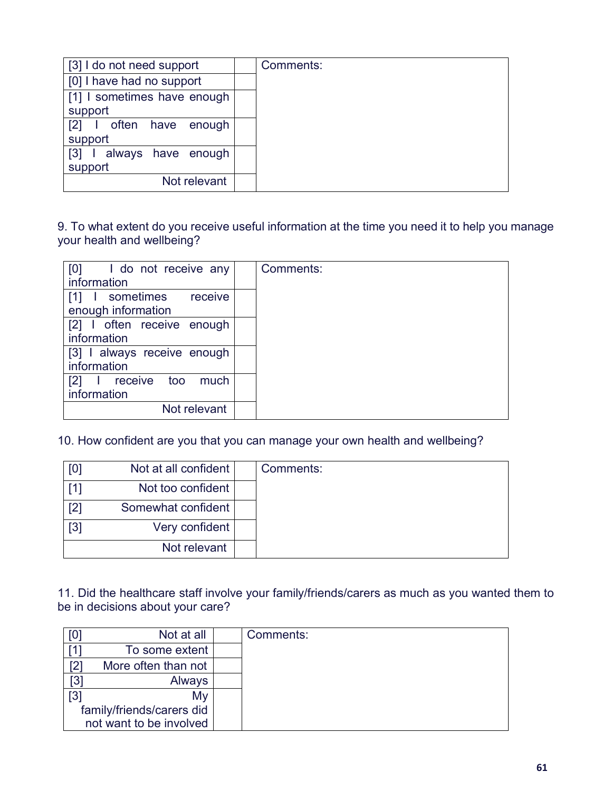| [3] I do not need support                               | Comments: |
|---------------------------------------------------------|-----------|
| [0] I have had no support                               |           |
| [1] I sometimes have enough                             |           |
| support                                                 |           |
| $\begin{bmatrix} 2 \end{bmatrix}$<br>often have enough  |           |
| support                                                 |           |
| $\begin{bmatrix} 3 \end{bmatrix}$<br>always have enough |           |
| support                                                 |           |
| Not relevant                                            |           |

9. To what extent do you receive useful information at the time you need it to help you manage your health and wellbeing?

| [0] I do not receive any<br>information                        | Comments: |
|----------------------------------------------------------------|-----------|
| I sometimes receive<br>$\lceil 1 \rceil$<br>enough information |           |
| [2] I often receive enough<br>information                      |           |
| [3] I always receive enough<br>information                     |           |
| [2]<br>much<br>receive too<br>information                      |           |
| Not relevant                                                   |           |

10. How confident are you that you can manage your own health and wellbeing?

| [0] | Not at all confident | Comments: |
|-----|----------------------|-----------|
| [1] | Not too confident    |           |
| [2] | Somewhat confident   |           |
| [3] | Very confident       |           |
|     | Not relevant         |           |

11. Did the healthcare staff involve your family/friends/carers as much as you wanted them to be in decisions about your care?

| [0                        | Not at all          |  | Comments: |
|---------------------------|---------------------|--|-----------|
|                           | To some extent      |  |           |
| [2]                       | More often than not |  |           |
| [3]                       | Always              |  |           |
| [3]                       | My                  |  |           |
| family/friends/carers did |                     |  |           |
| not want to be involved   |                     |  |           |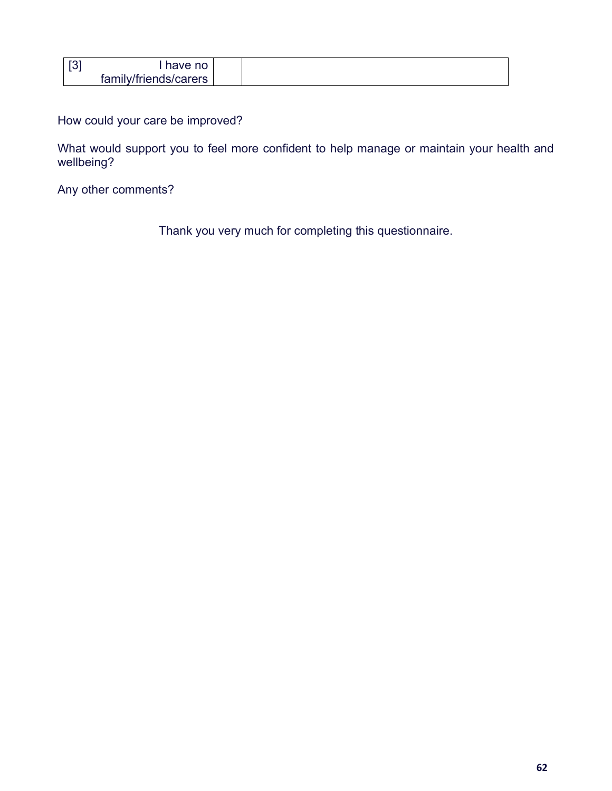| $\sqrt{3}$ | have no               |  |
|------------|-----------------------|--|
|            | family/friends/carers |  |

How could your care be improved?

What would support you to feel more confident to help manage or maintain your health and wellbeing?

Any other comments?

Thank you very much for completing this questionnaire.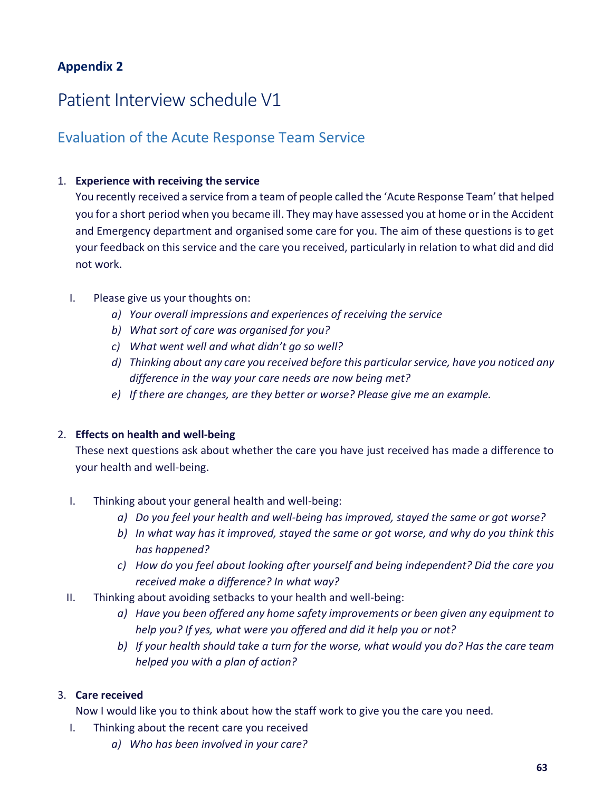### **Appendix 2**

## Patient Interview schedule V1

### Evaluation of the Acute Response Team Service

### 1. **Experience with receiving the service**

You recently received a service from a team of people called the 'Acute Response Team' that helped you for a short period when you became ill. They may have assessed you at home or in the Accident and Emergency department and organised some care for you. The aim of these questions is to get your feedback on this service and the care you received, particularly in relation to what did and did not work.

- I. Please give us your thoughts on:
	- *a) Your overall impressions and experiences of receiving the service*
	- *b) What sort of care was organised for you?*
	- *c) What went well and what didn't go so well?*
	- *d) Thinking about any care you received before this particular service, have you noticed any difference in the way your care needs are now being met?*
	- *e) If there are changes, are they better or worse? Please give me an example.*

### 2. **Effects on health and well-being**

These next questions ask about whether the care you have just received has made a difference to your health and well-being.

- I. Thinking about your general health and well-being:
	- *a) Do you feel your health and well-being has improved, stayed the same or got worse?*
	- *b) In what way has it improved, stayed the same or got worse, and why do you think this has happened?*
	- *c) How do you feel about looking after yourself and being independent? Did the care you received make a difference? In what way?*
- II. Thinking about avoiding setbacks to your health and well-being:
	- *a) Have you been offered any home safety improvements or been given any equipment to help you? If yes, what were you offered and did it help you or not?*
	- *b) If your health should take a turn for the worse, what would you do? Has the care team helped you with a plan of action?*

### 3. **Care received**

Now I would like you to think about how the staff work to give you the care you need.

- I. Thinking about the recent care you received
	- *a) Who has been involved in your care?*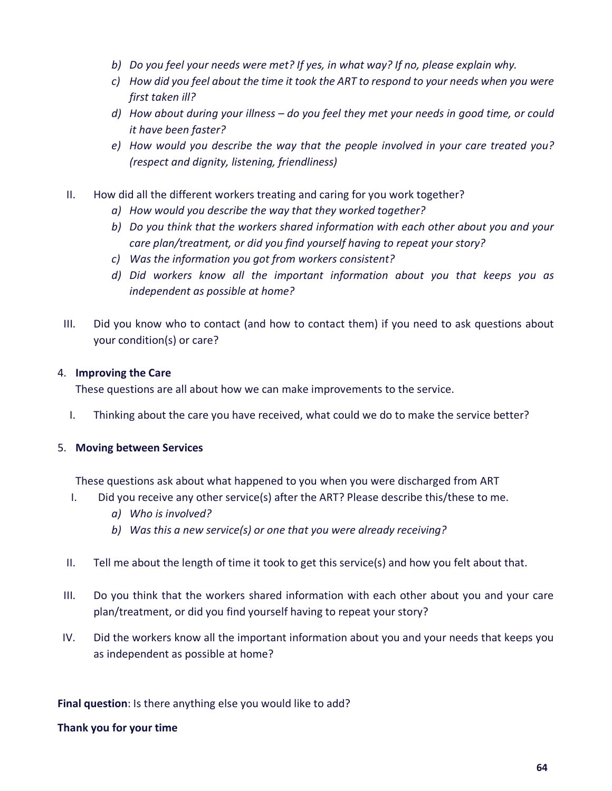- *b) Do you feel your needs were met? If yes, in what way? If no, please explain why.*
- *c) How did you feel about the time it took the ART to respond to your needs when you were first taken ill?*
- *d) How about during your illness – do you feel they met your needs in good time, or could it have been faster?*
- *e) How would you describe the way that the people involved in your care treated you? (respect and dignity, listening, friendliness)*
- II. How did all the different workers treating and caring for you work together?
	- *a) How would you describe the way that they worked together?*
	- *b) Do you think that the workers shared information with each other about you and your care plan/treatment, or did you find yourself having to repeat your story?*
	- *c) Was the information you got from workers consistent?*
	- *d) Did workers know all the important information about you that keeps you as independent as possible at home?*
- III. Did you know who to contact (and how to contact them) if you need to ask questions about your condition(s) or care?

### 4. **Improving the Care**

These questions are all about how we can make improvements to the service.

I. Thinking about the care you have received, what could we do to make the service better?

### 5. **Moving between Services**

These questions ask about what happened to you when you were discharged from ART

- I. Did you receive any other service(s) after the ART? Please describe this/these to me.
	- *a) Who is involved?*
	- *b) Was this a new service(s) or one that you were already receiving?*
- II. Tell me about the length of time it took to get this service(s) and how you felt about that.
- III. Do you think that the workers shared information with each other about you and your care plan/treatment, or did you find yourself having to repeat your story?
- IV. Did the workers know all the important information about you and your needs that keeps you as independent as possible at home?

### **Final question**: Is there anything else you would like to add?

### **Thank you for your time**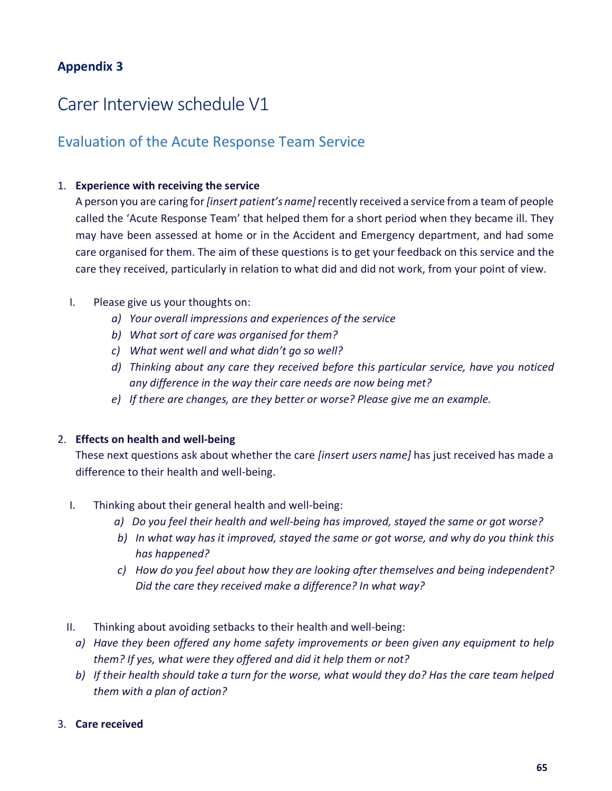### **Appendix 3**

## Carer Interview schedule V1

### Evaluation of the Acute Response Team Service

### 1. **Experience with receiving the service**

A person you are caring for *[insert patient's name]* recently received a service from a team of people called the 'Acute Response Team' that helped them for a short period when they became ill. They may have been assessed at home or in the Accident and Emergency department, and had some care organised for them. The aim of these questions is to get your feedback on this service and the care they received, particularly in relation to what did and did not work, from your point of view.

### I. Please give us your thoughts on:

- *a) Your overall impressions and experiences of the service*
- *b) What sort of care was organised for them?*
- *c) What went well and what didn't go so well?*
- *d) Thinking about any care they received before this particular service, have you noticed any difference in the way their care needs are now being met?*
- *e) If there are changes, are they better or worse? Please give me an example.*

### 2. **Effects on health and well-being**

These next questions ask about whether the care *[insert users name]* has just received has made a difference to their health and well-being.

- I. Thinking about their general health and well-being:
	- *a) Do you feel their health and well-being has improved, stayed the same or got worse?*
	- *b) In what way has it improved, stayed the same or got worse, and why do you think this has happened?*
	- *c) How do you feel about how they are looking after themselves and being independent? Did the care they received make a difference? In what way?*
- II. Thinking about avoiding setbacks to their health and well-being:
	- *a) Have they been offered any home safety improvements or been given any equipment to help them? If yes, what were they offered and did it help them or not?*
	- *b) If their health should take a turn for the worse, what would they do? Has the care team helped them with a plan of action?*

### 3. **Care received**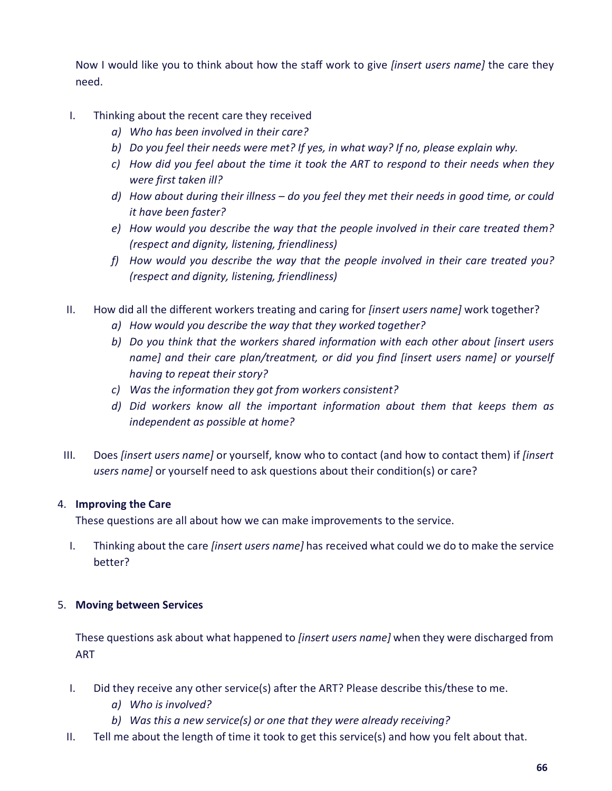Now I would like you to think about how the staff work to give *[insert users name]* the care they need.

- I. Thinking about the recent care they received
	- *a) Who has been involved in their care?*
	- *b) Do you feel their needs were met? If yes, in what way? If no, please explain why.*
	- *c) How did you feel about the time it took the ART to respond to their needs when they were first taken ill?*
	- *d) How about during their illness – do you feel they met their needs in good time, or could it have been faster?*
	- *e) How would you describe the way that the people involved in their care treated them? (respect and dignity, listening, friendliness)*
	- *f) How would you describe the way that the people involved in their care treated you? (respect and dignity, listening, friendliness)*
- II. How did all the different workers treating and caring for *[insert users name]* work together?
	- *a) How would you describe the way that they worked together?*
	- *b) Do you think that the workers shared information with each other about [insert users name] and their care plan/treatment, or did you find [insert users name] or yourself having to repeat their story?*
	- *c) Was the information they got from workers consistent?*
	- *d) Did workers know all the important information about them that keeps them as independent as possible at home?*
- III. Does *[insert users name]* or yourself, know who to contact (and how to contact them) if *[insert users name]* or yourself need to ask questions about their condition(s) or care?

### 4. **Improving the Care**

These questions are all about how we can make improvements to the service.

I. Thinking about the care *[insert users name]* has received what could we do to make the service better?

### 5. **Moving between Services**

These questions ask about what happened to *[insert users name]* when they were discharged from ART

- I. Did they receive any other service(s) after the ART? Please describe this/these to me.
	- *a) Who is involved?*
	- *b) Was this a new service(s) or one that they were already receiving?*
- II. Tell me about the length of time it took to get this service(s) and how you felt about that.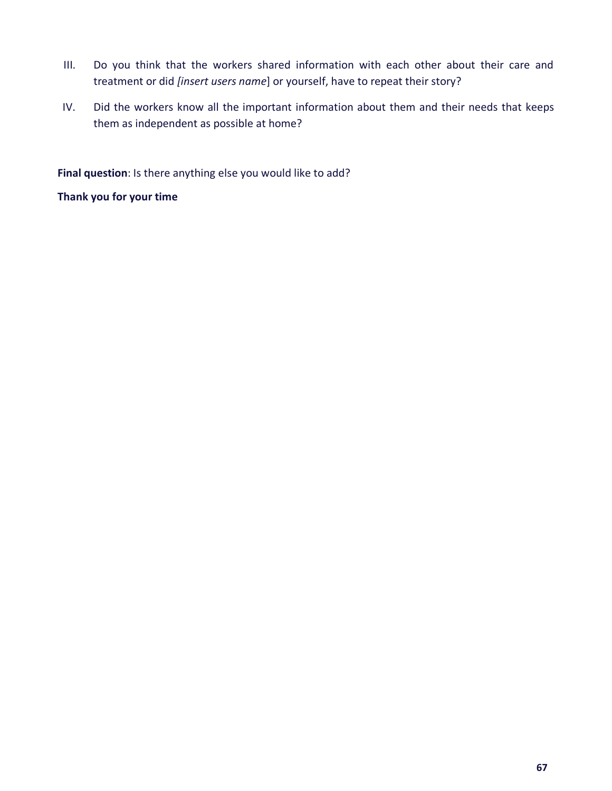- III. Do you think that the workers shared information with each other about their care and treatment or did *[insert users name*] or yourself, have to repeat their story?
- IV. Did the workers know all the important information about them and their needs that keeps them as independent as possible at home?

**Final question**: Is there anything else you would like to add?

**Thank you for your time**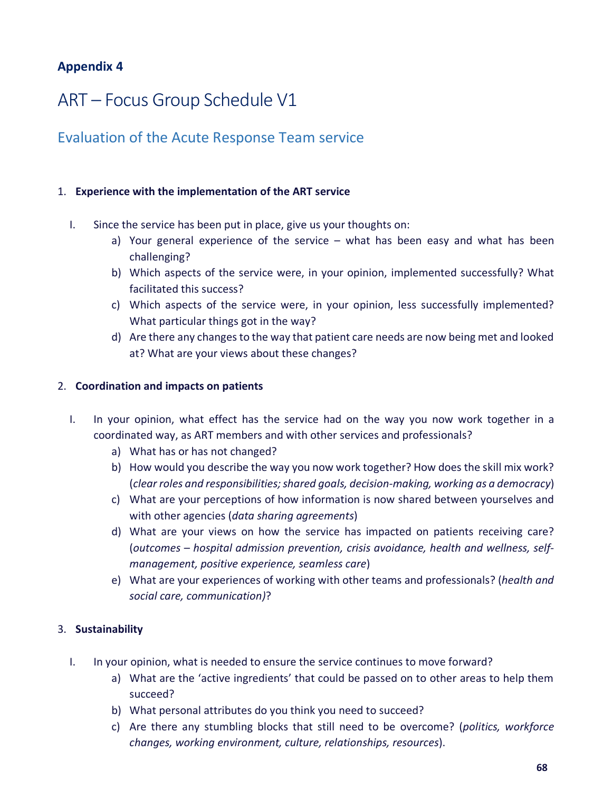### **Appendix 4**

## ART – Focus Group Schedule V1

### Evaluation of the Acute Response Team service

### 1. **Experience with the implementation of the ART service**

- I. Since the service has been put in place, give us your thoughts on:
	- a) Your general experience of the service what has been easy and what has been challenging?
	- b) Which aspects of the service were, in your opinion, implemented successfully? What facilitated this success?
	- c) Which aspects of the service were, in your opinion, less successfully implemented? What particular things got in the way?
	- d) Are there any changes to the way that patient care needs are now being met and looked at? What are your views about these changes?

### 2. **Coordination and impacts on patients**

- I. In your opinion, what effect has the service had on the way you now work together in a coordinated way, as ART members and with other services and professionals?
	- a) What has or has not changed?
	- b) How would you describe the way you now work together? How does the skill mix work? (*clear roles and responsibilities; shared goals, decision-making, working as a democracy*)
	- c) What are your perceptions of how information is now shared between yourselves and with other agencies (*data sharing agreements*)
	- d) What are your views on how the service has impacted on patients receiving care? (*outcomes – hospital admission prevention, crisis avoidance, health and wellness, selfmanagement, positive experience, seamless care*)
	- e) What are your experiences of working with other teams and professionals? (*health and social care, communication)*?

### 3. **Sustainability**

- I. In your opinion, what is needed to ensure the service continues to move forward?
	- a) What are the 'active ingredients' that could be passed on to other areas to help them succeed?
	- b) What personal attributes do you think you need to succeed?
	- c) Are there any stumbling blocks that still need to be overcome? (*politics, workforce changes, working environment, culture, relationships, resources*).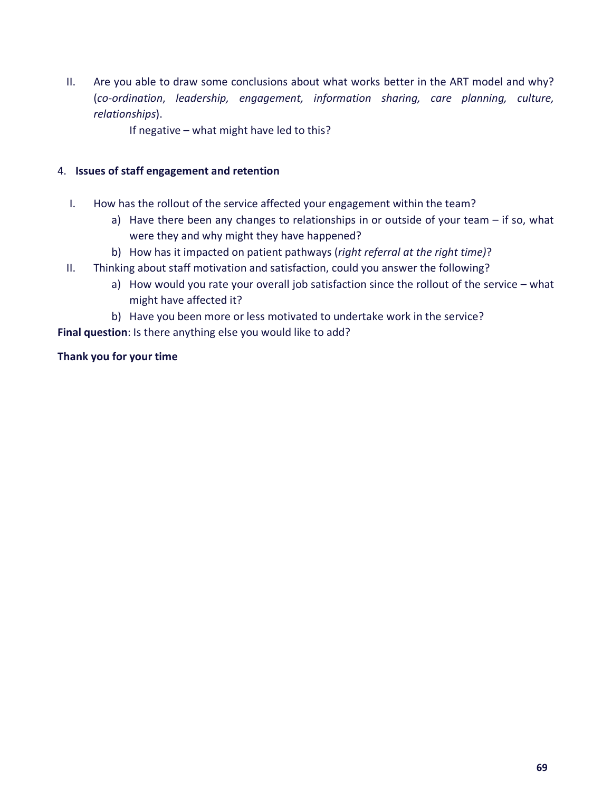- II. Are you able to draw some conclusions about what works better in the ART model and why? (*co-ordination*, *leadership, engagement, information sharing, care planning, culture, relationships*).
	- If negative what might have led to this?

### 4. **Issues of staff engagement and retention**

- I. How has the rollout of the service affected your engagement within the team?
	- a) Have there been any changes to relationships in or outside of your team if so, what were they and why might they have happened?
	- b) How has it impacted on patient pathways (*right referral at the right time)*?
- II. Thinking about staff motivation and satisfaction, could you answer the following?
	- a) How would you rate your overall job satisfaction since the rollout of the service what might have affected it?
	- b) Have you been more or less motivated to undertake work in the service?

**Final question**: Is there anything else you would like to add?

### **Thank you for your time**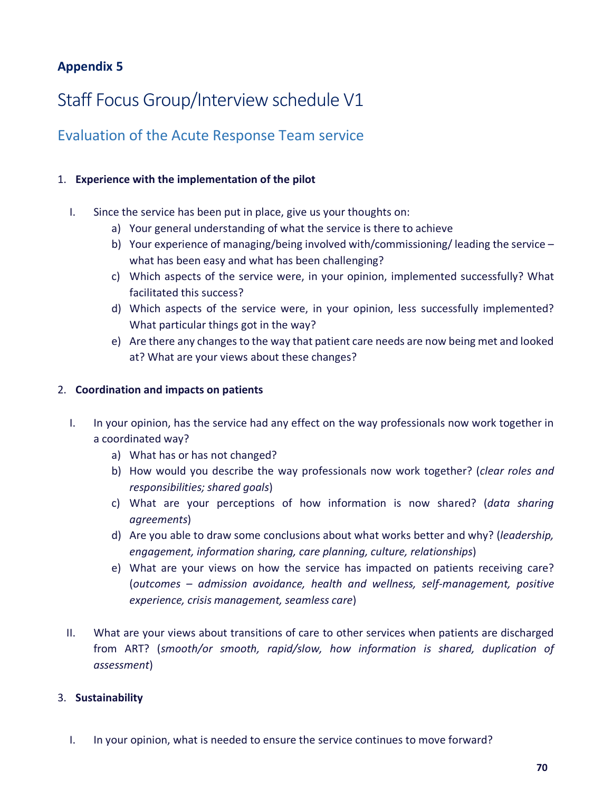### **Appendix 5**

## Staff Focus Group/Interview schedule V1

### Evaluation of the Acute Response Team service

### 1. **Experience with the implementation of the pilot**

- I. Since the service has been put in place, give us your thoughts on:
	- a) Your general understanding of what the service is there to achieve
	- b) Your experience of managing/being involved with/commissioning/ leading the service what has been easy and what has been challenging?
	- c) Which aspects of the service were, in your opinion, implemented successfully? What facilitated this success?
	- d) Which aspects of the service were, in your opinion, less successfully implemented? What particular things got in the way?
	- e) Are there any changes to the way that patient care needs are now being met and looked at? What are your views about these changes?

### 2. **Coordination and impacts on patients**

- I. In your opinion, has the service had any effect on the way professionals now work together in a coordinated way?
	- a) What has or has not changed?
	- b) How would you describe the way professionals now work together? (*clear roles and responsibilities; shared goals*)
	- c) What are your perceptions of how information is now shared? (*data sharing agreements*)
	- d) Are you able to draw some conclusions about what works better and why? (*leadership, engagement, information sharing, care planning, culture, relationships*)
	- e) What are your views on how the service has impacted on patients receiving care? (*outcomes – admission avoidance, health and wellness, self-management, positive experience, crisis management, seamless care*)
- II. What are your views about transitions of care to other services when patients are discharged from ART? (*smooth/or smooth, rapid/slow, how information is shared, duplication of assessment*)

### 3. **Sustainability**

I. In your opinion, what is needed to ensure the service continues to move forward?